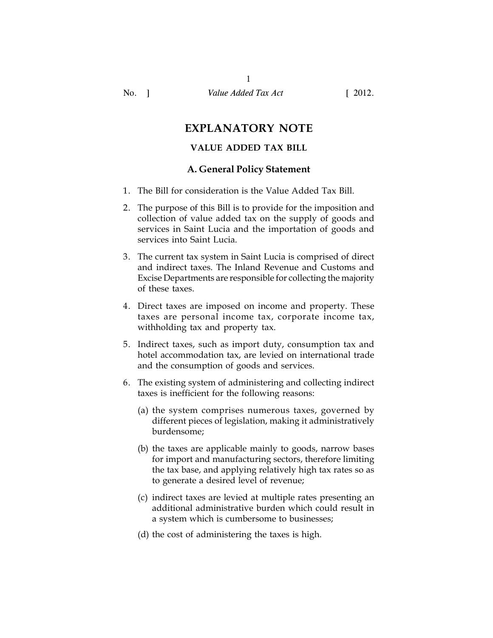# **EXPLANATORY NOTE**

# **VALUE ADDED TAX BILL**

# **A. General Policy Statement**

- 1. The Bill for consideration is the Value Added Tax Bill.
- 2. The purpose of this Bill is to provide for the imposition and collection of value added tax on the supply of goods and services in Saint Lucia and the importation of goods and services into Saint Lucia.
- 3. The current tax system in Saint Lucia is comprised of direct and indirect taxes. The Inland Revenue and Customs and Excise Departments are responsible for collecting the majority of these taxes.
- 4. Direct taxes are imposed on income and property. These taxes are personal income tax, corporate income tax, withholding tax and property tax.
- 5. Indirect taxes, such as import duty, consumption tax and hotel accommodation tax, are levied on international trade and the consumption of goods and services.
- 6. The existing system of administering and collecting indirect taxes is inefficient for the following reasons:
	- (a) the system comprises numerous taxes, governed by different pieces of legislation, making it administratively burdensome;
	- (b) the taxes are applicable mainly to goods, narrow bases for import and manufacturing sectors, therefore limiting the tax base, and applying relatively high tax rates so as to generate a desired level of revenue;
	- (c) indirect taxes are levied at multiple rates presenting an additional administrative burden which could result in a system which is cumbersome to businesses;
	- (d) the cost of administering the taxes is high.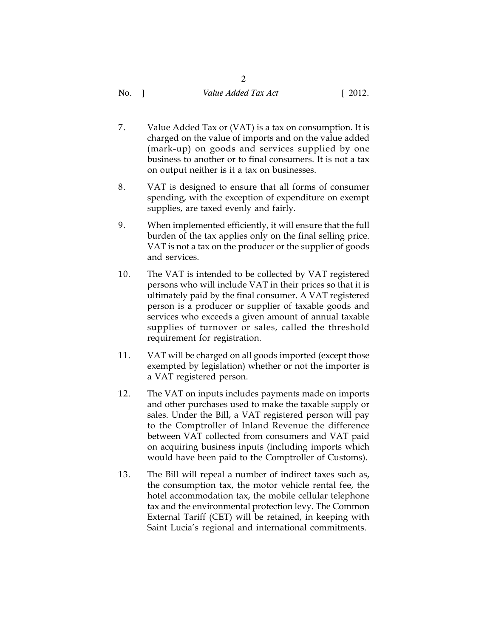- 7. Value Added Tax or (VAT) is a tax on consumption. It is charged on the value of imports and on the value added (mark-up) on goods and services supplied by one business to another or to final consumers. It is not a tax on output neither is it a tax on businesses.
- 8. VAT is designed to ensure that all forms of consumer spending, with the exception of expenditure on exempt supplies, are taxed evenly and fairly.
- 9. When implemented efficiently, it will ensure that the full burden of the tax applies only on the final selling price. VAT is not a tax on the producer or the supplier of goods and services.
- 10. The VAT is intended to be collected by VAT registered persons who will include VAT in their prices so that it is ultimately paid by the final consumer. A VAT registered person is a producer or supplier of taxable goods and services who exceeds a given amount of annual taxable supplies of turnover or sales, called the threshold requirement for registration.
- 11. VAT will be charged on all goods imported (except those exempted by legislation) whether or not the importer is a VAT registered person.
- 12. The VAT on inputs includes payments made on imports and other purchases used to make the taxable supply or sales. Under the Bill, a VAT registered person will pay to the Comptroller of Inland Revenue the difference between VAT collected from consumers and VAT paid on acquiring business inputs (including imports which would have been paid to the Comptroller of Customs).
- 13. The Bill will repeal a number of indirect taxes such as, the consumption tax, the motor vehicle rental fee, the hotel accommodation tax, the mobile cellular telephone tax and the environmental protection levy. The Common External Tariff (CET) will be retained, in keeping with Saint Lucia's regional and international commitments.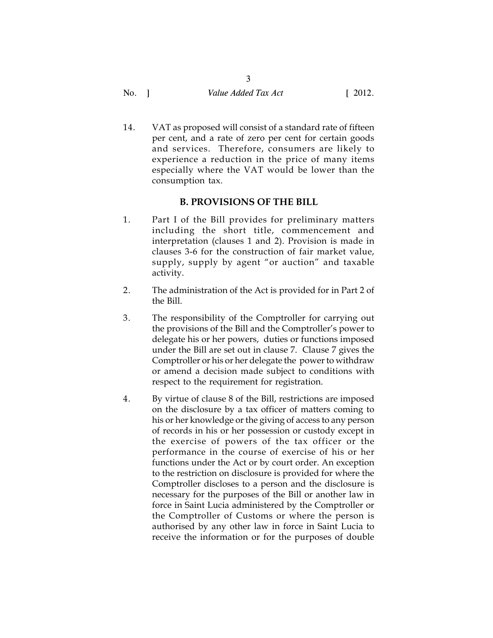| No. | Value Added Tax Act | $\left[ 2012. \right]$ |
|-----|---------------------|------------------------|
|     |                     |                        |

3

14. VAT as proposed will consist of a standard rate of fifteen per cent, and a rate of zero per cent for certain goods and services. Therefore, consumers are likely to experience a reduction in the price of many items especially where the VAT would be lower than the consumption tax.

# **B. PROVISIONS OF THE BILL**

- 1. Part I of the Bill provides for preliminary matters including the short title, commencement and interpretation (clauses 1 and 2). Provision is made in clauses 3-6 for the construction of fair market value, supply, supply by agent "or auction" and taxable activity.
- 2. The administration of the Act is provided for in Part 2 of the Bill.
- 3. The responsibility of the Comptroller for carrying out the provisions of the Bill and the Comptroller's power to delegate his or her powers, duties or functions imposed under the Bill are set out in clause 7. Clause 7 gives the Comptroller or his or her delegate the power to withdraw or amend a decision made subject to conditions with respect to the requirement for registration.
- 4. By virtue of clause 8 of the Bill, restrictions are imposed on the disclosure by a tax officer of matters coming to his or her knowledge or the giving of access to any person of records in his or her possession or custody except in the exercise of powers of the tax officer or the performance in the course of exercise of his or her functions under the Act or by court order. An exception to the restriction on disclosure is provided for where the Comptroller discloses to a person and the disclosure is necessary for the purposes of the Bill or another law in force in Saint Lucia administered by the Comptroller or the Comptroller of Customs or where the person is authorised by any other law in force in Saint Lucia to receive the information or for the purposes of double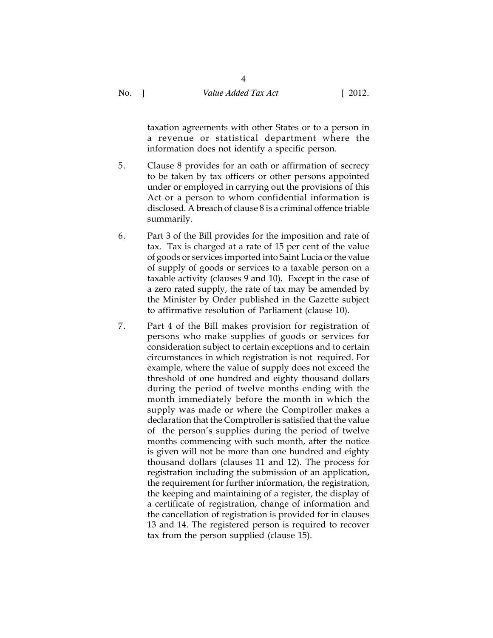4

taxation agreements with other States or to a person in a revenue or statistical department where the information does not identify a specific person.

- 5. Clause 8 provides for an oath or affirmation of secrecy to be taken by tax officers or other persons appointed under or employed in carrying out the provisions of this Act or a person to whom confidential information is disclosed. A breach of clause 8 is a criminal offence triable summarily.
- 6. Part 3 of the Bill provides for the imposition and rate of tax. Tax is charged at a rate of 15 per cent of the value of goods or services imported into Saint Lucia or the value of supply of goods or services to a taxable person on a taxable activity (clauses 9 and 10). Except in the case of a zero rated supply, the rate of tax may be amended by the Minister by Order published in the Gazette subject to affirmative resolution of Parliament (clause 10).
- 7. Part 4 of the Bill makes provision for registration of persons who make supplies of goods or services for consideration subject to certain exceptions and to certain circumstances in which registration is not required. For example, where the value of supply does not exceed the threshold of one hundred and eighty thousand dollars during the period of twelve months ending with the month immediately before the month in which the supply was made or where the Comptroller makes a declaration that the Comptroller is satisfied that the value of the person's supplies during the period of twelve months commencing with such month, after the notice is given will not be more than one hundred and eighty thousand dollars (clauses 11 and 12). The process for registration including the submission of an application, the requirement for further information, the registration, the keeping and maintaining of a register, the display of a certificate of registration, change of information and the cancellation of registration is provided for in clauses 13 and 14. The registered person is required to recover tax from the person supplied (clause 15).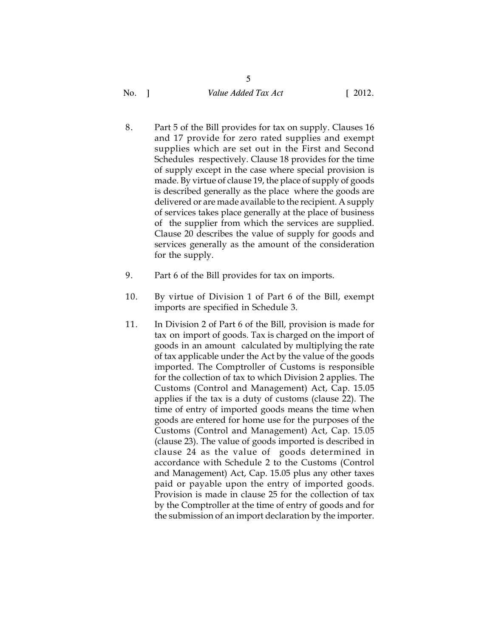5

- 8. Part 5 of the Bill provides for tax on supply. Clauses 16 and 17 provide for zero rated supplies and exempt supplies which are set out in the First and Second Schedules respectively. Clause 18 provides for the time of supply except in the case where special provision is made. By virtue of clause 19, the place of supply of goods is described generally as the place where the goods are delivered or are made available to the recipient. A supply of services takes place generally at the place of business of the supplier from which the services are supplied. Clause 20 describes the value of supply for goods and services generally as the amount of the consideration for the supply.
- 9. Part 6 of the Bill provides for tax on imports.
- 10. By virtue of Division 1 of Part 6 of the Bill, exempt imports are specified in Schedule 3.
- 11. In Division 2 of Part 6 of the Bill, provision is made for tax on import of goods. Tax is charged on the import of goods in an amount calculated by multiplying the rate of tax applicable under the Act by the value of the goods imported. The Comptroller of Customs is responsible for the collection of tax to which Division 2 applies. The Customs (Control and Management) Act, Cap. 15.05 applies if the tax is a duty of customs (clause 22). The time of entry of imported goods means the time when goods are entered for home use for the purposes of the Customs (Control and Management) Act, Cap. 15.05 (clause 23). The value of goods imported is described in clause 24 as the value of goods determined in accordance with Schedule 2 to the Customs (Control and Management) Act, Cap. 15.05 plus any other taxes paid or payable upon the entry of imported goods. Provision is made in clause 25 for the collection of tax by the Comptroller at the time of entry of goods and for the submission of an import declaration by the importer.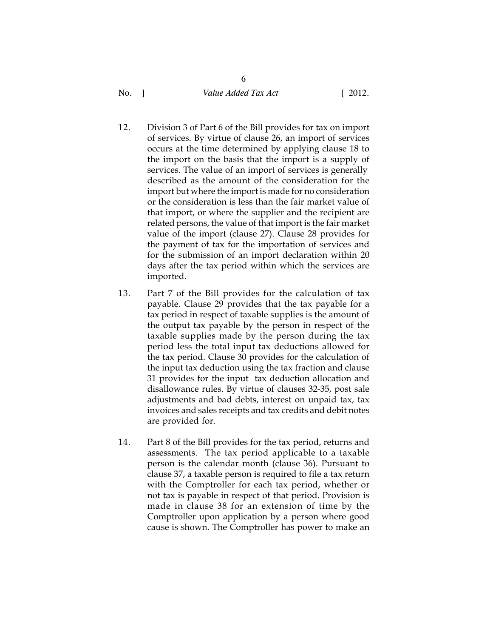6

- 12. Division 3 of Part 6 of the Bill provides for tax on import of services. By virtue of clause 26, an import of services occurs at the time determined by applying clause 18 to the import on the basis that the import is a supply of services. The value of an import of services is generally described as the amount of the consideration for the import but where the import is made for no consideration or the consideration is less than the fair market value of that import, or where the supplier and the recipient are related persons, the value of that import is the fair market value of the import (clause 27). Clause 28 provides for the payment of tax for the importation of services and for the submission of an import declaration within 20 days after the tax period within which the services are imported.
- 13. Part 7 of the Bill provides for the calculation of tax payable. Clause 29 provides that the tax payable for a tax period in respect of taxable supplies is the amount of the output tax payable by the person in respect of the taxable supplies made by the person during the tax period less the total input tax deductions allowed for the tax period. Clause 30 provides for the calculation of the input tax deduction using the tax fraction and clause 31 provides for the input tax deduction allocation and disallowance rules. By virtue of clauses 32-35, post sale adjustments and bad debts, interest on unpaid tax, tax invoices and sales receipts and tax credits and debit notes are provided for.
- 14. Part 8 of the Bill provides for the tax period, returns and assessments. The tax period applicable to a taxable person is the calendar month (clause 36). Pursuant to clause 37, a taxable person is required to file a tax return with the Comptroller for each tax period, whether or not tax is payable in respect of that period. Provision is made in clause 38 for an extension of time by the Comptroller upon application by a person where good cause is shown. The Comptroller has power to make an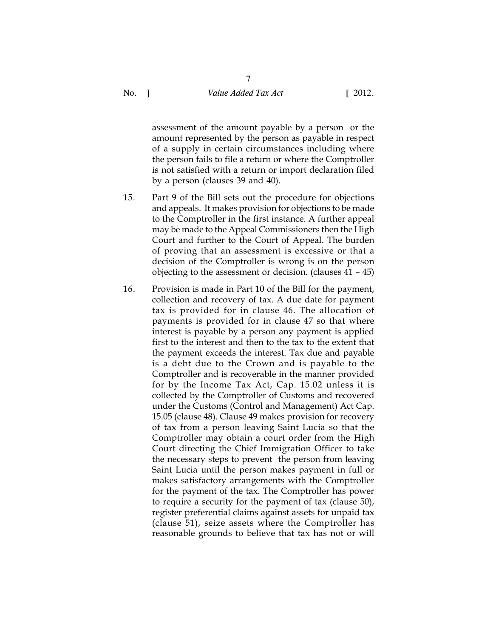7

assessment of the amount payable by a person or the amount represented by the person as payable in respect of a supply in certain circumstances including where the person fails to file a return or where the Comptroller is not satisfied with a return or import declaration filed by a person (clauses 39 and 40).

- 15. Part 9 of the Bill sets out the procedure for objections and appeals. It makes provision for objections to be made to the Comptroller in the first instance. A further appeal may be made to the Appeal Commissioners then the High Court and further to the Court of Appeal. The burden of proving that an assessment is excessive or that a decision of the Comptroller is wrong is on the person objecting to the assessment or decision. (clauses 41 – 45)
- 16. Provision is made in Part 10 of the Bill for the payment, collection and recovery of tax. A due date for payment tax is provided for in clause 46. The allocation of payments is provided for in clause 47 so that where interest is payable by a person any payment is applied first to the interest and then to the tax to the extent that the payment exceeds the interest. Tax due and payable is a debt due to the Crown and is payable to the Comptroller and is recoverable in the manner provided for by the Income Tax Act, Cap. 15.02 unless it is collected by the Comptroller of Customs and recovered under the Customs (Control and Management) Act Cap. 15.05 (clause 48). Clause 49 makes provision for recovery of tax from a person leaving Saint Lucia so that the Comptroller may obtain a court order from the High Court directing the Chief Immigration Officer to take the necessary steps to prevent the person from leaving Saint Lucia until the person makes payment in full or makes satisfactory arrangements with the Comptroller for the payment of the tax. The Comptroller has power to require a security for the payment of tax (clause 50), register preferential claims against assets for unpaid tax (clause 51), seize assets where the Comptroller has reasonable grounds to believe that tax has not or will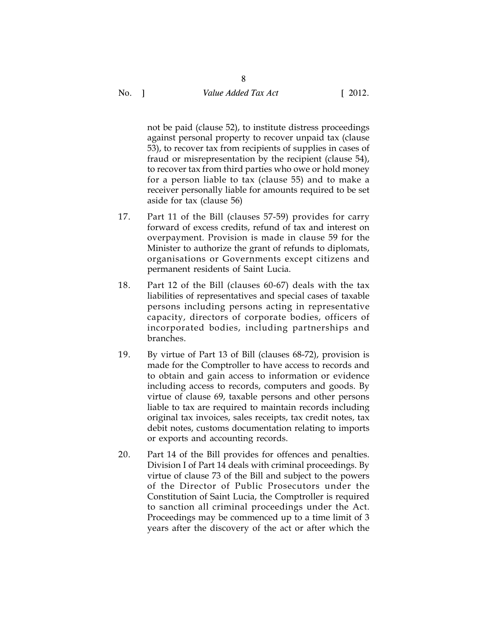8

not be paid (clause 52), to institute distress proceedings against personal property to recover unpaid tax (clause 53), to recover tax from recipients of supplies in cases of fraud or misrepresentation by the recipient (clause 54), to recover tax from third parties who owe or hold money for a person liable to tax (clause 55) and to make a receiver personally liable for amounts required to be set aside for tax (clause 56)

- 17. Part 11 of the Bill (clauses 57-59) provides for carry forward of excess credits, refund of tax and interest on overpayment. Provision is made in clause 59 for the Minister to authorize the grant of refunds to diplomats, organisations or Governments except citizens and permanent residents of Saint Lucia.
- 18. Part 12 of the Bill (clauses 60-67) deals with the tax liabilities of representatives and special cases of taxable persons including persons acting in representative capacity, directors of corporate bodies, officers of incorporated bodies, including partnerships and branches.
- 19. By virtue of Part 13 of Bill (clauses 68-72), provision is made for the Comptroller to have access to records and to obtain and gain access to information or evidence including access to records, computers and goods. By virtue of clause 69, taxable persons and other persons liable to tax are required to maintain records including original tax invoices, sales receipts, tax credit notes, tax debit notes, customs documentation relating to imports or exports and accounting records.
- 20. Part 14 of the Bill provides for offences and penalties. Division I of Part 14 deals with criminal proceedings. By virtue of clause 73 of the Bill and subject to the powers of the Director of Public Prosecutors under the Constitution of Saint Lucia, the Comptroller is required to sanction all criminal proceedings under the Act. Proceedings may be commenced up to a time limit of 3 years after the discovery of the act or after which the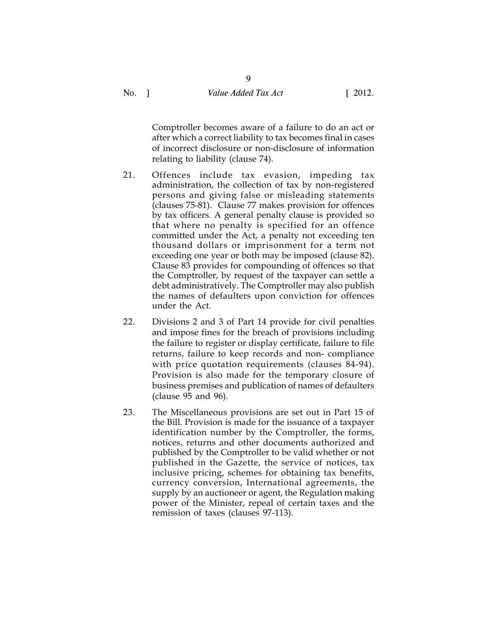Comptroller becomes aware of a failure to do an act or after which a correct liability to tax becomes final in cases of incorrect disclosure or non-disclosure of information relating to liability (clause 74).

- 21. Offences include tax evasion, impeding tax administration, the collection of tax by non-registered persons and giving false or misleading statements (clauses 75-81). Clause 77 makes provision for offences by tax officers. A general penalty clause is provided so that where no penalty is specified for an offence committed under the Act, a penalty not exceeding ten thousand dollars or imprisonment for a term not exceeding one year or both may be imposed (clause 82). Clause 83 provides for compounding of offences so that the Comptroller, by request of the taxpayer can settle a debt administratively. The Comptroller may also publish the names of defaulters upon conviction for offences under the Act.
- 22. Divisions 2 and 3 of Part 14 provide for civil penalties and impose fines for the breach of provisions including the failure to register or display certificate, failure to file returns, failure to keep records and non- compliance with price quotation requirements (clauses 84-94). Provision is also made for the temporary closure of business premises and publication of names of defaulters (clause 95 and 96).
- 23. The Miscellaneous provisions are set out in Part 15 of the Bill. Provision is made for the issuance of a taxpayer identification number by the Comptroller, the forms, notices, returns and other documents authorized and published by the Comptroller to be valid whether or not published in the Gazette, the service of notices, tax inclusive pricing, schemes for obtaining tax benefits, currency conversion, International agreements, the supply by an auctioneer or agent, the Regulation making power of the Minister, repeal of certain taxes and the remission of taxes (clauses 97-113).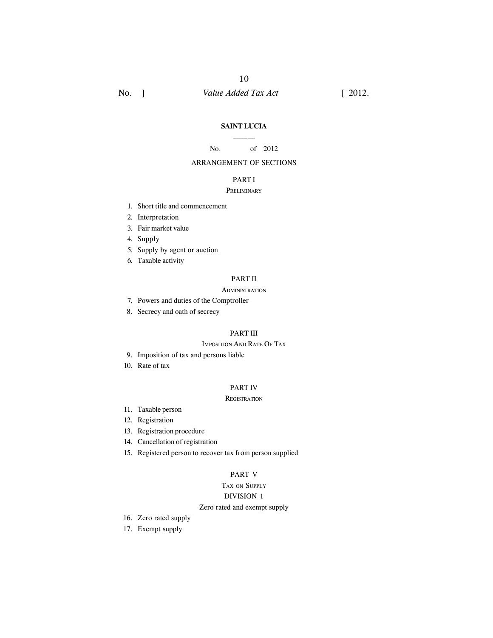#### **SAINT LUCIA**  $\mathcal{L}=\mathcal{L}$

10

#### No. of 2012

### ARRANGEMENT OF SECTIONS

### PART I

### PRELIMINARY

- 1. Short title and commencement
- 2. Interpretation
- 3. Fair market value
- 4. Supply
- 5. Supply by agent or auction
- 6. Taxable activity

### PART II

#### **ADMINISTRATION**

- 7. Powers and duties of the Comptroller
- 8. Secrecy and oath of secrecy

### PART III

#### IMPOSITION AND RATE OF TAX

- 9. Imposition of tax and persons liable
- 10. Rate of tax

#### PART IV

#### **REGISTRATION**

- 11. Taxable person
- 12. Registration
- 13. Registration procedure
- 14. Cancellation of registration
- 15. Registered person to recover tax from person supplied

### PART V

# TAX ON SUPPLY

# DIVISION 1

#### Zero rated and exempt supply

- 16. Zero rated supply
- 17. Exempt supply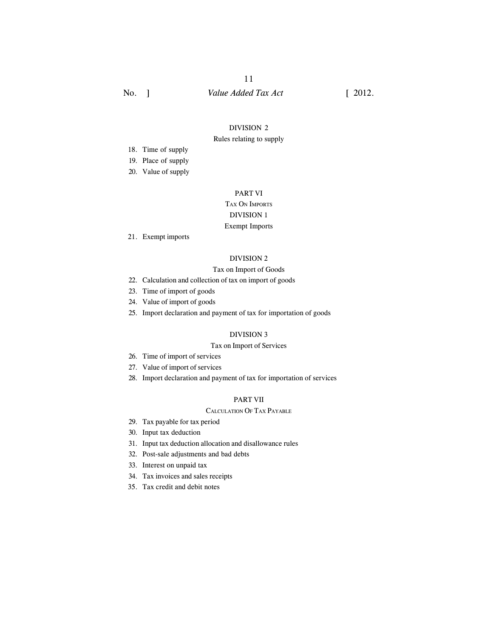#### DIVISION 2

#### Rules relating to supply

- 18. Time of supply
- 19. Place of supply
- 20. Value of supply

### PART VI

# TAX ON IMPORTS

# DIVISION 1

# Exempt Imports

21. Exempt imports

### DIVISION 2

#### Tax on Import of Goods

- 22. Calculation and collection of tax on import of goods
- 23. Time of import of goods
- 24. Value of import of goods
- 25. Import declaration and payment of tax for importation of goods

### DIVISION 3

### Tax on Import of Services

- 26. Time of import of services
- 27. Value of import of services
- 28. Import declaration and payment of tax for importation of services

### PART VII

#### CALCULATION OF TAX PAYABLE

- 29. Tax payable for tax period
- 30. Input tax deduction
- 31. Input tax deduction allocation and disallowance rules
- 32. Post-sale adjustments and bad debts
- 33. Interest on unpaid tax
- 34. Tax invoices and sales receipts
- 35. Tax credit and debit notes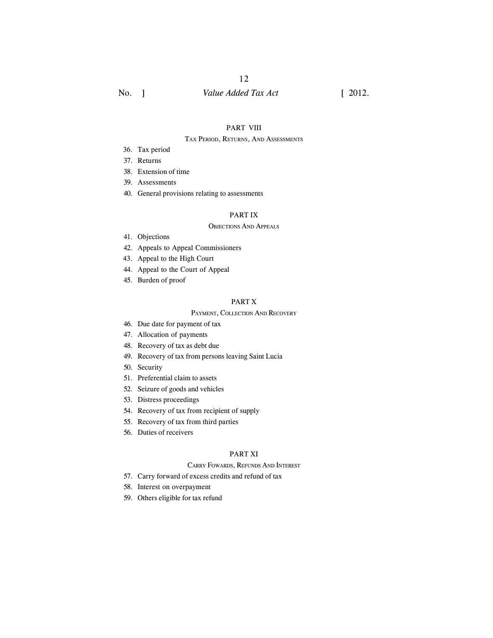# 12

# No. ] *Value Added Tax Act* [ 2012.

#### PART VIII

#### TAX PERIOD, RETURNS, AND ASSESSMENTS

- 36. Tax period
- 37. Returns
- 38. Extension of time
- 39. Assessments
- 40. General provisions relating to assessments

### PART IX

### OBJECTIONS AND APPEALS

- 41. Objections
- 42. Appeals to Appeal Commissioners
- 43. Appeal to the High Court
- 44. Appeal to the Court of Appeal
- 45. Burden of proof

#### PART X

#### PAYMENT, COLLECTION AND RECOVERY

- 46. Due date for payment of tax
- 47. Allocation of payments
- 48. Recovery of tax as debt due
- 49. Recovery of tax from persons leaving Saint Lucia
- 50. Security
- 51. Preferential claim to assets
- 52. Seizure of goods and vehicles
- 53. Distress proceedings
- 54. Recovery of tax from recipient of supply
- 55. Recovery of tax from third parties
- 56. Duties of receivers

### PART XI

#### CARRY FOWARDS, REFUNDS AND INTEREST

- 57. Carry forward of excess credits and refund of tax
- 58. Interest on overpayment
- 59. Others eligible for tax refund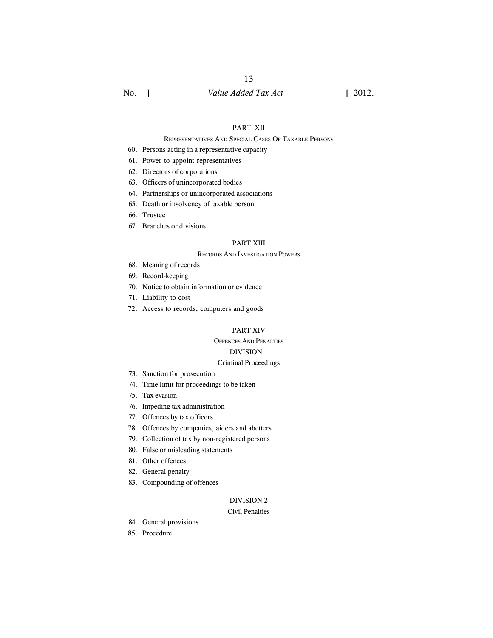# 13

# No. ] *Value Added Tax Act* [ 2012.

### PART XII

#### REPRESENTATIVES AND SPECIAL CASES OF TAXABLE PERSONS

- 60. Persons acting in a representative capacity
- 61. Power to appoint representatives
- 62. Directors of corporations
- 63. Officers of unincorporated bodies
- 64. Partnerships or unincorporated associations
- 65. Death or insolvency of taxable person
- 66. Trustee
- 67. Branches or divisions

### PART XIII

#### RECORDS AND INVESTIGATION POWERS

- 68. Meaning of records
- 69. Record-keeping
- 70. Notice to obtain information or evidence
- 71. Liability to cost
- 72. Access to records, computers and goods

#### PART XIV

### OFFENCES AND PENALTIES

### DIVISION 1

#### Criminal Proceedings

- 73. Sanction for prosecution
- 74. Time limit for proceedings to be taken
- 75. Tax evasion
- 76. Impeding tax administration
- 77. Offences by tax officers
- 78. Offences by companies, aiders and abetters
- 79. Collection of tax by non-registered persons
- 80. False or misleading statements
- 81. Other offences
- 82. General penalty
- 83. Compounding of offences

### DIVISION 2

### Civil Penalties

- 84. General provisions
- 85. Procedure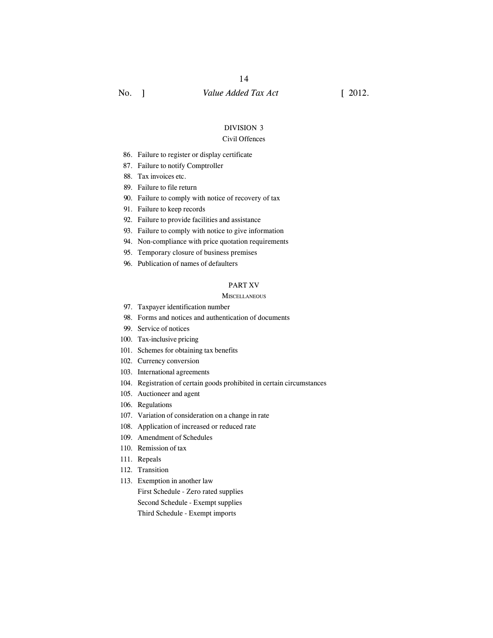#### DIVISION 3

#### Civil Offences

- 86. Failure to register or display certificate
- 87. Failure to notify Comptroller
- 88. Tax invoices etc.
- 89. Failure to file return
- 90. Failure to comply with notice of recovery of tax
- 91. Failure to keep records
- 92. Failure to provide facilities and assistance
- 93. Failure to comply with notice to give information
- 94. Non-compliance with price quotation requirements
- 95. Temporary closure of business premises
- 96. Publication of names of defaulters

#### PART XV

#### **MISCELLANEOUS**

- 97. Taxpayer identification number
- 98. Forms and notices and authentication of documents
- 99. Service of notices
- 100. Tax-inclusive pricing
- 101. Schemes for obtaining tax benefits
- 102. Currency conversion
- 103. International agreements
- 104. Registration of certain goods prohibited in certain circumstances
- 105. Auctioneer and agent
- 106. Regulations
- 107. Variation of consideration on a change in rate
- 108. Application of increased or reduced rate
- 109. Amendment of Schedules
- 110. Remission of tax
- 111. Repeals
- 112. Transition
- 113. Exemption in another law

First Schedule - Zero rated supplies Second Schedule - Exempt supplies Third Schedule - Exempt imports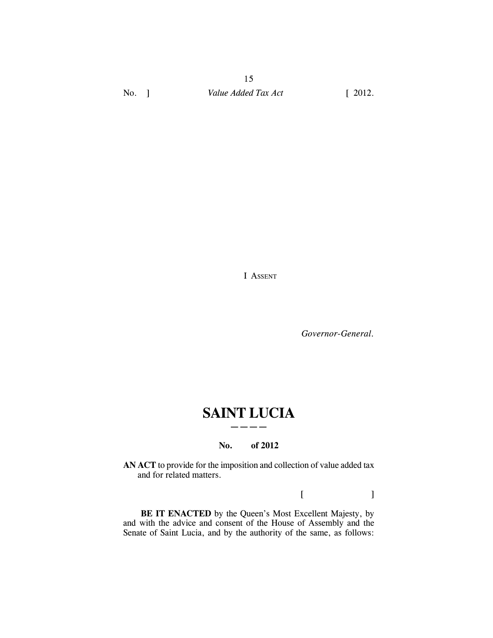I ASSENT

*Governor-General.*

# **SAINT LUCIA ————**

#### **No. of 2012**

**AN ACT** to provide for the imposition and collection of value added tax and for related matters.

 $[$   $]$ 

BE IT ENACTED by the Queen's Most Excellent Majesty, by and with the advice and consent of the House of Assembly and the Senate of Saint Lucia, and by the authority of the same, as follows: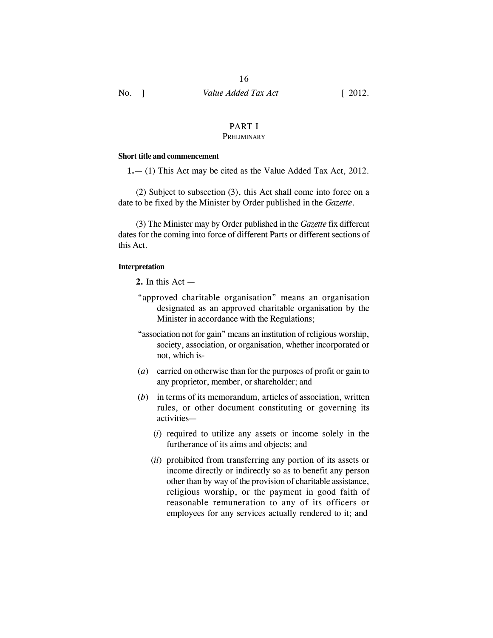# PART I

16

# **PRELIMINARY**

### **Short title and commencement**

**1.**— (1) This Act may be cited as the Value Added Tax Act, 2012.

(2) Subject to subsection (3), this Act shall come into force on a date to be fixed by the Minister by Order published in the *Gazette*.

(3) The Minister may by Order published in the *Gazette* fix different dates for the coming into force of different Parts or different sections of this Act.

### **Interpretation**

**2.** In this Act —

- "approved charitable organisation" means an organisation designated as an approved charitable organisation by the Minister in accordance with the Regulations;
- "association not for gain" means an institution of religious worship, society, association, or organisation, whether incorporated or not, which is-
- (*a*) carried on otherwise than for the purposes of profit or gain to any proprietor, member, or shareholder; and
- (*b*) in terms of its memorandum, articles of association, written rules, or other document constituting or governing its activities—
	- (*i*) required to utilize any assets or income solely in the furtherance of its aims and objects; and
	- (*ii*) prohibited from transferring any portion of its assets or income directly or indirectly so as to benefit any person other than by way of the provision of charitable assistance, religious worship, or the payment in good faith of reasonable remuneration to any of its officers or employees for any services actually rendered to it; and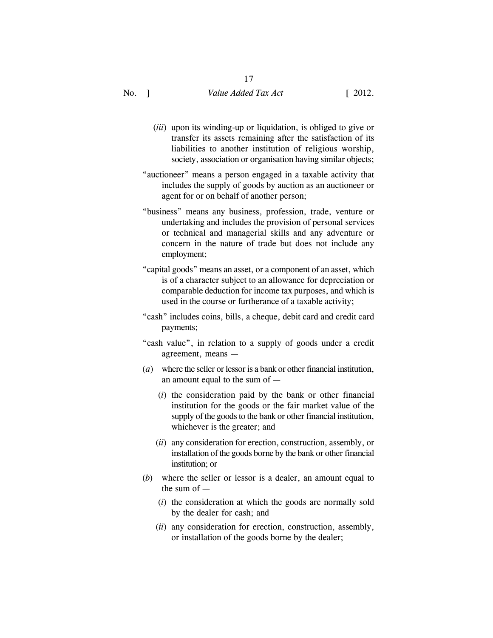- (*iii*) upon its winding-up or liquidation, is obliged to give or transfer its assets remaining after the satisfaction of its liabilities to another institution of religious worship, society, association or organisation having similar objects;
- "auctioneer" means a person engaged in a taxable activity that includes the supply of goods by auction as an auctioneer or agent for or on behalf of another person;
- "business" means any business, profession, trade, venture or undertaking and includes the provision of personal services or technical and managerial skills and any adventure or concern in the nature of trade but does not include any employment;
- "capital goods" means an asset, or a component of an asset, which is of a character subject to an allowance for depreciation or comparable deduction for income tax purposes, and which is used in the course or furtherance of a taxable activity;
- "cash" includes coins, bills, a cheque, debit card and credit card payments;
- "cash value", in relation to a supply of goods under a credit agreement, means —
- (*a*) where the seller or lessor is a bank or other financial institution, an amount equal to the sum of —
	- (*i*) the consideration paid by the bank or other financial institution for the goods or the fair market value of the supply of the goods to the bank or other financial institution, whichever is the greater; and
	- (*ii*) any consideration for erection, construction, assembly, or installation of the goods borne by the bank or other financial institution; or
- (*b*) where the seller or lessor is a dealer, an amount equal to the sum of —
	- (*i*) the consideration at which the goods are normally sold by the dealer for cash; and
	- (*ii*) any consideration for erection, construction, assembly, or installation of the goods borne by the dealer;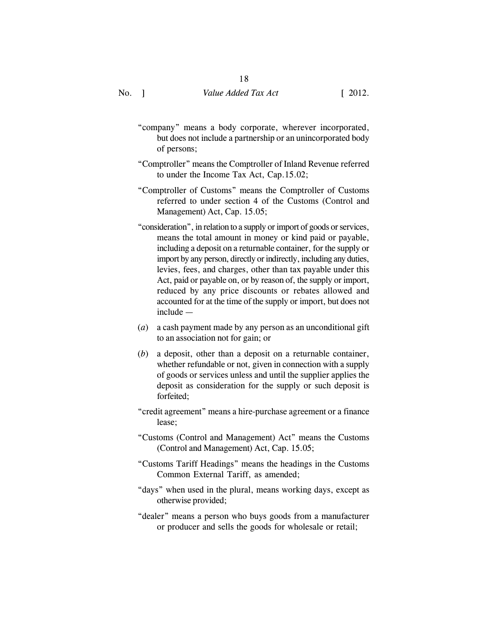- "company" means a body corporate, wherever incorporated, but does not include a partnership or an unincorporated body of persons;
- "Comptroller" means the Comptroller of Inland Revenue referred to under the Income Tax Act, Cap.15.02;
- "Comptroller of Customs" means the Comptroller of Customs referred to under section 4 of the Customs (Control and Management) Act, Cap. 15.05;
- "consideration", in relation to a supply or import of goods or services, means the total amount in money or kind paid or payable, including a deposit on a returnable container, for the supply or import by any person, directly or indirectly, including any duties, levies, fees, and charges, other than tax payable under this Act, paid or payable on, or by reason of, the supply or import, reduced by any price discounts or rebates allowed and accounted for at the time of the supply or import, but does not include —
- (*a*) a cash payment made by any person as an unconditional gift to an association not for gain; or
- (*b*) a deposit, other than a deposit on a returnable container, whether refundable or not, given in connection with a supply of goods or services unless and until the supplier applies the deposit as consideration for the supply or such deposit is forfeited;
- "credit agreement" means a hire-purchase agreement or a finance lease;
- "Customs (Control and Management) Act" means the Customs (Control and Management) Act, Cap. 15.05;
- "Customs Tariff Headings" means the headings in the Customs Common External Tariff, as amended;
- "days" when used in the plural, means working days, except as otherwise provided;
- "dealer" means a person who buys goods from a manufacturer or producer and sells the goods for wholesale or retail;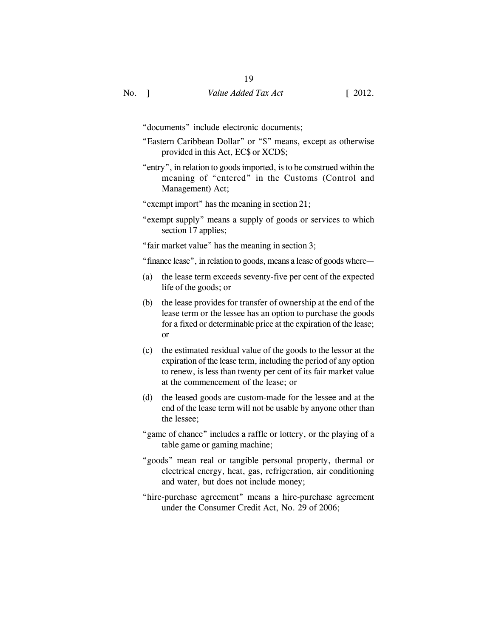"documents" include electronic documents;

- "Eastern Caribbean Dollar" or "\$" means, except as otherwise provided in this Act, EC\$ or XCD\$;
- "entry", in relation to goods imported, is to be construed within the meaning of "entered" in the Customs (Control and Management) Act;
- "exempt import" has the meaning in section 21;
- "exempt supply" means a supply of goods or services to which section 17 applies;

"fair market value" has the meaning in section 3;

"finance lease", in relation to goods, means a lease of goods where—

- (a) the lease term exceeds seventy-five per cent of the expected life of the goods; or
- (b) the lease provides for transfer of ownership at the end of the lease term or the lessee has an option to purchase the goods for a fixed or determinable price at the expiration of the lease; or
- (c) the estimated residual value of the goods to the lessor at the expiration of the lease term, including the period of any option to renew, is less than twenty per cent of its fair market value at the commencement of the lease; or
- (d) the leased goods are custom-made for the lessee and at the end of the lease term will not be usable by anyone other than the lessee;
- "game of chance" includes a raffle or lottery, or the playing of a table game or gaming machine;
- "goods" mean real or tangible personal property, thermal or electrical energy, heat, gas, refrigeration, air conditioning and water, but does not include money;
- "hire-purchase agreement" means a hire-purchase agreement under the Consumer Credit Act, No. 29 of 2006;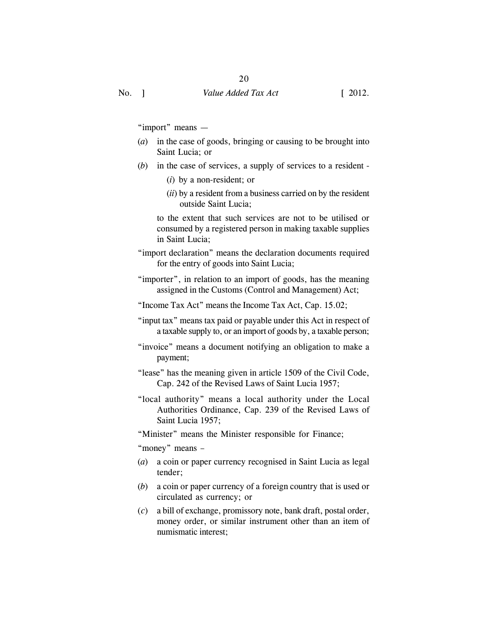"import" means —

- (*a*) in the case of goods, bringing or causing to be brought into Saint Lucia; or
- (*b*) in the case of services, a supply of services to a resident
	- (*i*) by a non-resident; or
	- (*ii*) by a resident from a business carried on by the resident outside Saint Lucia;

to the extent that such services are not to be utilised or consumed by a registered person in making taxable supplies in Saint Lucia;

"import declaration" means the declaration documents required for the entry of goods into Saint Lucia;

"importer", in relation to an import of goods, has the meaning assigned in the Customs (Control and Management) Act;

- "Income Tax Act" means the Income Tax Act, Cap. 15.02;
- "input tax" means tax paid or payable under this Act in respect of a taxable supply to, or an import of goods by, a taxable person;
- "invoice" means a document notifying an obligation to make a payment;
- "lease" has the meaning given in article 1509 of the Civil Code, Cap. 242 of the Revised Laws of Saint Lucia 1957;
- "local authority" means a local authority under the Local Authorities Ordinance, Cap. 239 of the Revised Laws of Saint Lucia 1957;

"Minister" means the Minister responsible for Finance;

"money" means –

- (*a*) a coin or paper currency recognised in Saint Lucia as legal tender;
- (*b*) a coin or paper currency of a foreign country that is used or circulated as currency; or
- (*c*) a bill of exchange, promissory note, bank draft, postal order, money order, or similar instrument other than an item of numismatic interest;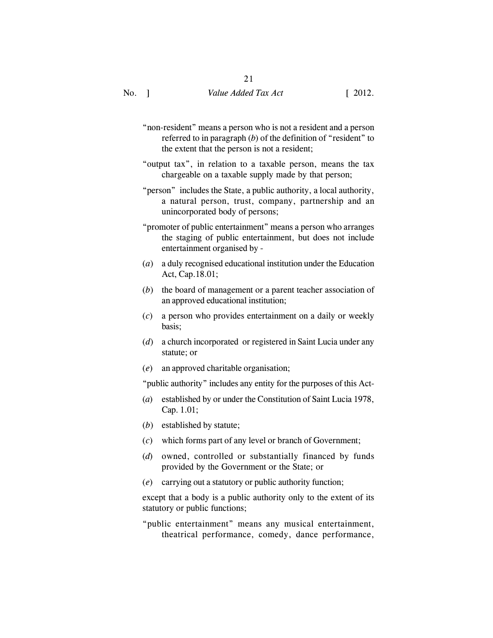- "non-resident" means a person who is not a resident and a person referred to in paragraph (*b*) of the definition of "resident" to the extent that the person is not a resident;
- "output tax", in relation to a taxable person, means the tax chargeable on a taxable supply made by that person;
- "person" includes the State, a public authority, a local authority, a natural person, trust, company, partnership and an unincorporated body of persons;
- "promoter of public entertainment" means a person who arranges the staging of public entertainment, but does not include entertainment organised by -
- (*a*) a duly recognised educational institution under the Education Act, Cap.18.01;
- (*b*) the board of management or a parent teacher association of an approved educational institution;
- (*c*) a person who provides entertainment on a daily or weekly basis;
- (*d*) a church incorporated or registered in Saint Lucia under any statute; or
- (*e*) an approved charitable organisation;

"public authority" includes any entity for the purposes of this Act-

- (*a*) established by or under the Constitution of Saint Lucia 1978, Cap. 1.01;
- (*b*) established by statute;
- (*c*) which forms part of any level or branch of Government;
- (*d*) owned, controlled or substantially financed by funds provided by the Government or the State; or
- (*e*) carrying out a statutory or public authority function;

except that a body is a public authority only to the extent of its statutory or public functions;

"public entertainment" means any musical entertainment, theatrical performance, comedy, dance performance,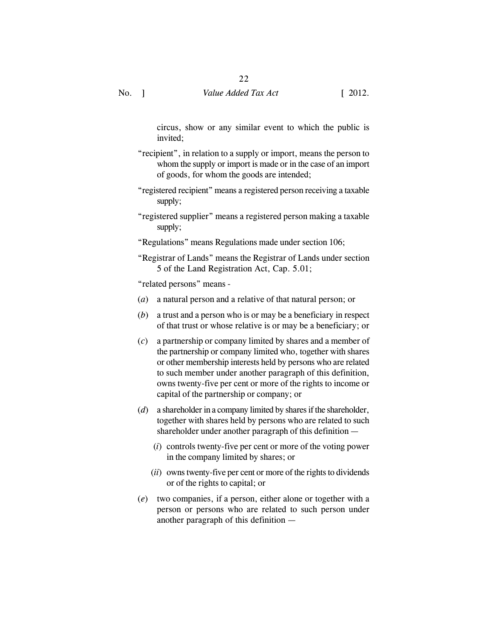circus, show or any similar event to which the public is invited;

- "recipient", in relation to a supply or import, means the person to whom the supply or import is made or in the case of an import of goods, for whom the goods are intended;
- "registered recipient" means a registered person receiving a taxable supply;
- "registered supplier" means a registered person making a taxable supply;
- "Regulations" means Regulations made under section 106;
- "Registrar of Lands" means the Registrar of Lands under section 5 of the Land Registration Act, Cap. 5.01;

"related persons" means -

- (*a*) a natural person and a relative of that natural person; or
- (*b*) a trust and a person who is or may be a beneficiary in respect of that trust or whose relative is or may be a beneficiary; or
- (*c*) a partnership or company limited by shares and a member of the partnership or company limited who, together with shares or other membership interests held by persons who are related to such member under another paragraph of this definition, owns twenty-five per cent or more of the rights to income or capital of the partnership or company; or
- (*d*) a shareholder in a company limited by shares if the shareholder, together with shares held by persons who are related to such shareholder under another paragraph of this definition —
	- (*i*) controls twenty-five per cent or more of the voting power in the company limited by shares; or
	- (*ii*) owns twenty-five per cent or more of the rights to dividends or of the rights to capital; or
- (*e*) two companies, if a person, either alone or together with a person or persons who are related to such person under another paragraph of this definition —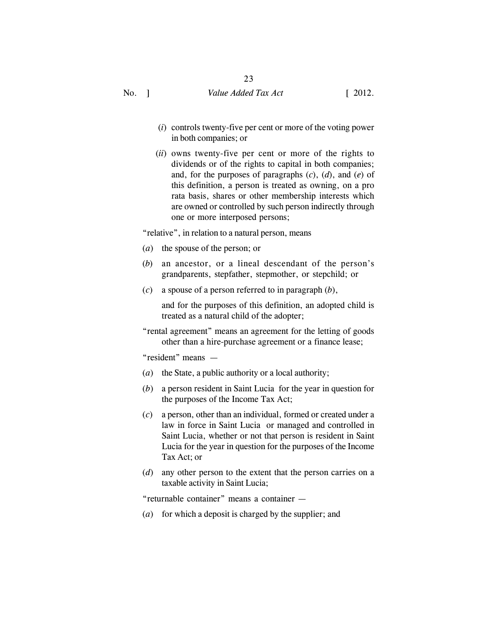- (*i*) controls twenty-five per cent or more of the voting power in both companies; or
- (*ii*) owns twenty-five per cent or more of the rights to dividends or of the rights to capital in both companies; and, for the purposes of paragraphs (*c*), (*d*), and (*e*) of this definition, a person is treated as owning, on a pro rata basis, shares or other membership interests which are owned or controlled by such person indirectly through one or more interposed persons;

"relative", in relation to a natural person, means

- (*a*) the spouse of the person; or
- (*b*) an ancestor, or a lineal descendant of the person's grandparents, stepfather, stepmother, or stepchild; or
- (*c*) a spouse of a person referred to in paragraph (*b*),

and for the purposes of this definition, an adopted child is treated as a natural child of the adopter;

"rental agreement" means an agreement for the letting of goods other than a hire-purchase agreement or a finance lease;

"resident" means —

- (*a*) the State, a public authority or a local authority;
- (*b*) a person resident in Saint Lucia for the year in question for the purposes of the Income Tax Act;
- (*c*) a person, other than an individual, formed or created under a law in force in Saint Lucia or managed and controlled in Saint Lucia, whether or not that person is resident in Saint Lucia for the year in question for the purposes of the Income Tax Act; or
- (*d*) any other person to the extent that the person carries on a taxable activity in Saint Lucia;

"returnable container" means a container —

(*a*) for which a deposit is charged by the supplier; and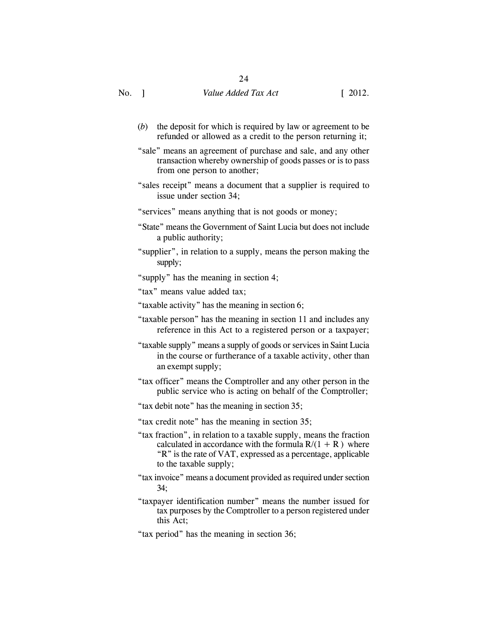- (*b*) the deposit for which is required by law or agreement to be refunded or allowed as a credit to the person returning it;
- "sale" means an agreement of purchase and sale, and any other transaction whereby ownership of goods passes or is to pass from one person to another;
- "sales receipt" means a document that a supplier is required to issue under section 34;
- "services" means anything that is not goods or money;
- "State" means the Government of Saint Lucia but does not include a public authority;
- "supplier", in relation to a supply, means the person making the supply;
- "supply" has the meaning in section 4;
- "tax" means value added tax;
- "taxable activity" has the meaning in section 6;
- "taxable person" has the meaning in section 11 and includes any reference in this Act to a registered person or a taxpayer;
- "taxable supply" means a supply of goods or services in Saint Lucia in the course or furtherance of a taxable activity, other than an exempt supply;
- "tax officer" means the Comptroller and any other person in the public service who is acting on behalf of the Comptroller;
- "tax debit note" has the meaning in section 35;
- "tax credit note" has the meaning in section 35;
- "tax fraction", in relation to a taxable supply, means the fraction calculated in accordance with the formula  $R/(1 + R)$  where "R" is the rate of VAT, expressed as a percentage, applicable to the taxable supply;
- "tax invoice" means a document provided as required under section 34;
- "taxpayer identification number" means the number issued for tax purposes by the Comptroller to a person registered under this Act;
- "tax period" has the meaning in section 36;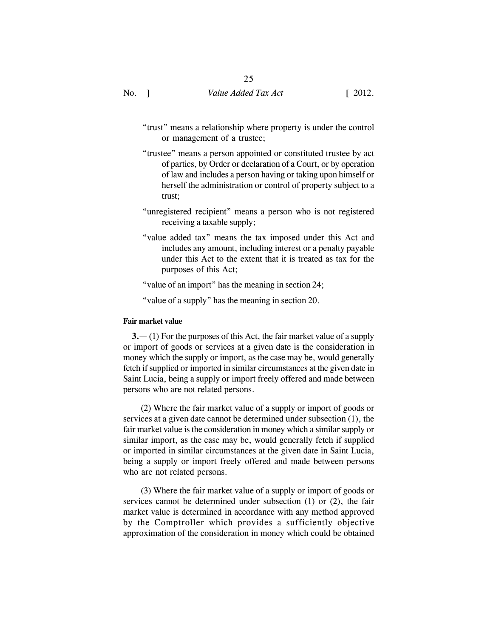- "trust" means a relationship where property is under the control or management of a trustee;
- "trustee" means a person appointed or constituted trustee by act of parties, by Order or declaration of a Court, or by operation of law and includes a person having or taking upon himself or herself the administration or control of property subject to a trust;
- "unregistered recipient" means a person who is not registered receiving a taxable supply;
- "value added tax" means the tax imposed under this Act and includes any amount, including interest or a penalty payable under this Act to the extent that it is treated as tax for the purposes of this Act;

"value of an import" has the meaning in section 24;

"value of a supply" has the meaning in section 20.

### **Fair market value**

**3.**— (1) For the purposes of this Act, the fair market value of a supply or import of goods or services at a given date is the consideration in money which the supply or import, as the case may be, would generally fetch if supplied or imported in similar circumstances at the given date in Saint Lucia, being a supply or import freely offered and made between persons who are not related persons.

(2) Where the fair market value of a supply or import of goods or services at a given date cannot be determined under subsection (1), the fair market value is the consideration in money which a similar supply or similar import, as the case may be, would generally fetch if supplied or imported in similar circumstances at the given date in Saint Lucia, being a supply or import freely offered and made between persons who are not related persons.

(3) Where the fair market value of a supply or import of goods or services cannot be determined under subsection (1) or (2), the fair market value is determined in accordance with any method approved by the Comptroller which provides a sufficiently objective approximation of the consideration in money which could be obtained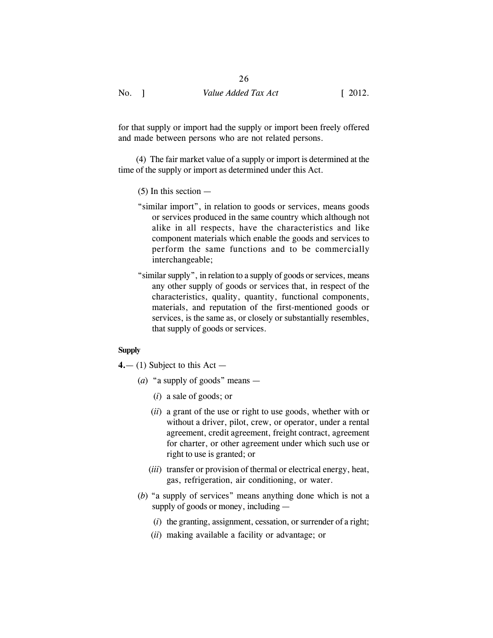26

for that supply or import had the supply or import been freely offered and made between persons who are not related persons.

(4) The fair market value of a supply or import is determined at the time of the supply or import as determined under this Act.

- (5) In this section —
- "similar import", in relation to goods or services, means goods or services produced in the same country which although not alike in all respects, have the characteristics and like component materials which enable the goods and services to perform the same functions and to be commercially interchangeable;
- "similar supply", in relation to a supply of goods or services, means any other supply of goods or services that, in respect of the characteristics, quality, quantity, functional components, materials, and reputation of the first-mentioned goods or services, is the same as, or closely or substantially resembles, that supply of goods or services.

### **Supply**

**4.**— (1) Subject to this Act —

- (*a*) "a supply of goods" means
	- (*i*) a sale of goods; or
	- (*ii*) a grant of the use or right to use goods, whether with or without a driver, pilot, crew, or operator, under a rental agreement, credit agreement, freight contract, agreement for charter, or other agreement under which such use or right to use is granted; or
	- (*iii*) transfer or provision of thermal or electrical energy, heat, gas, refrigeration, air conditioning, or water.
- (*b*) "a supply of services" means anything done which is not a supply of goods or money, including —
	- (*i*) the granting, assignment, cessation, or surrender of a right;
	- (*ii*) making available a facility or advantage; or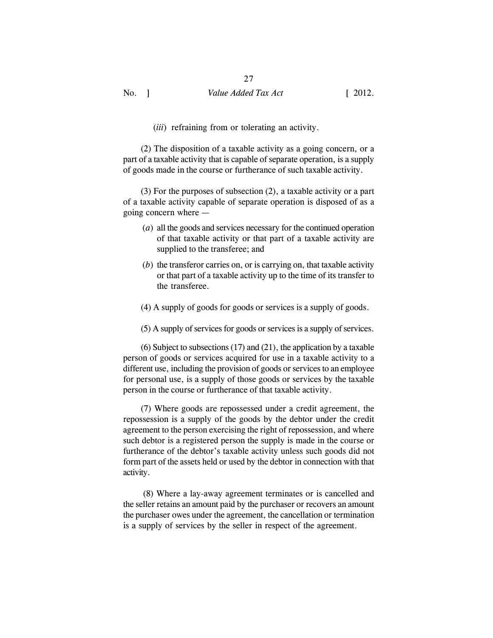(*iii*) refraining from or tolerating an activity.

(2) The disposition of a taxable activity as a going concern, or a part of a taxable activity that is capable of separate operation, is a supply of goods made in the course or furtherance of such taxable activity.

(3) For the purposes of subsection (2), a taxable activity or a part of a taxable activity capable of separate operation is disposed of as a going concern where —

- (*a*) all the goods and services necessary for the continued operation of that taxable activity or that part of a taxable activity are supplied to the transferee; and
- (*b*) the transferor carries on, or is carrying on, that taxable activity or that part of a taxable activity up to the time of its transfer to the transferee.
- (4) A supply of goods for goods or services is a supply of goods.
- (5) A supply of services for goods or services is a supply of services.

(6) Subject to subsections (17) and (21), the application by a taxable person of goods or services acquired for use in a taxable activity to a different use, including the provision of goods or services to an employee for personal use, is a supply of those goods or services by the taxable person in the course or furtherance of that taxable activity.

(7) Where goods are repossessed under a credit agreement, the repossession is a supply of the goods by the debtor under the credit agreement to the person exercising the right of repossession, and where such debtor is a registered person the supply is made in the course or furtherance of the debtor's taxable activity unless such goods did not form part of the assets held or used by the debtor in connection with that activity.

 (8) Where a lay-away agreement terminates or is cancelled and the seller retains an amount paid by the purchaser or recovers an amount the purchaser owes under the agreement, the cancellation or termination is a supply of services by the seller in respect of the agreement.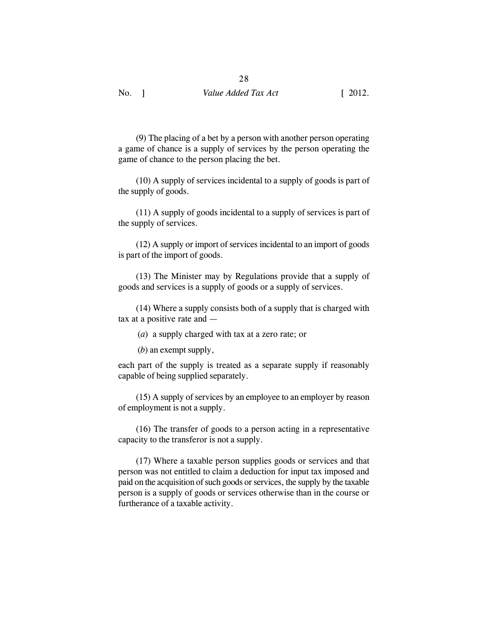(9) The placing of a bet by a person with another person operating a game of chance is a supply of services by the person operating the game of chance to the person placing the bet.

(10) A supply of services incidental to a supply of goods is part of the supply of goods.

(11) A supply of goods incidental to a supply of services is part of the supply of services.

(12) A supply or import of services incidental to an import of goods is part of the import of goods.

(13) The Minister may by Regulations provide that a supply of goods and services is a supply of goods or a supply of services.

(14) Where a supply consists both of a supply that is charged with tax at a positive rate and —

(*a*) a supply charged with tax at a zero rate; or

(*b*) an exempt supply,

each part of the supply is treated as a separate supply if reasonably capable of being supplied separately.

(15) A supply of services by an employee to an employer by reason of employment is not a supply.

(16) The transfer of goods to a person acting in a representative capacity to the transferor is not a supply.

(17) Where a taxable person supplies goods or services and that person was not entitled to claim a deduction for input tax imposed and paid on the acquisition of such goods or services, the supply by the taxable person is a supply of goods or services otherwise than in the course or furtherance of a taxable activity.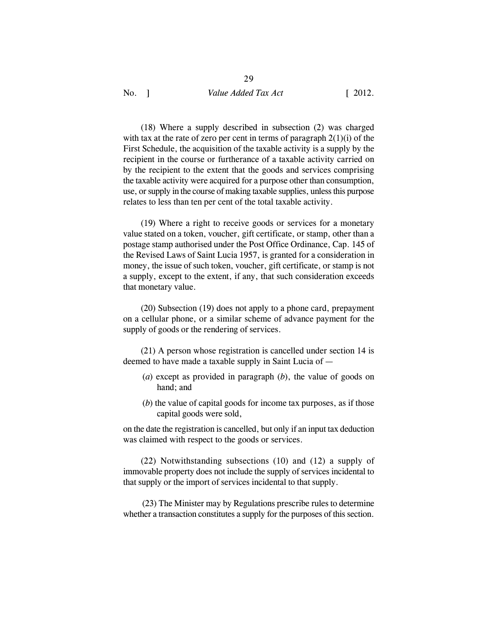(18) Where a supply described in subsection (2) was charged with tax at the rate of zero per cent in terms of paragraph 2(1)(i) of the First Schedule, the acquisition of the taxable activity is a supply by the recipient in the course or furtherance of a taxable activity carried on by the recipient to the extent that the goods and services comprising the taxable activity were acquired for a purpose other than consumption, use, or supply in the course of making taxable supplies, unless this purpose relates to less than ten per cent of the total taxable activity.

(19) Where a right to receive goods or services for a monetary value stated on a token, voucher, gift certificate, or stamp, other than a postage stamp authorised under the Post Office Ordinance, Cap. 145 of the Revised Laws of Saint Lucia 1957, is granted for a consideration in money, the issue of such token, voucher, gift certificate, or stamp is not a supply, except to the extent, if any, that such consideration exceeds that monetary value.

(20) Subsection (19) does not apply to a phone card, prepayment on a cellular phone, or a similar scheme of advance payment for the supply of goods or the rendering of services.

(21) A person whose registration is cancelled under section 14 is deemed to have made a taxable supply in Saint Lucia of —

- (*a*) except as provided in paragraph (*b*), the value of goods on hand; and
- (*b*) the value of capital goods for income tax purposes, as if those capital goods were sold,

on the date the registration is cancelled, but only if an input tax deduction was claimed with respect to the goods or services.

(22) Notwithstanding subsections (10) and (12) a supply of immovable property does not include the supply of services incidental to that supply or the import of services incidental to that supply.

 (23) The Minister may by Regulations prescribe rules to determine whether a transaction constitutes a supply for the purposes of this section.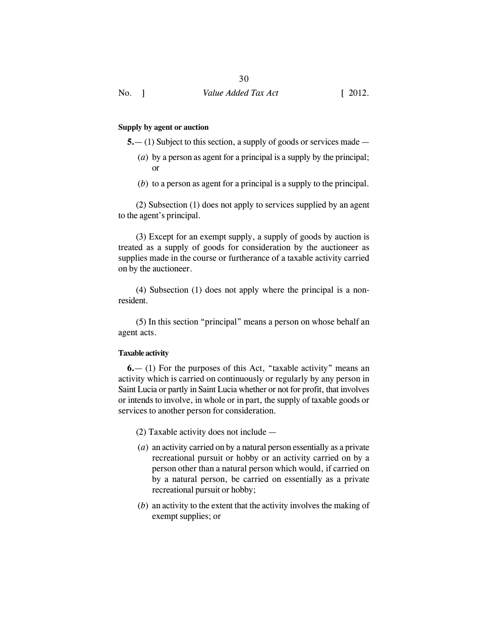#### **Supply by agent or auction**

**5.**— (1) Subject to this section, a supply of goods or services made —

- (*a*) by a person as agent for a principal is a supply by the principal; or
- (*b*) to a person as agent for a principal is a supply to the principal.

(2) Subsection (1) does not apply to services supplied by an agent to the agent's principal.

(3) Except for an exempt supply, a supply of goods by auction is treated as a supply of goods for consideration by the auctioneer as supplies made in the course or furtherance of a taxable activity carried on by the auctioneer.

(4) Subsection (1) does not apply where the principal is a nonresident.

(5) In this section "principal" means a person on whose behalf an agent acts.

### **Taxable activity**

**6.**— (1) For the purposes of this Act, "taxable activity" means an activity which is carried on continuously or regularly by any person in Saint Lucia or partly in Saint Lucia whether or not for profit, that involves or intends to involve, in whole or in part, the supply of taxable goods or services to another person for consideration.

- (2) Taxable activity does not include —
- (*a*) an activity carried on by a natural person essentially as a private recreational pursuit or hobby or an activity carried on by a person other than a natural person which would, if carried on by a natural person, be carried on essentially as a private recreational pursuit or hobby;
- (*b*) an activity to the extent that the activity involves the making of exempt supplies; or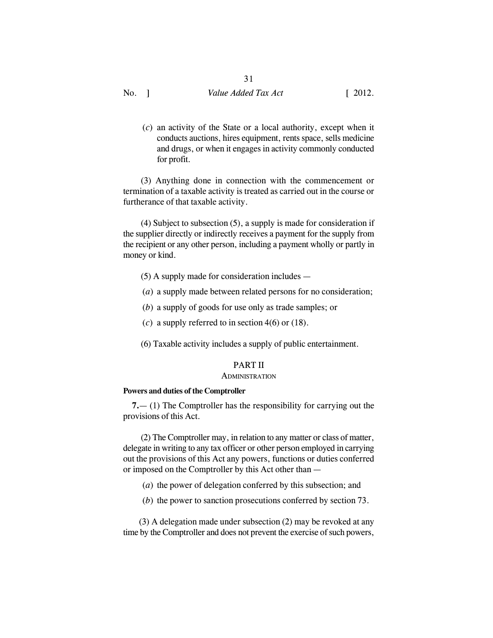(*c*) an activity of the State or a local authority, except when it conducts auctions, hires equipment, rents space, sells medicine and drugs, or when it engages in activity commonly conducted for profit.

(3) Anything done in connection with the commencement or termination of a taxable activity is treated as carried out in the course or furtherance of that taxable activity.

(4) Subject to subsection (5), a supply is made for consideration if the supplier directly or indirectly receives a payment for the supply from the recipient or any other person, including a payment wholly or partly in money or kind.

- (5) A supply made for consideration includes —
- (*a*) a supply made between related persons for no consideration;
- (*b*) a supply of goods for use only as trade samples; or
- (*c*) a supply referred to in section 4(6) or (18).

(6) Taxable activity includes a supply of public entertainment.

# PART II

#### **ADMINISTRATION**

#### **Powers and duties of the Comptroller**

**7.**— (1) The Comptroller has the responsibility for carrying out the provisions of this Act.

(2) The Comptroller may, in relation to any matter or class of matter, delegate in writing to any tax officer or other person employed in carrying out the provisions of this Act any powers, functions or duties conferred or imposed on the Comptroller by this Act other than —

- (*a*) the power of delegation conferred by this subsection; and
- (*b*) the power to sanction prosecutions conferred by section 73.

 (3) A delegation made under subsection (2) may be revoked at any time by the Comptroller and does not prevent the exercise of such powers,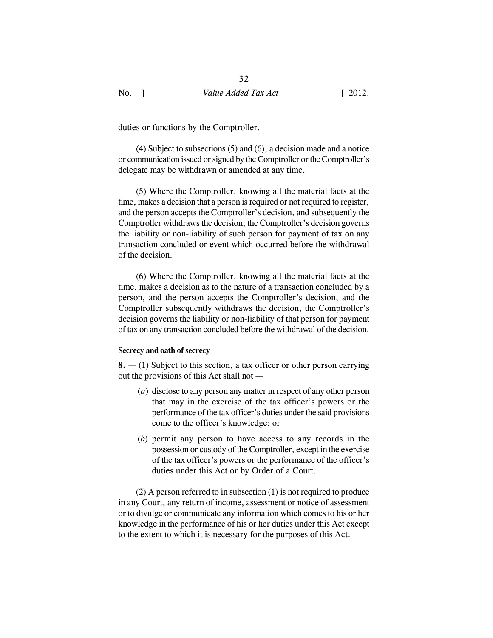duties or functions by the Comptroller.

(4) Subject to subsections (5) and (6), a decision made and a notice or communication issued or signed by the Comptroller or the Comptroller's delegate may be withdrawn or amended at any time.

(5) Where the Comptroller, knowing all the material facts at the time, makes a decision that a person is required or not required to register, and the person accepts the Comptroller's decision, and subsequently the Comptroller withdraws the decision, the Comptroller's decision governs the liability or non-liability of such person for payment of tax on any transaction concluded or event which occurred before the withdrawal of the decision.

(6) Where the Comptroller, knowing all the material facts at the time, makes a decision as to the nature of a transaction concluded by a person, and the person accepts the Comptroller's decision, and the Comptroller subsequently withdraws the decision, the Comptroller's decision governs the liability or non-liability of that person for payment of tax on any transaction concluded before the withdrawal of the decision.

#### **Secrecy and oath of secrecy**

**8.** — (1) Subject to this section, a tax officer or other person carrying out the provisions of this Act shall not —

- (*a*) disclose to any person any matter in respect of any other person that may in the exercise of the tax officer's powers or the performance of the tax officer's duties under the said provisions come to the officer's knowledge; or
- (*b*) permit any person to have access to any records in the possession or custody of the Comptroller, except in the exercise of the tax officer's powers or the performance of the officer's duties under this Act or by Order of a Court.

(2) A person referred to in subsection (1) is not required to produce in any Court, any return of income, assessment or notice of assessment or to divulge or communicate any information which comes to his or her knowledge in the performance of his or her duties under this Act except to the extent to which it is necessary for the purposes of this Act.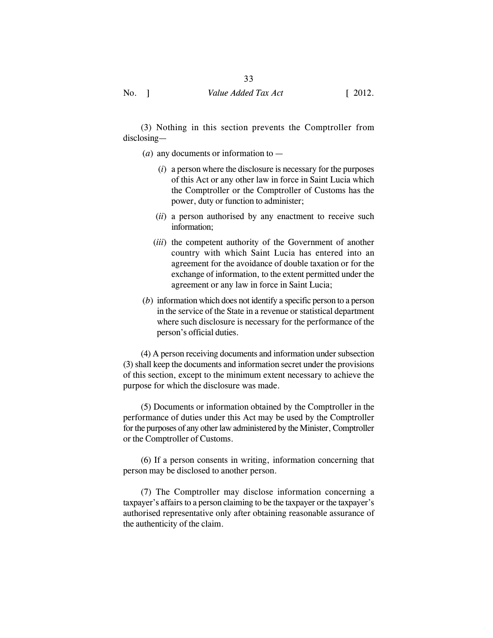(3) Nothing in this section prevents the Comptroller from disclosing—

(*a*) any documents or information to —

- (*i*) a person where the disclosure is necessary for the purposes of this Act or any other law in force in Saint Lucia which the Comptroller or the Comptroller of Customs has the power, duty or function to administer;
- (*ii*) a person authorised by any enactment to receive such information;
- (*iii*) the competent authority of the Government of another country with which Saint Lucia has entered into an agreement for the avoidance of double taxation or for the exchange of information, to the extent permitted under the agreement or any law in force in Saint Lucia;
- (*b*) information which does not identify a specific person to a person in the service of the State in a revenue or statistical department where such disclosure is necessary for the performance of the person's official duties.

(4) A person receiving documents and information under subsection (3) shall keep the documents and information secret under the provisions of this section, except to the minimum extent necessary to achieve the purpose for which the disclosure was made.

(5) Documents or information obtained by the Comptroller in the performance of duties under this Act may be used by the Comptroller for the purposes of any other law administered by the Minister, Comptroller or the Comptroller of Customs.

(6) If a person consents in writing, information concerning that person may be disclosed to another person.

(7) The Comptroller may disclose information concerning a taxpayer's affairs to a person claiming to be the taxpayer or the taxpayer's authorised representative only after obtaining reasonable assurance of the authenticity of the claim.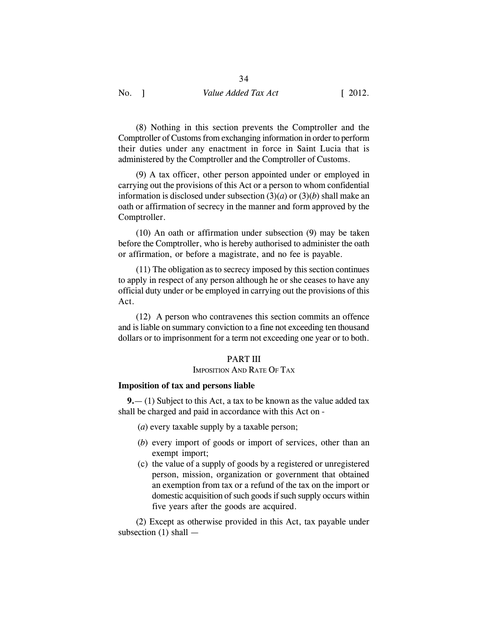(8) Nothing in this section prevents the Comptroller and the Comptroller of Customs from exchanging information in order to perform their duties under any enactment in force in Saint Lucia that is administered by the Comptroller and the Comptroller of Customs.

34

(9) A tax officer, other person appointed under or employed in carrying out the provisions of this Act or a person to whom confidential information is disclosed under subsection  $(3)(a)$  or  $(3)(b)$  shall make an oath or affirmation of secrecy in the manner and form approved by the Comptroller.

(10) An oath or affirmation under subsection (9) may be taken before the Comptroller, who is hereby authorised to administer the oath or affirmation, or before a magistrate, and no fee is payable.

(11) The obligation as to secrecy imposed by this section continues to apply in respect of any person although he or she ceases to have any official duty under or be employed in carrying out the provisions of this Act.

(12) A person who contravenes this section commits an offence and is liable on summary conviction to a fine not exceeding ten thousand dollars or to imprisonment for a term not exceeding one year or to both.

### PART III

### IMPOSITION AND RATE OF TAX

### **Imposition of tax and persons liable**

**9.**— (1) Subject to this Act, a tax to be known as the value added tax shall be charged and paid in accordance with this Act on -

- (*a*) every taxable supply by a taxable person;
- (*b*) every import of goods or import of services, other than an exempt import;
- (c) the value of a supply of goods by a registered or unregistered person, mission, organization or government that obtained an exemption from tax or a refund of the tax on the import or domestic acquisition of such goods if such supply occurs within five years after the goods are acquired.

(2) Except as otherwise provided in this Act, tax payable under subsection (1) shall —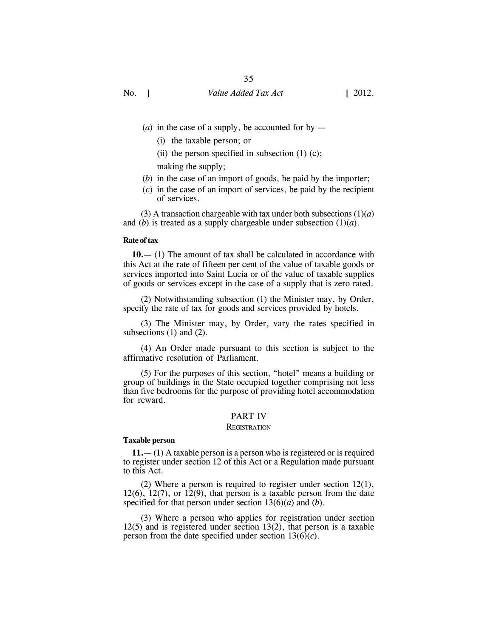- (*a*) in the case of a supply, be accounted for by  $-$ 
	- (i) the taxable person; or
	- (ii) the person specified in subsection  $(1)$   $(c)$ ;

making the supply;

- (*b*) in the case of an import of goods, be paid by the importer;
- (*c*) in the case of an import of services, be paid by the recipient of services.

(3) A transaction chargeable with tax under both subsections  $(1)(a)$ and (*b*) is treated as a supply chargeable under subsection (1)(*a*).

#### **Rate of tax**

**10.**— (1) The amount of tax shall be calculated in accordance with this Act at the rate of fifteen per cent of the value of taxable goods or services imported into Saint Lucia or of the value of taxable supplies of goods or services except in the case of a supply that is zero rated.

(2) Notwithstanding subsection (1) the Minister may, by Order, specify the rate of tax for goods and services provided by hotels.

(3) The Minister may, by Order, vary the rates specified in subsections  $(1)$  and  $(2)$ .

(4) An Order made pursuant to this section is subject to the affirmative resolution of Parliament.

(5) For the purposes of this section, "hotel" means a building or group of buildings in the State occupied together comprising not less than five bedrooms for the purpose of providing hotel accommodation for reward.

### PART IV

#### **REGISTRATION**

#### **Taxable person**

**11.**— (1) A taxable person is a person who is registered or is required to register under section 12 of this Act or a Regulation made pursuant to this Act.

(2) Where a person is required to register under section 12(1),  $12(6)$ ,  $12(7)$ , or  $12(9)$ , that person is a taxable person from the date specified for that person under section 13(6)(*a*) and (*b*).

(3) Where a person who applies for registration under section 12(5) and is registered under section 13(2), that person is a taxable person from the date specified under section  $13(6)(c)$ .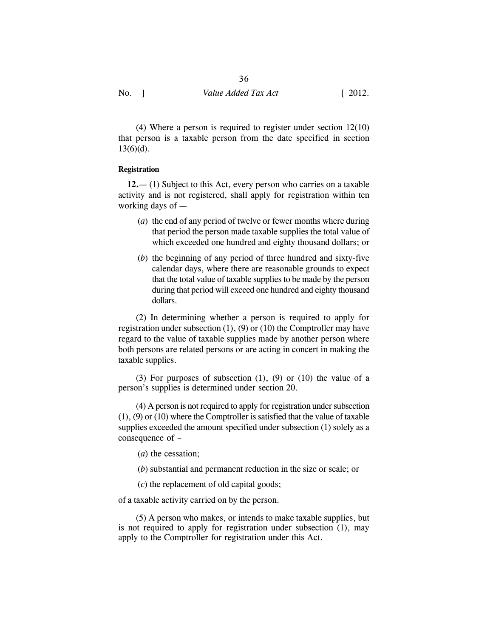(4) Where a person is required to register under section 12(10) that person is a taxable person from the date specified in section  $13(6)(d)$ .

#### **Registration**

**12.**— (1) Subject to this Act, every person who carries on a taxable activity and is not registered, shall apply for registration within ten working days of —

- (*a*) the end of any period of twelve or fewer months where during that period the person made taxable supplies the total value of which exceeded one hundred and eighty thousand dollars; or
- (*b*) the beginning of any period of three hundred and sixty-five calendar days, where there are reasonable grounds to expect that the total value of taxable supplies to be made by the person during that period will exceed one hundred and eighty thousand dollars.

(2) In determining whether a person is required to apply for registration under subsection  $(1)$ ,  $(9)$  or  $(10)$  the Comptroller may have regard to the value of taxable supplies made by another person where both persons are related persons or are acting in concert in making the taxable supplies.

(3) For purposes of subsection  $(1)$ ,  $(9)$  or  $(10)$  the value of a person's supplies is determined under section 20.

(4) A person is not required to apply for registration under subsection (1), (9) or (10) where the Comptroller is satisfied that the value of taxable supplies exceeded the amount specified under subsection (1) solely as a consequence of –

- (*a*) the cessation;
- (*b*) substantial and permanent reduction in the size or scale; or
- (*c*) the replacement of old capital goods;

of a taxable activity carried on by the person.

(5) A person who makes, or intends to make taxable supplies, but is not required to apply for registration under subsection (1), may apply to the Comptroller for registration under this Act.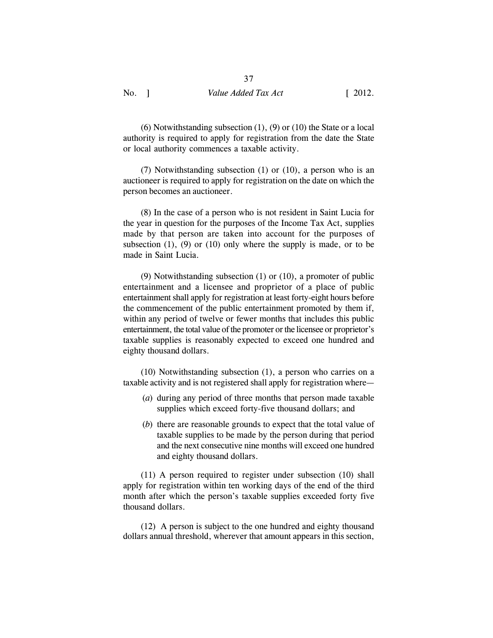(6) Notwithstanding subsection (1), (9) or (10) the State or a local authority is required to apply for registration from the date the State or local authority commences a taxable activity.

(7) Notwithstanding subsection (1) or (10), a person who is an auctioneer is required to apply for registration on the date on which the person becomes an auctioneer.

(8) In the case of a person who is not resident in Saint Lucia for the year in question for the purposes of the Income Tax Act, supplies made by that person are taken into account for the purposes of subsection  $(1)$ ,  $(9)$  or  $(10)$  only where the supply is made, or to be made in Saint Lucia.

(9) Notwithstanding subsection (1) or (10), a promoter of public entertainment and a licensee and proprietor of a place of public entertainment shall apply for registration at least forty-eight hours before the commencement of the public entertainment promoted by them if, within any period of twelve or fewer months that includes this public entertainment, the total value of the promoter or the licensee or proprietor's taxable supplies is reasonably expected to exceed one hundred and eighty thousand dollars.

(10) Notwithstanding subsection (1), a person who carries on a taxable activity and is not registered shall apply for registration where—

- (*a*) during any period of three months that person made taxable supplies which exceed forty-five thousand dollars; and
- (*b*) there are reasonable grounds to expect that the total value of taxable supplies to be made by the person during that period and the next consecutive nine months will exceed one hundred and eighty thousand dollars.

(11) A person required to register under subsection (10) shall apply for registration within ten working days of the end of the third month after which the person's taxable supplies exceeded forty five thousand dollars.

(12) A person is subject to the one hundred and eighty thousand dollars annual threshold, wherever that amount appears in this section,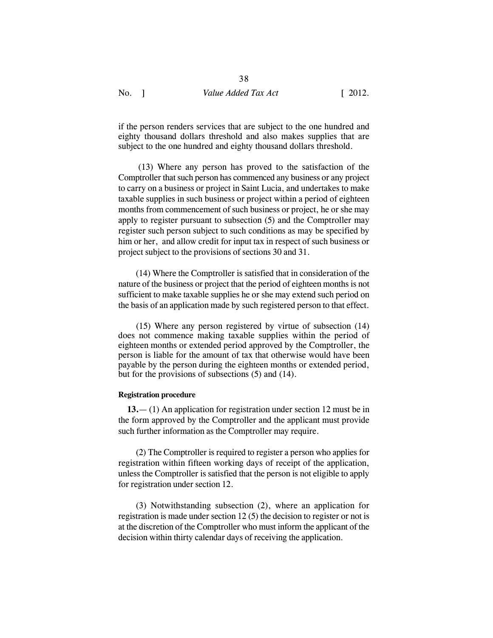if the person renders services that are subject to the one hundred and eighty thousand dollars threshold and also makes supplies that are subject to the one hundred and eighty thousand dollars threshold.

 (13) Where any person has proved to the satisfaction of the Comptroller that such person has commenced any business or any project to carry on a business or project in Saint Lucia, and undertakes to make taxable supplies in such business or project within a period of eighteen months from commencement of such business or project, he or she may apply to register pursuant to subsection (5) and the Comptroller may register such person subject to such conditions as may be specified by him or her, and allow credit for input tax in respect of such business or project subject to the provisions of sections 30 and 31.

 (14) Where the Comptroller is satisfied that in consideration of the nature of the business or project that the period of eighteen months is not sufficient to make taxable supplies he or she may extend such period on the basis of an application made by such registered person to that effect.

(15) Where any person registered by virtue of subsection (14) does not commence making taxable supplies within the period of eighteen months or extended period approved by the Comptroller, the person is liable for the amount of tax that otherwise would have been payable by the person during the eighteen months or extended period, but for the provisions of subsections (5) and (14).

#### **Registration procedure**

**13.**— (1) An application for registration under section 12 must be in the form approved by the Comptroller and the applicant must provide such further information as the Comptroller may require.

(2) The Comptroller is required to register a person who applies for registration within fifteen working days of receipt of the application, unless the Comptroller is satisfied that the person is not eligible to apply for registration under section 12.

(3) Notwithstanding subsection (2), where an application for registration is made under section 12 (5) the decision to register or not is at the discretion of the Comptroller who must inform the applicant of the decision within thirty calendar days of receiving the application.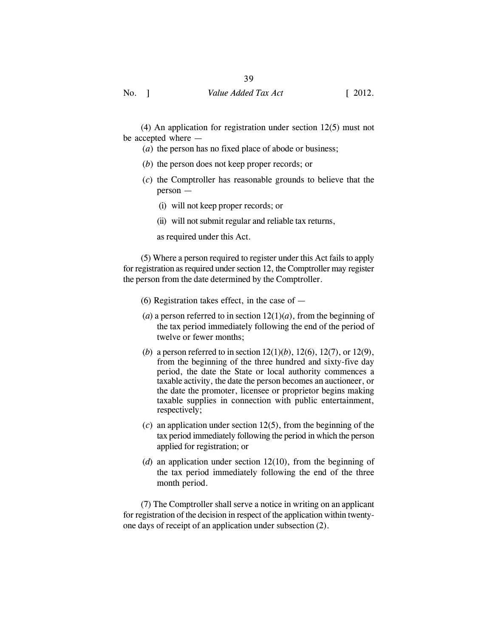(4) An application for registration under section 12(5) must not be accepted where —

- (*a*) the person has no fixed place of abode or business;
- (*b*) the person does not keep proper records; or
- (*c*) the Comptroller has reasonable grounds to believe that the person —
	- (i) will not keep proper records; or
	- (ii) will not submit regular and reliable tax returns,
	- as required under this Act.

(5) Where a person required to register under this Act fails to apply for registration as required under section 12, the Comptroller may register the person from the date determined by the Comptroller.

- (6) Registration takes effect, in the case of  $-$
- (*a*) a person referred to in section  $12(1)(a)$ , from the beginning of the tax period immediately following the end of the period of twelve or fewer months;
- (*b*) a person referred to in section 12(1)(*b*), 12(6), 12(7), or 12(9), from the beginning of the three hundred and sixty-five day period, the date the State or local authority commences a taxable activity, the date the person becomes an auctioneer, or the date the promoter, licensee or proprietor begins making taxable supplies in connection with public entertainment, respectively;
- (*c*) an application under section 12(5), from the beginning of the tax period immediately following the period in which the person applied for registration; or
- (*d*) an application under section 12(10), from the beginning of the tax period immediately following the end of the three month period.

(7) The Comptroller shall serve a notice in writing on an applicant for registration of the decision in respect of the application within twentyone days of receipt of an application under subsection (2).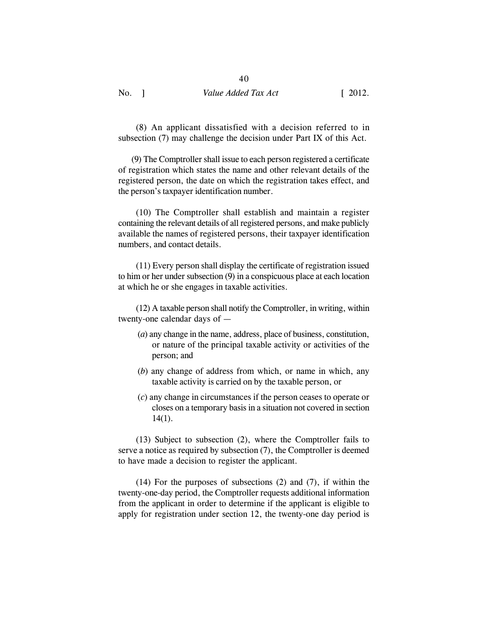(8) An applicant dissatisfied with a decision referred to in subsection (7) may challenge the decision under Part IX of this Act.

 (9) The Comptroller shall issue to each person registered a certificate of registration which states the name and other relevant details of the registered person, the date on which the registration takes effect, and the person's taxpayer identification number.

(10) The Comptroller shall establish and maintain a register containing the relevant details of all registered persons, and make publicly available the names of registered persons, their taxpayer identification numbers, and contact details.

(11) Every person shall display the certificate of registration issued to him or her under subsection (9) in a conspicuous place at each location at which he or she engages in taxable activities.

(12) A taxable person shall notify the Comptroller, in writing, within twenty-one calendar days of —

- (*a*) any change in the name, address, place of business, constitution, or nature of the principal taxable activity or activities of the person; and
- (*b*) any change of address from which, or name in which, any taxable activity is carried on by the taxable person, or
- (*c*) any change in circumstances if the person ceases to operate or closes on a temporary basis in a situation not covered in section 14(1).

(13) Subject to subsection (2), where the Comptroller fails to serve a notice as required by subsection (7), the Comptroller is deemed to have made a decision to register the applicant.

(14) For the purposes of subsections (2) and (7), if within the twenty-one-day period, the Comptroller requests additional information from the applicant in order to determine if the applicant is eligible to apply for registration under section 12, the twenty-one day period is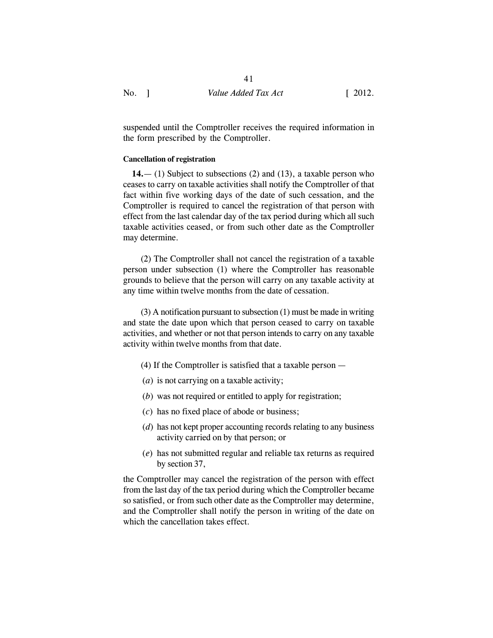suspended until the Comptroller receives the required information in the form prescribed by the Comptroller.

#### **Cancellation of registration**

**14.**— (1) Subject to subsections (2) and (13), a taxable person who ceases to carry on taxable activities shall notify the Comptroller of that fact within five working days of the date of such cessation, and the Comptroller is required to cancel the registration of that person with effect from the last calendar day of the tax period during which all such taxable activities ceased, or from such other date as the Comptroller may determine.

(2) The Comptroller shall not cancel the registration of a taxable person under subsection (1) where the Comptroller has reasonable grounds to believe that the person will carry on any taxable activity at any time within twelve months from the date of cessation.

(3) A notification pursuant to subsection (1) must be made in writing and state the date upon which that person ceased to carry on taxable activities, and whether or not that person intends to carry on any taxable activity within twelve months from that date.

- (4) If the Comptroller is satisfied that a taxable person —
- (*a*) is not carrying on a taxable activity;
- (*b*) was not required or entitled to apply for registration;
- (*c*) has no fixed place of abode or business;
- (*d*) has not kept proper accounting records relating to any business activity carried on by that person; or
- (*e*) has not submitted regular and reliable tax returns as required by section 37,

the Comptroller may cancel the registration of the person with effect from the last day of the tax period during which the Comptroller became so satisfied, or from such other date as the Comptroller may determine, and the Comptroller shall notify the person in writing of the date on which the cancellation takes effect.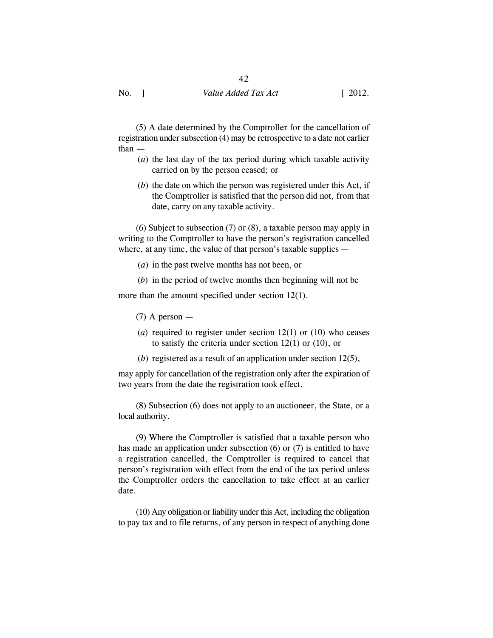(5) A date determined by the Comptroller for the cancellation of registration under subsection (4) may be retrospective to a date not earlier than —

- (*a*) the last day of the tax period during which taxable activity carried on by the person ceased; or
- (*b*) the date on which the person was registered under this Act, if the Comptroller is satisfied that the person did not, from that date, carry on any taxable activity.

(6) Subject to subsection (7) or (8), a taxable person may apply in writing to the Comptroller to have the person's registration cancelled where, at any time, the value of that person's taxable supplies —

(*a*) in the past twelve months has not been, or

(*b*) in the period of twelve months then beginning will not be

more than the amount specified under section 12(1).

 $(7)$  A person —

- (*a*) required to register under section 12(1) or (10) who ceases to satisfy the criteria under section 12(1) or (10), or
- (*b*) registered as a result of an application under section 12(5),

may apply for cancellation of the registration only after the expiration of two years from the date the registration took effect.

(8) Subsection (6) does not apply to an auctioneer, the State, or a local authority.

(9) Where the Comptroller is satisfied that a taxable person who has made an application under subsection (6) or (7) is entitled to have a registration cancelled, the Comptroller is required to cancel that person's registration with effect from the end of the tax period unless the Comptroller orders the cancellation to take effect at an earlier date.

(10) Any obligation or liability under this Act, including the obligation to pay tax and to file returns, of any person in respect of anything done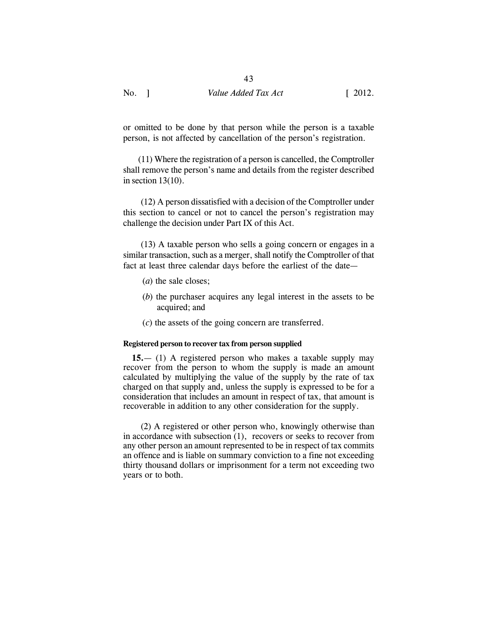| No. | Value Added Tax Act | $\left[ 2012. \right]$ |
|-----|---------------------|------------------------|
|-----|---------------------|------------------------|

or omitted to be done by that person while the person is a taxable person, is not affected by cancellation of the person's registration.

 (11) Where the registration of a person is cancelled, the Comptroller shall remove the person's name and details from the register described in section  $13(10)$ .

(12) A person dissatisfied with a decision of the Comptroller under this section to cancel or not to cancel the person's registration may challenge the decision under Part IX of this Act.

(13) A taxable person who sells a going concern or engages in a similar transaction, such as a merger, shall notify the Comptroller of that fact at least three calendar days before the earliest of the date—

- (*a*) the sale closes;
- (*b*) the purchaser acquires any legal interest in the assets to be acquired; and
- (*c*) the assets of the going concern are transferred.

## **Registered person to recover tax from person supplied**

**15.**— (1) A registered person who makes a taxable supply may recover from the person to whom the supply is made an amount calculated by multiplying the value of the supply by the rate of tax charged on that supply and, unless the supply is expressed to be for a consideration that includes an amount in respect of tax, that amount is recoverable in addition to any other consideration for the supply.

(2) A registered or other person who, knowingly otherwise than in accordance with subsection (1), recovers or seeks to recover from any other person an amount represented to be in respect of tax commits an offence and is liable on summary conviction to a fine not exceeding thirty thousand dollars or imprisonment for a term not exceeding two years or to both.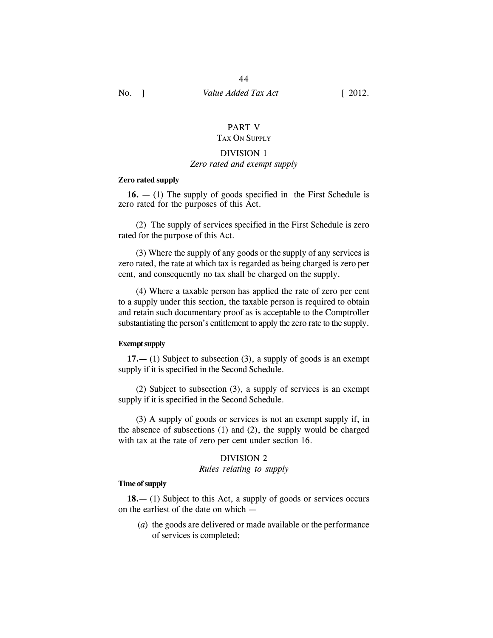#### PART V TAX ON SUPPLY

# DIVISION 1

# *Zero rated and exempt supply*

#### **Zero rated supply**

**16.** — (1) The supply of goods specified in the First Schedule is zero rated for the purposes of this Act.

(2) The supply of services specified in the First Schedule is zero rated for the purpose of this Act.

(3) Where the supply of any goods or the supply of any services is zero rated, the rate at which tax is regarded as being charged is zero per cent, and consequently no tax shall be charged on the supply.

(4) Where a taxable person has applied the rate of zero per cent to a supply under this section, the taxable person is required to obtain and retain such documentary proof as is acceptable to the Comptroller substantiating the person's entitlement to apply the zero rate to the supply.

#### **Exempt supply**

**17.—** (1) Subject to subsection (3), a supply of goods is an exempt supply if it is specified in the Second Schedule.

(2) Subject to subsection (3), a supply of services is an exempt supply if it is specified in the Second Schedule.

(3) A supply of goods or services is not an exempt supply if, in the absence of subsections (1) and (2), the supply would be charged with tax at the rate of zero per cent under section 16.

#### DIVISION 2

#### *Rules relating to supply*

## **Time of supply**

**18.**— (1) Subject to this Act, a supply of goods or services occurs on the earliest of the date on which —

(*a*) the goods are delivered or made available or the performance of services is completed;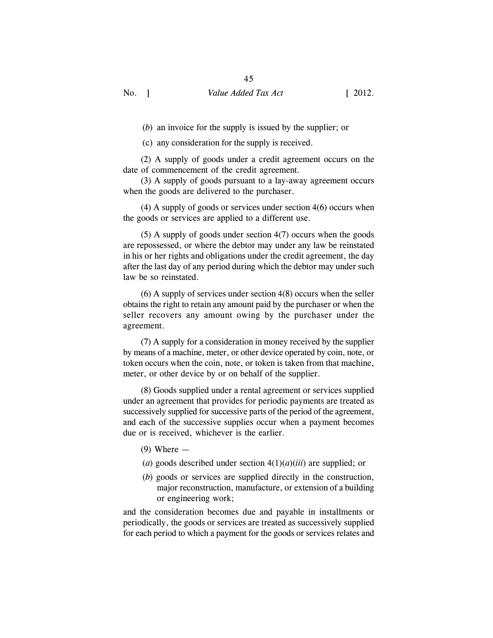(*b*) an invoice for the supply is issued by the supplier; or

(c) any consideration for the supply is received.

(2) A supply of goods under a credit agreement occurs on the date of commencement of the credit agreement.

(3) A supply of goods pursuant to a lay-away agreement occurs when the goods are delivered to the purchaser.

(4) A supply of goods or services under section 4(6) occurs when the goods or services are applied to a different use.

(5) A supply of goods under section 4(7) occurs when the goods are repossessed, or where the debtor may under any law be reinstated in his or her rights and obligations under the credit agreement, the day after the last day of any period during which the debtor may under such law be so reinstated.

(6) A supply of services under section 4(8) occurs when the seller obtains the right to retain any amount paid by the purchaser or when the seller recovers any amount owing by the purchaser under the agreement.

(7) A supply for a consideration in money received by the supplier by means of a machine, meter, or other device operated by coin, note, or token occurs when the coin, note, or token is taken from that machine, meter, or other device by or on behalf of the supplier.

(8) Goods supplied under a rental agreement or services supplied under an agreement that provides for periodic payments are treated as successively supplied for successive parts of the period of the agreement, and each of the successive supplies occur when a payment becomes due or is received, whichever is the earlier.

- $(9)$  Where  $-$
- (*a*) goods described under section 4(1)(*a*)(*iii*) are supplied; or
- (*b*) goods or services are supplied directly in the construction, major reconstruction, manufacture, or extension of a building or engineering work;

and the consideration becomes due and payable in installments or periodically, the goods or services are treated as successively supplied for each period to which a payment for the goods or services relates and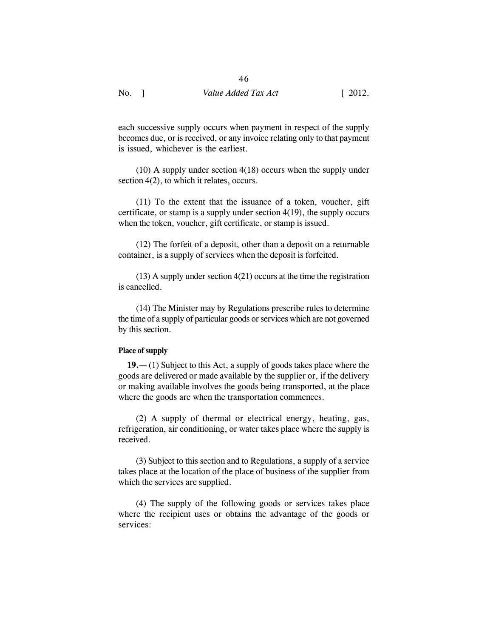each successive supply occurs when payment in respect of the supply becomes due, or is received, or any invoice relating only to that payment is issued, whichever is the earliest.

(10) A supply under section 4(18) occurs when the supply under section  $4(2)$ , to which it relates, occurs.

(11) To the extent that the issuance of a token, voucher, gift certificate, or stamp is a supply under section 4(19), the supply occurs when the token, voucher, gift certificate, or stamp is issued.

(12) The forfeit of a deposit, other than a deposit on a returnable container, is a supply of services when the deposit is forfeited.

(13) A supply under section 4(21) occurs at the time the registration is cancelled.

(14) The Minister may by Regulations prescribe rules to determine the time of a supply of particular goods or services which are not governed by this section.

#### **Place of supply**

**19.—** (1) Subject to this Act, a supply of goods takes place where the goods are delivered or made available by the supplier or, if the delivery or making available involves the goods being transported, at the place where the goods are when the transportation commences.

(2) A supply of thermal or electrical energy, heating, gas, refrigeration, air conditioning, or water takes place where the supply is received.

(3) Subject to this section and to Regulations, a supply of a service takes place at the location of the place of business of the supplier from which the services are supplied.

(4) The supply of the following goods or services takes place where the recipient uses or obtains the advantage of the goods or services: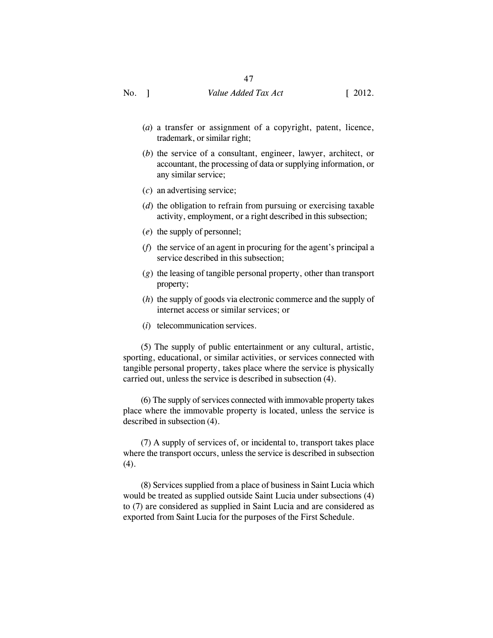- (*a*) a transfer or assignment of a copyright, patent, licence, trademark, or similar right;
- (*b*) the service of a consultant, engineer, lawyer, architect, or accountant, the processing of data or supplying information, or any similar service;
- (*c*) an advertising service;
- (*d*) the obligation to refrain from pursuing or exercising taxable activity, employment, or a right described in this subsection;
- (*e*) the supply of personnel;
- (*f*) the service of an agent in procuring for the agent's principal a service described in this subsection;
- (*g*) the leasing of tangible personal property, other than transport property;
- (*h*) the supply of goods via electronic commerce and the supply of internet access or similar services; or
- (*i*) telecommunication services.

(5) The supply of public entertainment or any cultural, artistic, sporting, educational, or similar activities, or services connected with tangible personal property, takes place where the service is physically carried out, unless the service is described in subsection (4).

(6) The supply of services connected with immovable property takes place where the immovable property is located, unless the service is described in subsection (4).

(7) A supply of services of, or incidental to, transport takes place where the transport occurs, unless the service is described in subsection  $(4).$ 

(8) Services supplied from a place of business in Saint Lucia which would be treated as supplied outside Saint Lucia under subsections (4) to (7) are considered as supplied in Saint Lucia and are considered as exported from Saint Lucia for the purposes of the First Schedule.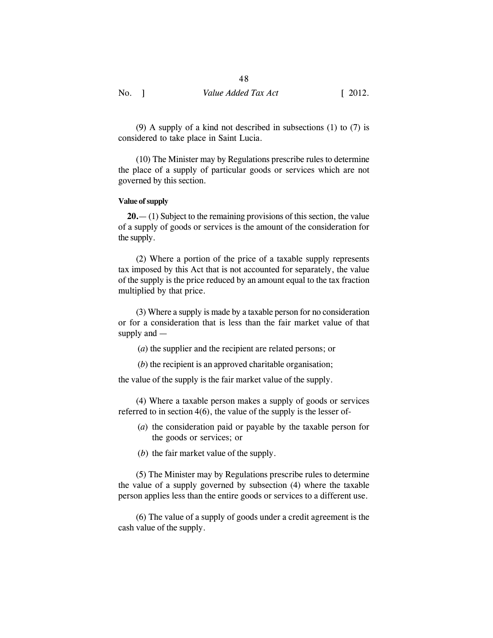(9) A supply of a kind not described in subsections (1) to (7) is considered to take place in Saint Lucia.

(10) The Minister may by Regulations prescribe rules to determine the place of a supply of particular goods or services which are not governed by this section.

#### **Value of supply**

**20.**— (1) Subject to the remaining provisions of this section, the value of a supply of goods or services is the amount of the consideration for the supply.

(2) Where a portion of the price of a taxable supply represents tax imposed by this Act that is not accounted for separately, the value of the supply is the price reduced by an amount equal to the tax fraction multiplied by that price.

(3) Where a supply is made by a taxable person for no consideration or for a consideration that is less than the fair market value of that supply and —

(*a*) the supplier and the recipient are related persons; or

(*b*) the recipient is an approved charitable organisation;

the value of the supply is the fair market value of the supply.

(4) Where a taxable person makes a supply of goods or services referred to in section 4(6), the value of the supply is the lesser of-

- (*a*) the consideration paid or payable by the taxable person for the goods or services; or
- (*b*) the fair market value of the supply.

(5) The Minister may by Regulations prescribe rules to determine the value of a supply governed by subsection (4) where the taxable person applies less than the entire goods or services to a different use.

(6) The value of a supply of goods under a credit agreement is the cash value of the supply.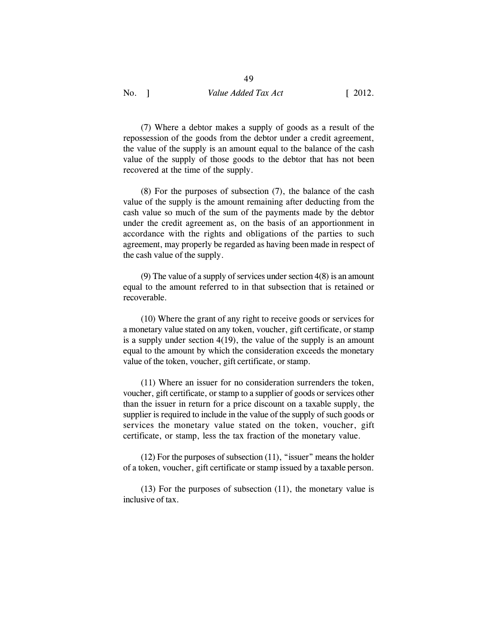49

(7) Where a debtor makes a supply of goods as a result of the repossession of the goods from the debtor under a credit agreement, the value of the supply is an amount equal to the balance of the cash value of the supply of those goods to the debtor that has not been recovered at the time of the supply.

(8) For the purposes of subsection (7), the balance of the cash value of the supply is the amount remaining after deducting from the cash value so much of the sum of the payments made by the debtor under the credit agreement as, on the basis of an apportionment in accordance with the rights and obligations of the parties to such agreement, may properly be regarded as having been made in respect of the cash value of the supply.

(9) The value of a supply of services under section 4(8) is an amount equal to the amount referred to in that subsection that is retained or recoverable.

(10) Where the grant of any right to receive goods or services for a monetary value stated on any token, voucher, gift certificate, or stamp is a supply under section 4(19), the value of the supply is an amount equal to the amount by which the consideration exceeds the monetary value of the token, voucher, gift certificate, or stamp.

(11) Where an issuer for no consideration surrenders the token, voucher, gift certificate, or stamp to a supplier of goods or services other than the issuer in return for a price discount on a taxable supply, the supplier is required to include in the value of the supply of such goods or services the monetary value stated on the token, voucher, gift certificate, or stamp, less the tax fraction of the monetary value.

 $(12)$  For the purposes of subsection  $(11)$ , "issuer" means the holder of a token, voucher, gift certificate or stamp issued by a taxable person.

(13) For the purposes of subsection (11), the monetary value is inclusive of tax.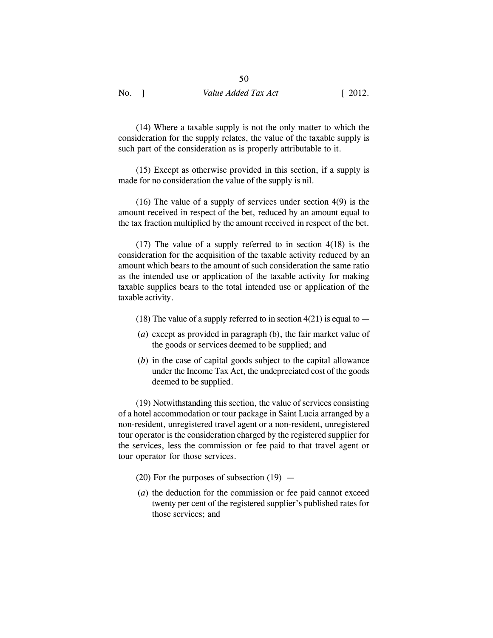(14) Where a taxable supply is not the only matter to which the consideration for the supply relates, the value of the taxable supply is such part of the consideration as is properly attributable to it.

(15) Except as otherwise provided in this section, if a supply is made for no consideration the value of the supply is nil.

(16) The value of a supply of services under section 4(9) is the amount received in respect of the bet, reduced by an amount equal to the tax fraction multiplied by the amount received in respect of the bet.

(17) The value of a supply referred to in section 4(18) is the consideration for the acquisition of the taxable activity reduced by an amount which bears to the amount of such consideration the same ratio as the intended use or application of the taxable activity for making taxable supplies bears to the total intended use or application of the taxable activity.

- (18) The value of a supply referred to in section  $4(21)$  is equal to  $-$
- (*a*) except as provided in paragraph (b), the fair market value of the goods or services deemed to be supplied; and
- (*b*) in the case of capital goods subject to the capital allowance under the Income Tax Act, the undepreciated cost of the goods deemed to be supplied.

(19) Notwithstanding this section, the value of services consisting of a hotel accommodation or tour package in Saint Lucia arranged by a non-resident, unregistered travel agent or a non-resident, unregistered tour operator is the consideration charged by the registered supplier for the services, less the commission or fee paid to that travel agent or tour operator for those services.

- (20) For the purposes of subsection  $(19)$  —
- (*a*) the deduction for the commission or fee paid cannot exceed twenty per cent of the registered supplier's published rates for those services; and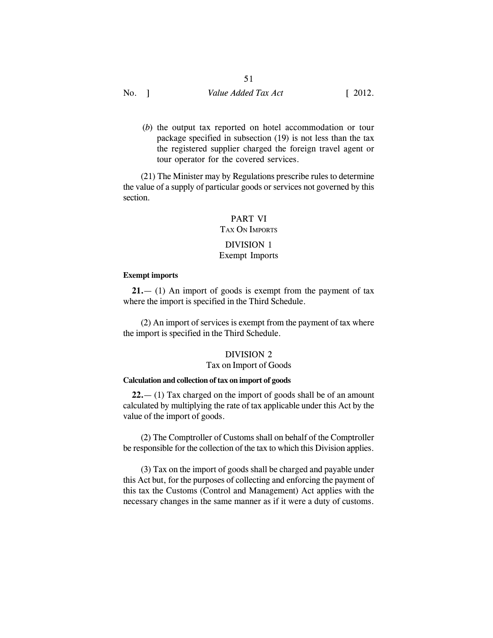(*b*) the output tax reported on hotel accommodation or tour package specified in subsection (19) is not less than the tax the registered supplier charged the foreign travel agent or tour operator for the covered services.

(21) The Minister may by Regulations prescribe rules to determine the value of a supply of particular goods or services not governed by this section.

# PART VI TAX ON IMPORTS DIVISION 1

## Exempt Imports

#### **Exempt imports**

**21.**— (1) An import of goods is exempt from the payment of tax where the import is specified in the Third Schedule.

(2) An import of services is exempt from the payment of tax where the import is specified in the Third Schedule.

#### DIVISION 2

## Tax on Import of Goods

## **Calculation and collection of tax on import of goods**

**22.**— (1) Tax charged on the import of goods shall be of an amount calculated by multiplying the rate of tax applicable under this Act by the value of the import of goods.

(2) The Comptroller of Customs shall on behalf of the Comptroller be responsible for the collection of the tax to which this Division applies.

(3) Tax on the import of goods shall be charged and payable under this Act but, for the purposes of collecting and enforcing the payment of this tax the Customs (Control and Management) Act applies with the necessary changes in the same manner as if it were a duty of customs.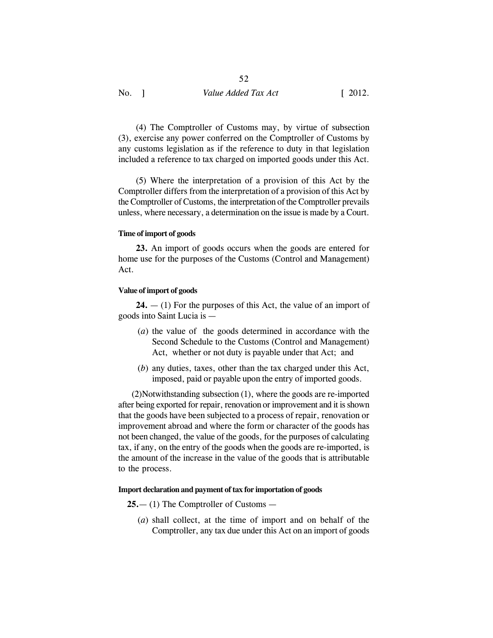(4) The Comptroller of Customs may, by virtue of subsection (3), exercise any power conferred on the Comptroller of Customs by any customs legislation as if the reference to duty in that legislation included a reference to tax charged on imported goods under this Act.

(5) Where the interpretation of a provision of this Act by the Comptroller differs from the interpretation of a provision of this Act by the Comptroller of Customs, the interpretation of the Comptroller prevails unless, where necessary, a determination on the issue is made by a Court.

#### **Time of import of goods**

**23.** An import of goods occurs when the goods are entered for home use for the purposes of the Customs (Control and Management) Act.

#### **Value of import of goods**

**24.** — (1) For the purposes of this Act, the value of an import of goods into Saint Lucia is —

- (*a*) the value of the goods determined in accordance with the Second Schedule to the Customs (Control and Management) Act, whether or not duty is payable under that Act; and
- (*b*) any duties, taxes, other than the tax charged under this Act, imposed, paid or payable upon the entry of imported goods.

 (2)Notwithstanding subsection (1), where the goods are re-imported after being exported for repair, renovation or improvement and it is shown that the goods have been subjected to a process of repair, renovation or improvement abroad and where the form or character of the goods has not been changed, the value of the goods, for the purposes of calculating tax, if any, on the entry of the goods when the goods are re-imported, is the amount of the increase in the value of the goods that is attributable to the process.

#### **Import declaration and payment of tax for importation of goods**

**25.**— (1) The Comptroller of Customs —

(*a*) shall collect, at the time of import and on behalf of the Comptroller, any tax due under this Act on an import of goods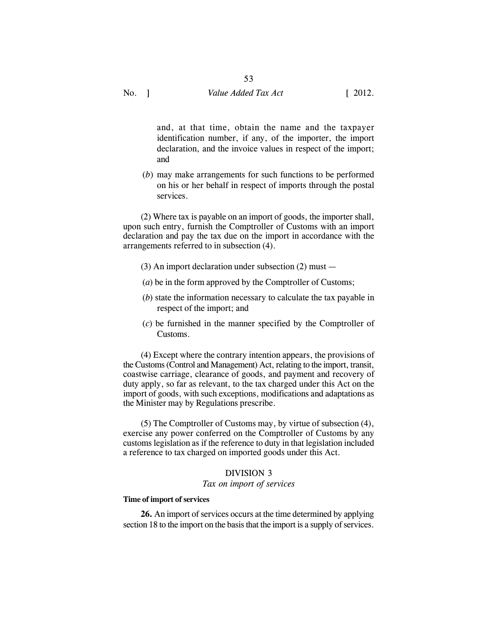and, at that time, obtain the name and the taxpayer identification number, if any, of the importer, the import declaration, and the invoice values in respect of the import; and

(*b*) may make arrangements for such functions to be performed on his or her behalf in respect of imports through the postal services.

(2) Where tax is payable on an import of goods, the importer shall, upon such entry, furnish the Comptroller of Customs with an import declaration and pay the tax due on the import in accordance with the arrangements referred to in subsection (4).

- (3) An import declaration under subsection (2) must —
- (*a*) be in the form approved by the Comptroller of Customs;
- (*b*) state the information necessary to calculate the tax payable in respect of the import; and
- (*c*) be furnished in the manner specified by the Comptroller of Customs.

(4) Except where the contrary intention appears, the provisions of the Customs (Control and Management) Act, relating to the import, transit, coastwise carriage, clearance of goods, and payment and recovery of duty apply, so far as relevant, to the tax charged under this Act on the import of goods, with such exceptions, modifications and adaptations as the Minister may by Regulations prescribe.

(5) The Comptroller of Customs may, by virtue of subsection (4), exercise any power conferred on the Comptroller of Customs by any customs legislation as if the reference to duty in that legislation included a reference to tax charged on imported goods under this Act.

#### DIVISION 3

#### *Tax on import of services*

#### **Time of import of services**

**26.** An import of services occurs at the time determined by applying section 18 to the import on the basis that the import is a supply of services.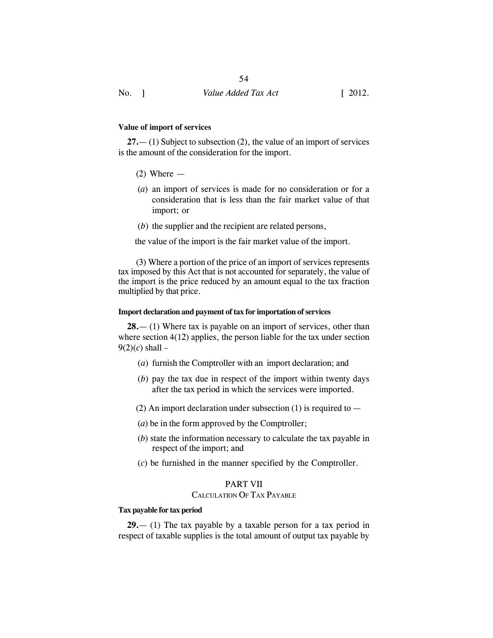#### **Value of import of services**

**27.**— (1) Subject to subsection (2), the value of an import of services is the amount of the consideration for the import.

- $(2)$  Where  $-$
- (*a*) an import of services is made for no consideration or for a consideration that is less than the fair market value of that import; or
- (*b*) the supplier and the recipient are related persons,

the value of the import is the fair market value of the import.

(3) Where a portion of the price of an import of services represents tax imposed by this Act that is not accounted for separately, the value of the import is the price reduced by an amount equal to the tax fraction multiplied by that price.

#### **Import declaration and payment of tax for importation of services**

**28.**— (1) Where tax is payable on an import of services, other than where section 4(12) applies, the person liable for the tax under section  $9(2)(c)$  shall –

- (*a*) furnish the Comptroller with an import declaration; and
- (*b*) pay the tax due in respect of the import within twenty days after the tax period in which the services were imported.
- (2) An import declaration under subsection (1) is required to  $-$
- (*a*) be in the form approved by the Comptroller;
- (*b*) state the information necessary to calculate the tax payable in respect of the import; and
- (*c*) be furnished in the manner specified by the Comptroller.

#### PART VII

#### CALCULATION OF TAX PAYABLE

#### **Tax payable for tax period**

**29.**— (1) The tax payable by a taxable person for a tax period in respect of taxable supplies is the total amount of output tax payable by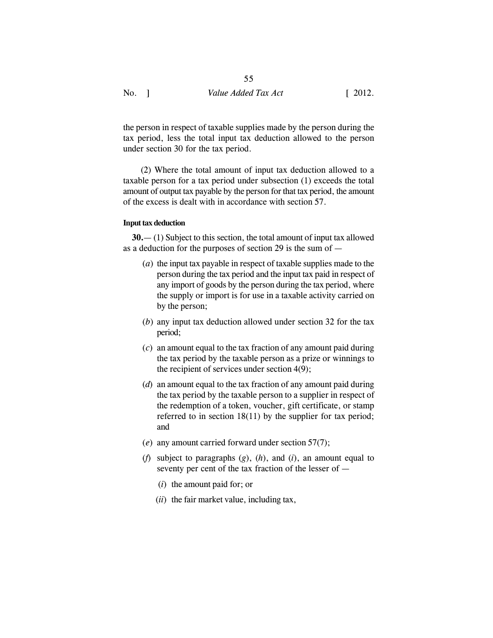the person in respect of taxable supplies made by the person during the tax period, less the total input tax deduction allowed to the person under section 30 for the tax period.

(2) Where the total amount of input tax deduction allowed to a taxable person for a tax period under subsection (1) exceeds the total amount of output tax payable by the person for that tax period, the amount of the excess is dealt with in accordance with section 57.

#### **Input tax deduction**

**30.**— (1) Subject to this section, the total amount of input tax allowed as a deduction for the purposes of section 29 is the sum of —

- (*a*) the input tax payable in respect of taxable supplies made to the person during the tax period and the input tax paid in respect of any import of goods by the person during the tax period, where the supply or import is for use in a taxable activity carried on by the person;
- (*b*) any input tax deduction allowed under section 32 for the tax period;
- (*c*) an amount equal to the tax fraction of any amount paid during the tax period by the taxable person as a prize or winnings to the recipient of services under section 4(9);
- (*d*) an amount equal to the tax fraction of any amount paid during the tax period by the taxable person to a supplier in respect of the redemption of a token, voucher, gift certificate, or stamp referred to in section 18(11) by the supplier for tax period; and
- (*e*) any amount carried forward under section 57(7);
- (*f*) subject to paragraphs (*g*), (*h*), and (*i*), an amount equal to seventy per cent of the tax fraction of the lesser of —
	- (*i*) the amount paid for; or
	- (*ii*) the fair market value, including tax,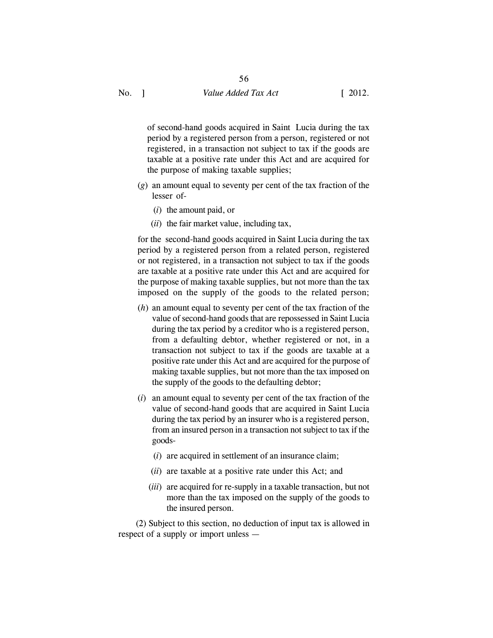of second-hand goods acquired in Saint Lucia during the tax period by a registered person from a person, registered or not registered, in a transaction not subject to tax if the goods are taxable at a positive rate under this Act and are acquired for the purpose of making taxable supplies;

- (*g*) an amount equal to seventy per cent of the tax fraction of the lesser of-
	- (*i*) the amount paid, or
	- (*ii*) the fair market value, including tax,

for the second-hand goods acquired in Saint Lucia during the tax period by a registered person from a related person, registered or not registered, in a transaction not subject to tax if the goods are taxable at a positive rate under this Act and are acquired for the purpose of making taxable supplies, but not more than the tax imposed on the supply of the goods to the related person;

- (*h*) an amount equal to seventy per cent of the tax fraction of the value of second-hand goods that are repossessed in Saint Lucia during the tax period by a creditor who is a registered person, from a defaulting debtor, whether registered or not, in a transaction not subject to tax if the goods are taxable at a positive rate under this Act and are acquired for the purpose of making taxable supplies, but not more than the tax imposed on the supply of the goods to the defaulting debtor;
- (*i*) an amount equal to seventy per cent of the tax fraction of the value of second-hand goods that are acquired in Saint Lucia during the tax period by an insurer who is a registered person, from an insured person in a transaction not subject to tax if the goods-
	- (*i*) are acquired in settlement of an insurance claim;
	- (*ii*) are taxable at a positive rate under this Act; and
	- (*iii*) are acquired for re-supply in a taxable transaction, but not more than the tax imposed on the supply of the goods to the insured person.

(2) Subject to this section, no deduction of input tax is allowed in respect of a supply or import unless —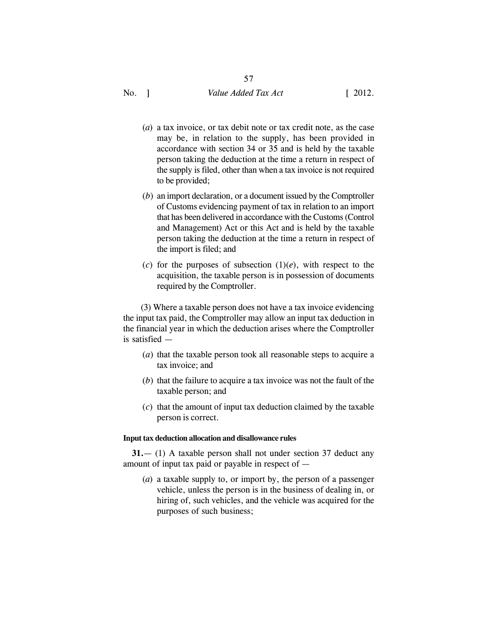- (*a*) a tax invoice, or tax debit note or tax credit note, as the case may be, in relation to the supply, has been provided in accordance with section 34 or 35 and is held by the taxable person taking the deduction at the time a return in respect of the supply is filed, other than when a tax invoice is not required to be provided;
- (*b*) an import declaration, or a document issued by the Comptroller of Customs evidencing payment of tax in relation to an import that has been delivered in accordance with the Customs (Control and Management) Act or this Act and is held by the taxable person taking the deduction at the time a return in respect of the import is filed; and
- (*c*) for the purposes of subsection  $(1)(e)$ , with respect to the acquisition, the taxable person is in possession of documents required by the Comptroller.

(3) Where a taxable person does not have a tax invoice evidencing the input tax paid, the Comptroller may allow an input tax deduction in the financial year in which the deduction arises where the Comptroller is satisfied —

- (*a*) that the taxable person took all reasonable steps to acquire a tax invoice; and
- (*b*) that the failure to acquire a tax invoice was not the fault of the taxable person; and
- (*c*) that the amount of input tax deduction claimed by the taxable person is correct.

#### **Input tax deduction allocation and disallowance rules**

**31.**— (1) A taxable person shall not under section 37 deduct any amount of input tax paid or payable in respect of —

(*a*) a taxable supply to, or import by, the person of a passenger vehicle, unless the person is in the business of dealing in, or hiring of, such vehicles, and the vehicle was acquired for the purposes of such business;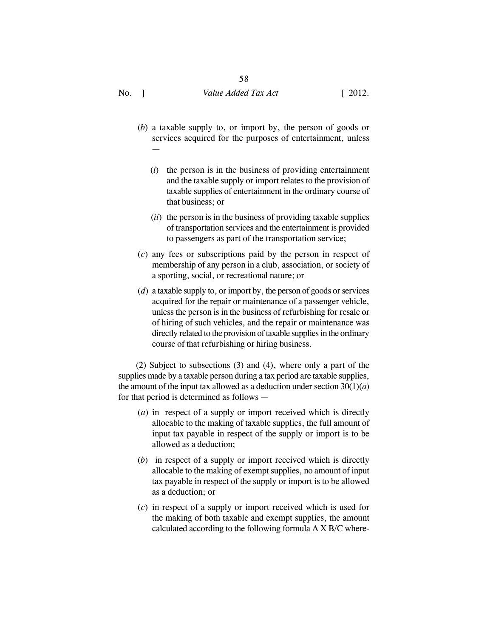- (*b*) a taxable supply to, or import by, the person of goods or services acquired for the purposes of entertainment, unless —
	- (*i*) the person is in the business of providing entertainment and the taxable supply or import relates to the provision of taxable supplies of entertainment in the ordinary course of that business; or
	- (*ii*) the person is in the business of providing taxable supplies of transportation services and the entertainment is provided to passengers as part of the transportation service;
- (*c*) any fees or subscriptions paid by the person in respect of membership of any person in a club, association, or society of a sporting, social, or recreational nature; or
- (*d*) a taxable supply to, or import by, the person of goods or services acquired for the repair or maintenance of a passenger vehicle, unless the person is in the business of refurbishing for resale or of hiring of such vehicles, and the repair or maintenance was directly related to the provision of taxable supplies in the ordinary course of that refurbishing or hiring business.

(2) Subject to subsections (3) and (4), where only a part of the supplies made by a taxable person during a tax period are taxable supplies, the amount of the input tax allowed as a deduction under section  $30(1)(a)$ for that period is determined as follows —

- (*a*) in respect of a supply or import received which is directly allocable to the making of taxable supplies, the full amount of input tax payable in respect of the supply or import is to be allowed as a deduction;
- (*b*) in respect of a supply or import received which is directly allocable to the making of exempt supplies, no amount of input tax payable in respect of the supply or import is to be allowed as a deduction; or
- (*c*) in respect of a supply or import received which is used for the making of both taxable and exempt supplies, the amount calculated according to the following formula A X B/C where-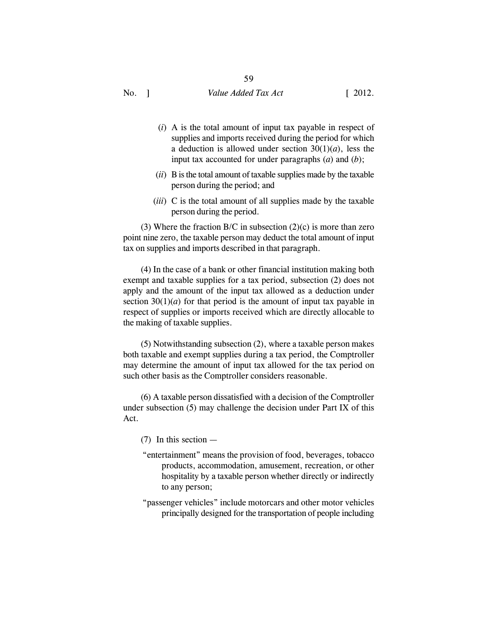- (*i*) A is the total amount of input tax payable in respect of supplies and imports received during the period for which a deduction is allowed under section  $30(1)(a)$ , less the input tax accounted for under paragraphs (*a*) and (*b*);
- (*ii*) B is the total amount of taxable supplies made by the taxable person during the period; and
- (*iii*) C is the total amount of all supplies made by the taxable person during the period.

(3) Where the fraction  $B/C$  in subsection (2)(c) is more than zero point nine zero, the taxable person may deduct the total amount of input tax on supplies and imports described in that paragraph.

(4) In the case of a bank or other financial institution making both exempt and taxable supplies for a tax period, subsection (2) does not apply and the amount of the input tax allowed as a deduction under section  $30(1)(a)$  for that period is the amount of input tax payable in respect of supplies or imports received which are directly allocable to the making of taxable supplies.

(5) Notwithstanding subsection (2), where a taxable person makes both taxable and exempt supplies during a tax period, the Comptroller may determine the amount of input tax allowed for the tax period on such other basis as the Comptroller considers reasonable.

(6) A taxable person dissatisfied with a decision of the Comptroller under subsection (5) may challenge the decision under Part IX of this Act.

- (7) In this section —
- "entertainment" means the provision of food, beverages, tobacco products, accommodation, amusement, recreation, or other hospitality by a taxable person whether directly or indirectly to any person;
- "passenger vehicles" include motorcars and other motor vehicles principally designed for the transportation of people including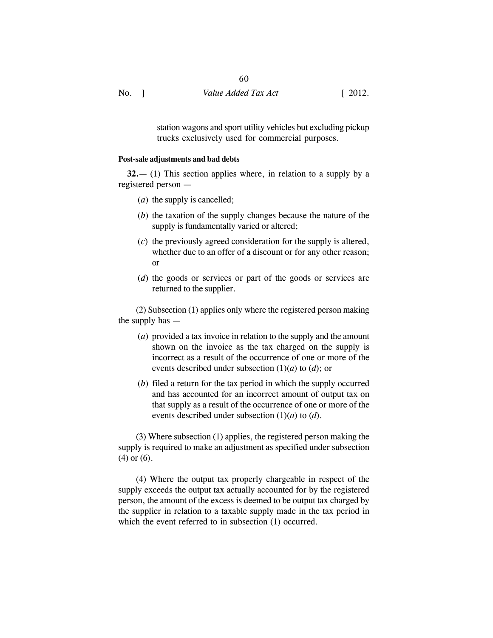No. 1 Value *Added Tax Act* [ 2012.

station wagons and sport utility vehicles but excluding pickup trucks exclusively used for commercial purposes.

#### **Post-sale adjustments and bad debts**

**32.**— (1) This section applies where, in relation to a supply by a registered person —

- (*a*) the supply is cancelled;
- (*b*) the taxation of the supply changes because the nature of the supply is fundamentally varied or altered;
- (*c*) the previously agreed consideration for the supply is altered, whether due to an offer of a discount or for any other reason; or
- (*d*) the goods or services or part of the goods or services are returned to the supplier.

(2) Subsection (1) applies only where the registered person making the supply has —

- (*a*) provided a tax invoice in relation to the supply and the amount shown on the invoice as the tax charged on the supply is incorrect as a result of the occurrence of one or more of the events described under subsection (1)(*a*) to (*d*); or
- (*b*) filed a return for the tax period in which the supply occurred and has accounted for an incorrect amount of output tax on that supply as a result of the occurrence of one or more of the events described under subsection (1)(*a*) to (*d*).

(3) Where subsection (1) applies, the registered person making the supply is required to make an adjustment as specified under subsection (4) or (6).

(4) Where the output tax properly chargeable in respect of the supply exceeds the output tax actually accounted for by the registered person, the amount of the excess is deemed to be output tax charged by the supplier in relation to a taxable supply made in the tax period in which the event referred to in subsection (1) occurred.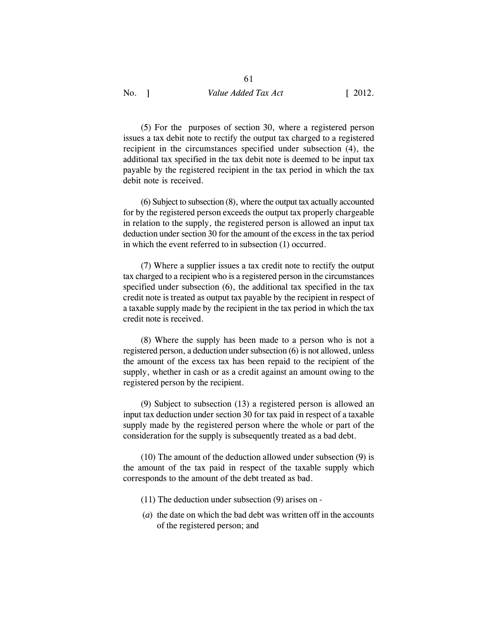61

(5) For the purposes of section 30, where a registered person issues a tax debit note to rectify the output tax charged to a registered recipient in the circumstances specified under subsection (4), the additional tax specified in the tax debit note is deemed to be input tax payable by the registered recipient in the tax period in which the tax debit note is received.

(6) Subject to subsection (8), where the output tax actually accounted for by the registered person exceeds the output tax properly chargeable in relation to the supply, the registered person is allowed an input tax deduction under section 30 for the amount of the excess in the tax period in which the event referred to in subsection (1) occurred.

(7) Where a supplier issues a tax credit note to rectify the output tax charged to a recipient who is a registered person in the circumstances specified under subsection (6), the additional tax specified in the tax credit note is treated as output tax payable by the recipient in respect of a taxable supply made by the recipient in the tax period in which the tax credit note is received.

(8) Where the supply has been made to a person who is not a registered person, a deduction under subsection (6) is not allowed, unless the amount of the excess tax has been repaid to the recipient of the supply, whether in cash or as a credit against an amount owing to the registered person by the recipient.

(9) Subject to subsection (13) a registered person is allowed an input tax deduction under section 30 for tax paid in respect of a taxable supply made by the registered person where the whole or part of the consideration for the supply is subsequently treated as a bad debt.

(10) The amount of the deduction allowed under subsection (9) is the amount of the tax paid in respect of the taxable supply which corresponds to the amount of the debt treated as bad.

- (11) The deduction under subsection (9) arises on -
- (*a*) the date on which the bad debt was written off in the accounts of the registered person; and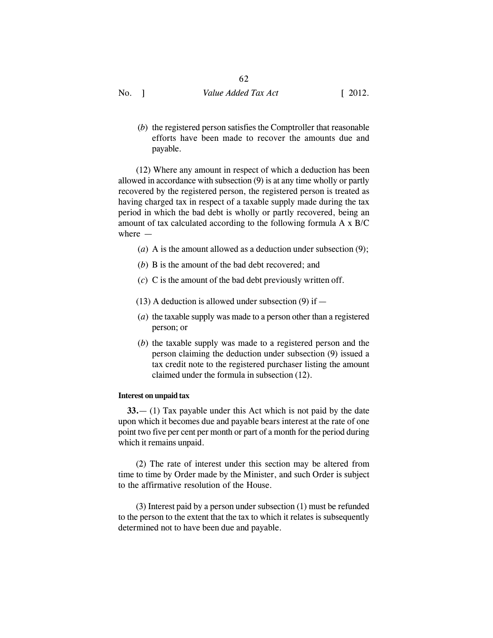(*b*) the registered person satisfies the Comptroller that reasonable efforts have been made to recover the amounts due and payable.

(12) Where any amount in respect of which a deduction has been allowed in accordance with subsection (9) is at any time wholly or partly recovered by the registered person, the registered person is treated as having charged tax in respect of a taxable supply made during the tax period in which the bad debt is wholly or partly recovered, being an amount of tax calculated according to the following formula A x B/C where —

- (*a*) A is the amount allowed as a deduction under subsection (9);
- (*b*) B is the amount of the bad debt recovered; and
- (*c*) C is the amount of the bad debt previously written off.
- $(13)$  A deduction is allowed under subsection  $(9)$  if —
- (*a*) the taxable supply was made to a person other than a registered person; or
- (*b*) the taxable supply was made to a registered person and the person claiming the deduction under subsection (9) issued a tax credit note to the registered purchaser listing the amount claimed under the formula in subsection (12).

## **Interest on unpaid tax**

**33.**— (1) Tax payable under this Act which is not paid by the date upon which it becomes due and payable bears interest at the rate of one point two five per cent per month or part of a month for the period during which it remains unpaid.

(2) The rate of interest under this section may be altered from time to time by Order made by the Minister, and such Order is subject to the affirmative resolution of the House.

(3) Interest paid by a person under subsection (1) must be refunded to the person to the extent that the tax to which it relates is subsequently determined not to have been due and payable.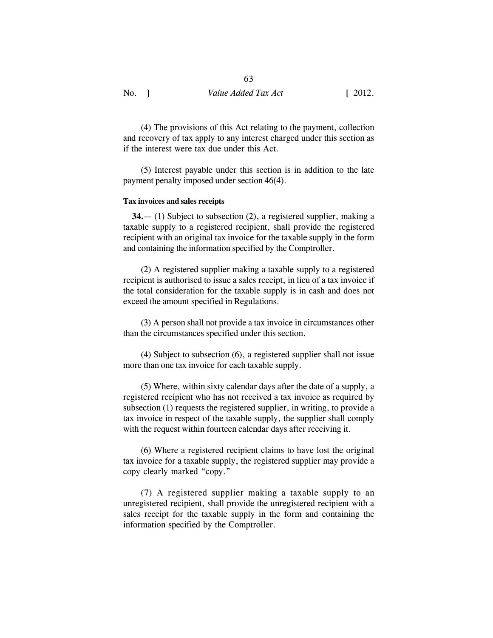(4) The provisions of this Act relating to the payment, collection and recovery of tax apply to any interest charged under this section as if the interest were tax due under this Act.

(5) Interest payable under this section is in addition to the late payment penalty imposed under section 46(4).

#### **Tax invoices and sales receipts**

**34.**— (1) Subject to subsection (2), a registered supplier, making a taxable supply to a registered recipient, shall provide the registered recipient with an original tax invoice for the taxable supply in the form and containing the information specified by the Comptroller.

(2) A registered supplier making a taxable supply to a registered recipient is authorised to issue a sales receipt, in lieu of a tax invoice if the total consideration for the taxable supply is in cash and does not exceed the amount specified in Regulations.

(3) A person shall not provide a tax invoice in circumstances other than the circumstances specified under this section.

(4) Subject to subsection (6), a registered supplier shall not issue more than one tax invoice for each taxable supply.

(5) Where, within sixty calendar days after the date of a supply, a registered recipient who has not received a tax invoice as required by subsection (1) requests the registered supplier, in writing, to provide a tax invoice in respect of the taxable supply, the supplier shall comply with the request within fourteen calendar days after receiving it.

(6) Where a registered recipient claims to have lost the original tax invoice for a taxable supply, the registered supplier may provide a copy clearly marked "copy."

(7) A registered supplier making a taxable supply to an unregistered recipient, shall provide the unregistered recipient with a sales receipt for the taxable supply in the form and containing the information specified by the Comptroller.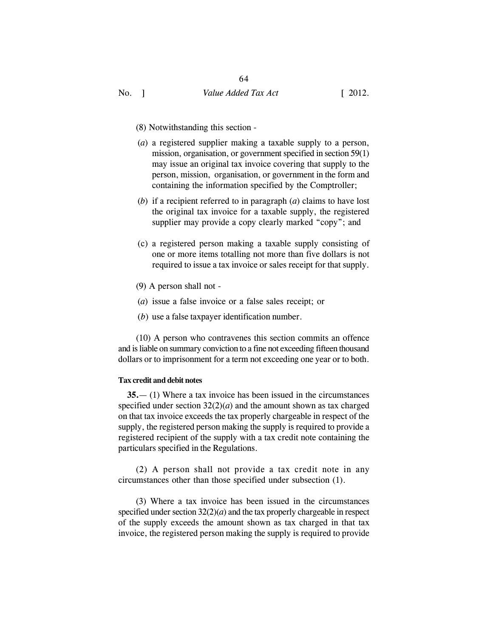- (8) Notwithstanding this section -
- (*a*) a registered supplier making a taxable supply to a person, mission, organisation, or government specified in section 59(1) may issue an original tax invoice covering that supply to the person, mission, organisation, or government in the form and containing the information specified by the Comptroller;
- (*b*) if a recipient referred to in paragraph (*a*) claims to have lost the original tax invoice for a taxable supply, the registered supplier may provide a copy clearly marked "copy"; and
- (c) a registered person making a taxable supply consisting of one or more items totalling not more than five dollars is not required to issue a tax invoice or sales receipt for that supply.
- (9) A person shall not -
- (*a*) issue a false invoice or a false sales receipt; or
- (*b*) use a false taxpayer identification number.

(10) A person who contravenes this section commits an offence and is liable on summary conviction to a fine not exceeding fifteen thousand dollars or to imprisonment for a term not exceeding one year or to both.

#### **Tax credit and debit notes**

**35.**— (1) Where a tax invoice has been issued in the circumstances specified under section 32(2)(*a*) and the amount shown as tax charged on that tax invoice exceeds the tax properly chargeable in respect of the supply, the registered person making the supply is required to provide a registered recipient of the supply with a tax credit note containing the particulars specified in the Regulations.

(2) A person shall not provide a tax credit note in any circumstances other than those specified under subsection (1).

(3) Where a tax invoice has been issued in the circumstances specified under section  $32(2)(a)$  and the tax properly chargeable in respect of the supply exceeds the amount shown as tax charged in that tax invoice, the registered person making the supply is required to provide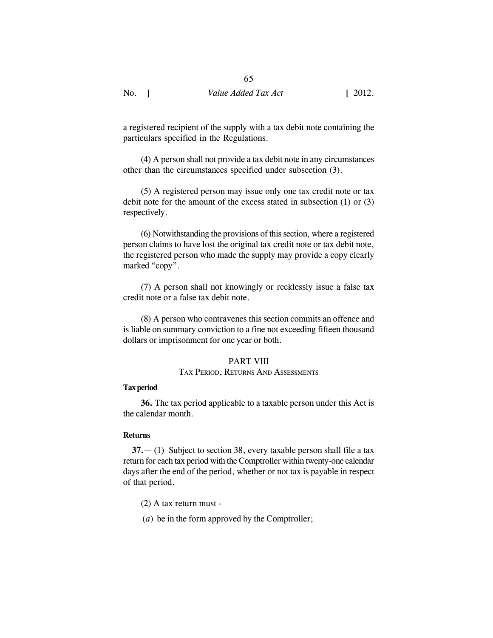a registered recipient of the supply with a tax debit note containing the particulars specified in the Regulations.

(4) A person shall not provide a tax debit note in any circumstances other than the circumstances specified under subsection (3).

(5) A registered person may issue only one tax credit note or tax debit note for the amount of the excess stated in subsection (1) or (3) respectively.

(6) Notwithstanding the provisions of this section, where a registered person claims to have lost the original tax credit note or tax debit note, the registered person who made the supply may provide a copy clearly marked "copy".

(7) A person shall not knowingly or recklessly issue a false tax credit note or a false tax debit note.

(8) A person who contravenes this section commits an offence and is liable on summary conviction to a fine not exceeding fifteen thousand dollars or imprisonment for one year or both.

#### PART VIII

#### TAX PERIOD, RETURNS AND ASSESSMENTS

#### **Tax period**

**36.** The tax period applicable to a taxable person under this Act is the calendar month.

#### **Returns**

**37.**— (1) Subject to section 38, every taxable person shall file a tax return for each tax period with the Comptroller within twenty-one calendar days after the end of the period, whether or not tax is payable in respect of that period.

- (2) A tax return must -
- (*a*) be in the form approved by the Comptroller;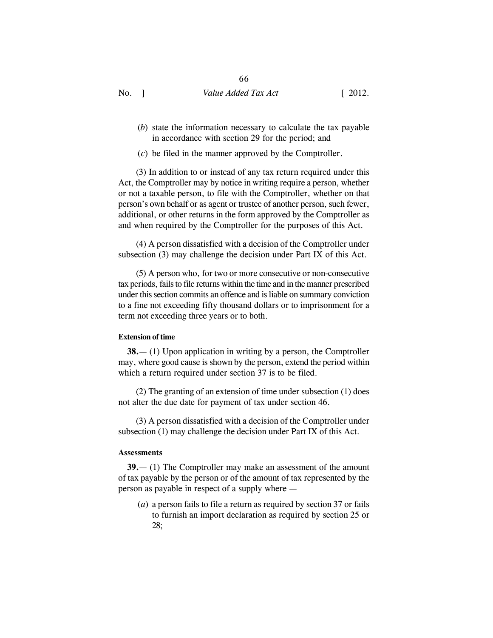- (*b*) state the information necessary to calculate the tax payable in accordance with section 29 for the period; and
- (*c*) be filed in the manner approved by the Comptroller.

(3) In addition to or instead of any tax return required under this Act, the Comptroller may by notice in writing require a person, whether or not a taxable person, to file with the Comptroller, whether on that person's own behalf or as agent or trustee of another person, such fewer, additional, or other returns in the form approved by the Comptroller as and when required by the Comptroller for the purposes of this Act.

(4) A person dissatisfied with a decision of the Comptroller under subsection (3) may challenge the decision under Part IX of this Act.

(5) A person who, for two or more consecutive or non-consecutive tax periods, fails to file returns within the time and in the manner prescribed under this section commits an offence and is liable on summary conviction to a fine not exceeding fifty thousand dollars or to imprisonment for a term not exceeding three years or to both.

#### **Extension of time**

**38.**— (1) Upon application in writing by a person, the Comptroller may, where good cause is shown by the person, extend the period within which a return required under section 37 is to be filed.

(2) The granting of an extension of time under subsection (1) does not alter the due date for payment of tax under section 46.

(3) A person dissatisfied with a decision of the Comptroller under subsection (1) may challenge the decision under Part IX of this Act.

#### **Assessments**

**39.**— (1) The Comptroller may make an assessment of the amount of tax payable by the person or of the amount of tax represented by the person as payable in respect of a supply where —

(*a*) a person fails to file a return as required by section 37 or fails to furnish an import declaration as required by section 25 or 28;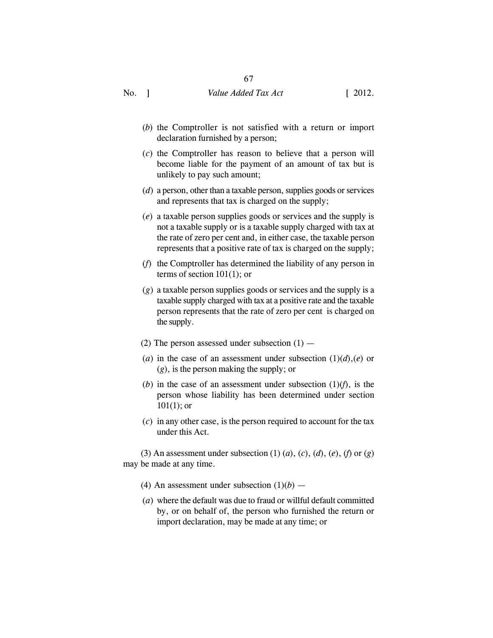- (*b*) the Comptroller is not satisfied with a return or import declaration furnished by a person;
- (*c*) the Comptroller has reason to believe that a person will become liable for the payment of an amount of tax but is unlikely to pay such amount;
- (*d*) a person, other than a taxable person, supplies goods or services and represents that tax is charged on the supply;
- (*e*) a taxable person supplies goods or services and the supply is not a taxable supply or is a taxable supply charged with tax at the rate of zero per cent and, in either case, the taxable person represents that a positive rate of tax is charged on the supply;
- (*f*) the Comptroller has determined the liability of any person in terms of section 101(1); or
- (*g*) a taxable person supplies goods or services and the supply is a taxable supply charged with tax at a positive rate and the taxable person represents that the rate of zero per cent is charged on the supply.
- (2) The person assessed under subsection  $(1)$  —
- (*a*) in the case of an assessment under subsection  $(1)(d)$ , (*e*) or (*g*), is the person making the supply; or
- (*b*) in the case of an assessment under subsection  $(1)(f)$ , is the person whose liability has been determined under section  $101(1)$ ; or
- (*c*) in any other case, is the person required to account for the tax under this Act.

(3) An assessment under subsection (1) (*a*), (*c*), (*d*), (*e*), (*f*) or (*g*) may be made at any time.

- (4) An assessment under subsection  $(1)(b)$  —
- (*a*) where the default was due to fraud or willful default committed by, or on behalf of, the person who furnished the return or import declaration, may be made at any time; or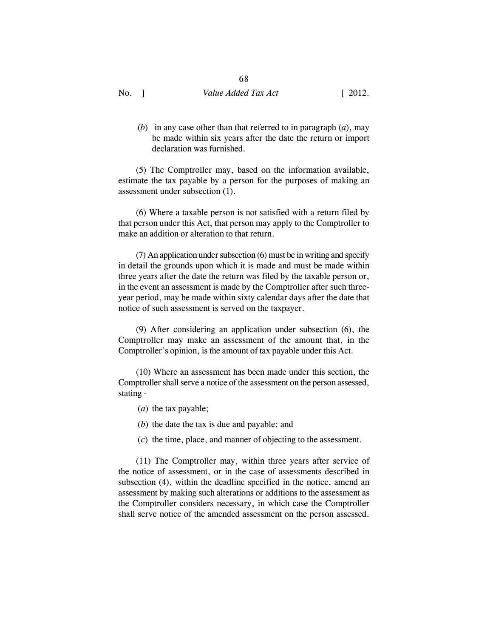68

(*b*) in any case other than that referred to in paragraph (*a*), may be made within six years after the date the return or import declaration was furnished.

(5) The Comptroller may, based on the information available, estimate the tax payable by a person for the purposes of making an assessment under subsection (1).

(6) Where a taxable person is not satisfied with a return filed by that person under this Act, that person may apply to the Comptroller to make an addition or alteration to that return.

(7) An application under subsection (6) must be in writing and specify in detail the grounds upon which it is made and must be made within three years after the date the return was filed by the taxable person or, in the event an assessment is made by the Comptroller after such threeyear period, may be made within sixty calendar days after the date that notice of such assessment is served on the taxpayer.

(9) After considering an application under subsection (6), the Comptroller may make an assessment of the amount that, in the Comptroller's opinion, is the amount of tax payable under this Act.

(10) Where an assessment has been made under this section, the Comptroller shall serve a notice of the assessment on the person assessed, stating -

- (*a*) the tax payable;
- (*b*) the date the tax is due and payable; and
- (*c*) the time, place, and manner of objecting to the assessment.

(11) The Comptroller may, within three years after service of the notice of assessment, or in the case of assessments described in subsection (4), within the deadline specified in the notice, amend an assessment by making such alterations or additions to the assessment as the Comptroller considers necessary, in which case the Comptroller shall serve notice of the amended assessment on the person assessed.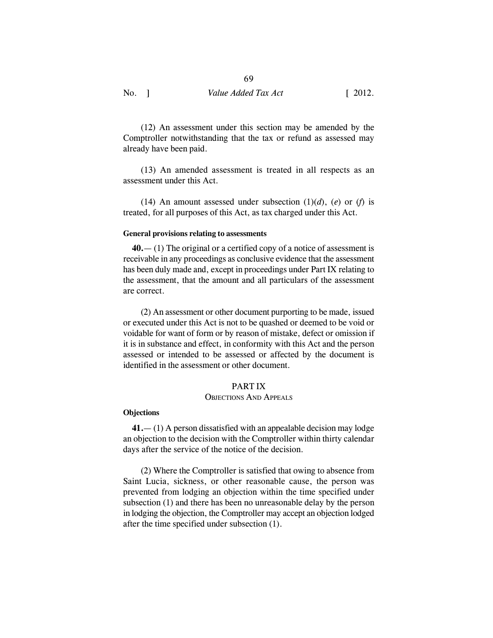(12) An assessment under this section may be amended by the Comptroller notwithstanding that the tax or refund as assessed may already have been paid.

(13) An amended assessment is treated in all respects as an assessment under this Act.

(14) An amount assessed under subsection  $(1)(d)$ ,  $(e)$  or  $(f)$  is treated, for all purposes of this Act, as tax charged under this Act.

#### **General provisions relating to assessments**

**40.**— (1) The original or a certified copy of a notice of assessment is receivable in any proceedings as conclusive evidence that the assessment has been duly made and, except in proceedings under Part IX relating to the assessment, that the amount and all particulars of the assessment are correct.

(2) An assessment or other document purporting to be made, issued or executed under this Act is not to be quashed or deemed to be void or voidable for want of form or by reason of mistake, defect or omission if it is in substance and effect, in conformity with this Act and the person assessed or intended to be assessed or affected by the document is identified in the assessment or other document.

## PART IX

#### OBJECTIONS AND APPEALS

#### **Objections**

**41.**— (1) A person dissatisfied with an appealable decision may lodge an objection to the decision with the Comptroller within thirty calendar days after the service of the notice of the decision.

(2) Where the Comptroller is satisfied that owing to absence from Saint Lucia, sickness, or other reasonable cause, the person was prevented from lodging an objection within the time specified under subsection (1) and there has been no unreasonable delay by the person in lodging the objection, the Comptroller may accept an objection lodged after the time specified under subsection (1).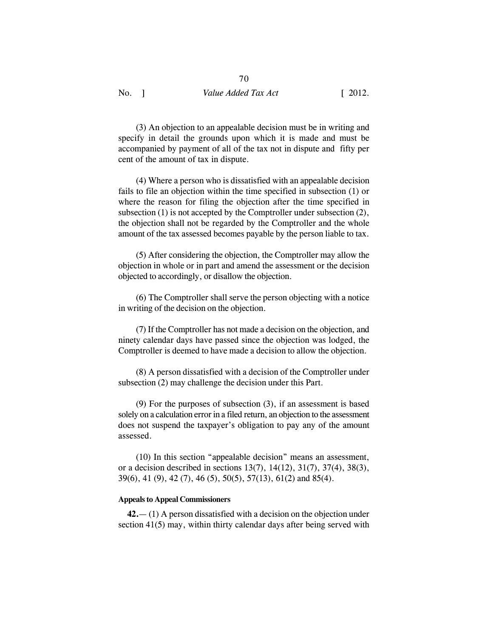(3) An objection to an appealable decision must be in writing and specify in detail the grounds upon which it is made and must be accompanied by payment of all of the tax not in dispute and fifty per cent of the amount of tax in dispute.

(4) Where a person who is dissatisfied with an appealable decision fails to file an objection within the time specified in subsection (1) or where the reason for filing the objection after the time specified in subsection (1) is not accepted by the Comptroller under subsection (2), the objection shall not be regarded by the Comptroller and the whole amount of the tax assessed becomes payable by the person liable to tax.

(5) After considering the objection, the Comptroller may allow the objection in whole or in part and amend the assessment or the decision objected to accordingly, or disallow the objection.

(6) The Comptroller shall serve the person objecting with a notice in writing of the decision on the objection.

(7) If the Comptroller has not made a decision on the objection, and ninety calendar days have passed since the objection was lodged, the Comptroller is deemed to have made a decision to allow the objection.

(8) A person dissatisfied with a decision of the Comptroller under subsection (2) may challenge the decision under this Part.

(9) For the purposes of subsection (3), if an assessment is based solely on a calculation error in a filed return, an objection to the assessment does not suspend the taxpayer's obligation to pay any of the amount assessed.

(10) In this section "appealable decision" means an assessment, or a decision described in sections 13(7), 14(12), 31(7), 37(4), 38(3), 39(6), 41 (9), 42 (7), 46 (5), 50(5), 57(13), 61(2) and 85(4).

#### **Appeals to Appeal Commissioners**

**42.**— (1) A person dissatisfied with a decision on the objection under section 41(5) may, within thirty calendar days after being served with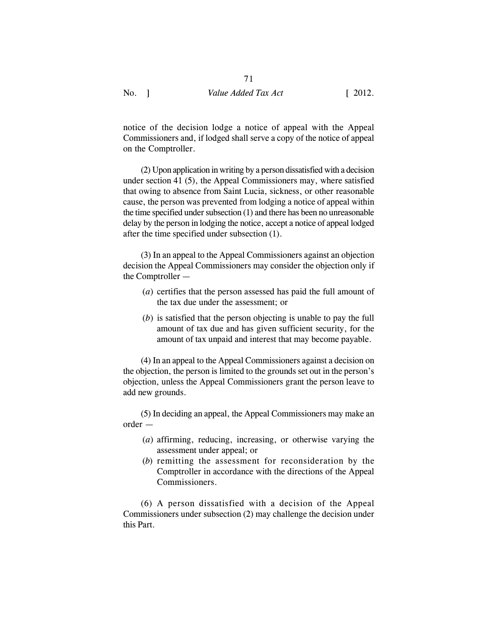notice of the decision lodge a notice of appeal with the Appeal Commissioners and, if lodged shall serve a copy of the notice of appeal on the Comptroller.

(2) Upon application in writing by a person dissatisfied with a decision under section 41 (5), the Appeal Commissioners may, where satisfied that owing to absence from Saint Lucia, sickness, or other reasonable cause, the person was prevented from lodging a notice of appeal within the time specified under subsection (1) and there has been no unreasonable delay by the person in lodging the notice, accept a notice of appeal lodged after the time specified under subsection (1).

(3) In an appeal to the Appeal Commissioners against an objection decision the Appeal Commissioners may consider the objection only if the Comptroller —

- (*a*) certifies that the person assessed has paid the full amount of the tax due under the assessment; or
- (*b*) is satisfied that the person objecting is unable to pay the full amount of tax due and has given sufficient security, for the amount of tax unpaid and interest that may become payable.

(4) In an appeal to the Appeal Commissioners against a decision on the objection, the person is limited to the grounds set out in the person's objection, unless the Appeal Commissioners grant the person leave to add new grounds.

(5) In deciding an appeal, the Appeal Commissioners may make an order —

- (*a*) affirming, reducing, increasing, or otherwise varying the assessment under appeal; or
- (*b*) remitting the assessment for reconsideration by the Comptroller in accordance with the directions of the Appeal Commissioners.

(6) A person dissatisfied with a decision of the Appeal Commissioners under subsection (2) may challenge the decision under this Part.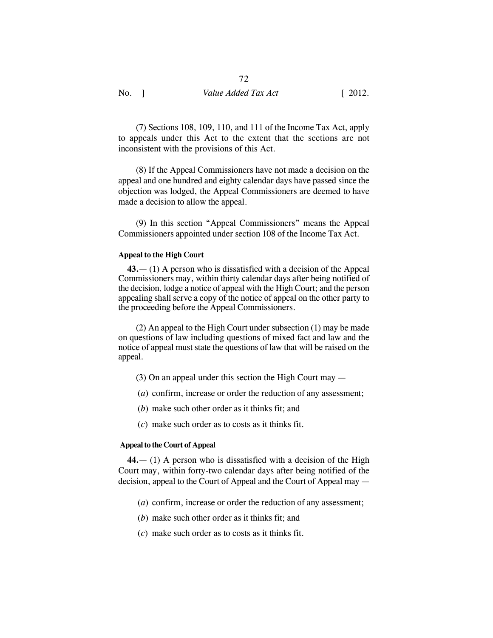(7) Sections 108, 109, 110, and 111 of the Income Tax Act, apply to appeals under this Act to the extent that the sections are not inconsistent with the provisions of this Act.

(8) If the Appeal Commissioners have not made a decision on the appeal and one hundred and eighty calendar days have passed since the objection was lodged, the Appeal Commissioners are deemed to have made a decision to allow the appeal.

(9) In this section "Appeal Commissioners" means the Appeal Commissioners appointed under section 108 of the Income Tax Act.

#### **Appeal to the High Court**

**43.**— (1) A person who is dissatisfied with a decision of the Appeal Commissioners may, within thirty calendar days after being notified of the decision, lodge a notice of appeal with the High Court; and the person appealing shall serve a copy of the notice of appeal on the other party to the proceeding before the Appeal Commissioners.

(2) An appeal to the High Court under subsection (1) may be made on questions of law including questions of mixed fact and law and the notice of appeal must state the questions of law that will be raised on the appeal.

- (3) On an appeal under this section the High Court may —
- (*a*) confirm, increase or order the reduction of any assessment;
- (*b*) make such other order as it thinks fit; and
- (*c*) make such order as to costs as it thinks fit.

#### **Appeal to the Court of Appeal**

**44.**— (1) A person who is dissatisfied with a decision of the High Court may, within forty-two calendar days after being notified of the decision, appeal to the Court of Appeal and the Court of Appeal may —

- (*a*) confirm, increase or order the reduction of any assessment;
- (*b*) make such other order as it thinks fit; and
- (*c*) make such order as to costs as it thinks fit.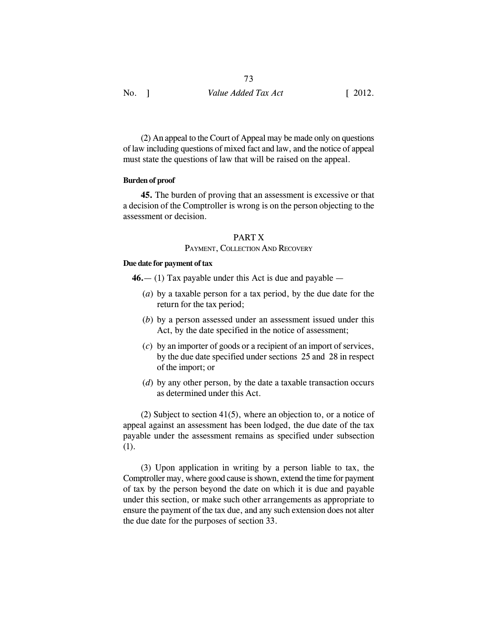(2) An appeal to the Court of Appeal may be made only on questions of law including questions of mixed fact and law, and the notice of appeal must state the questions of law that will be raised on the appeal.

## **Burden of proof**

**45.** The burden of proving that an assessment is excessive or that a decision of the Comptroller is wrong is on the person objecting to the assessment or decision.

#### PART X

## PAYMENT, COLLECTION AND RECOVERY

## **Due date for payment of tax**

**46.**— (1) Tax payable under this Act is due and payable —

- (*a*) by a taxable person for a tax period, by the due date for the return for the tax period;
- (*b*) by a person assessed under an assessment issued under this Act, by the date specified in the notice of assessment;
- (*c*) by an importer of goods or a recipient of an import of services, by the due date specified under sections 25 and 28 in respect of the import; or
- (*d*) by any other person, by the date a taxable transaction occurs as determined under this Act.

(2) Subject to section 41(5), where an objection to, or a notice of appeal against an assessment has been lodged, the due date of the tax payable under the assessment remains as specified under subsection (1).

(3) Upon application in writing by a person liable to tax, the Comptroller may, where good cause is shown, extend the time for payment of tax by the person beyond the date on which it is due and payable under this section, or make such other arrangements as appropriate to ensure the payment of the tax due, and any such extension does not alter the due date for the purposes of section 33.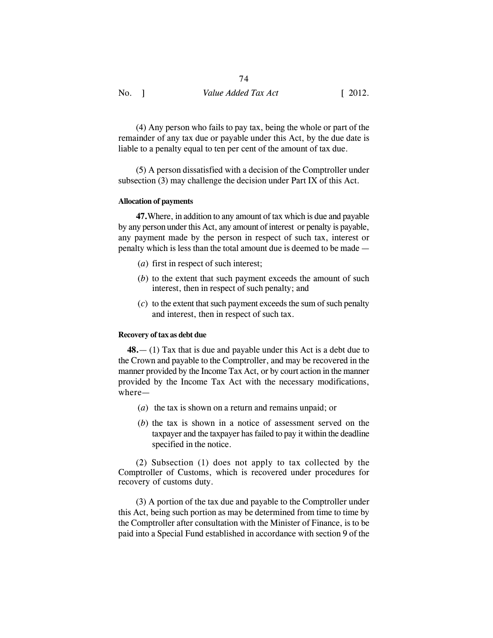(4) Any person who fails to pay tax, being the whole or part of the remainder of any tax due or payable under this Act, by the due date is liable to a penalty equal to ten per cent of the amount of tax due.

(5) A person dissatisfied with a decision of the Comptroller under subsection (3) may challenge the decision under Part IX of this Act.

#### **Allocation of payments**

**47.**Where, in addition to any amount of tax which is due and payable by any person under this Act, any amount of interest or penalty is payable, any payment made by the person in respect of such tax, interest or penalty which is less than the total amount due is deemed to be made —

- (*a*) first in respect of such interest;
- (*b*) to the extent that such payment exceeds the amount of such interest, then in respect of such penalty; and
- (*c*) to the extent that such payment exceeds the sum of such penalty and interest, then in respect of such tax.

#### **Recovery of tax as debt due**

**48.**— (1) Tax that is due and payable under this Act is a debt due to the Crown and payable to the Comptroller, and may be recovered in the manner provided by the Income Tax Act, or by court action in the manner provided by the Income Tax Act with the necessary modifications, where—

- (*a*) the tax is shown on a return and remains unpaid; or
- (*b*) the tax is shown in a notice of assessment served on the taxpayer and the taxpayer has failed to pay it within the deadline specified in the notice.

(2) Subsection (1) does not apply to tax collected by the Comptroller of Customs, which is recovered under procedures for recovery of customs duty.

(3) A portion of the tax due and payable to the Comptroller under this Act, being such portion as may be determined from time to time by the Comptroller after consultation with the Minister of Finance, is to be paid into a Special Fund established in accordance with section 9 of the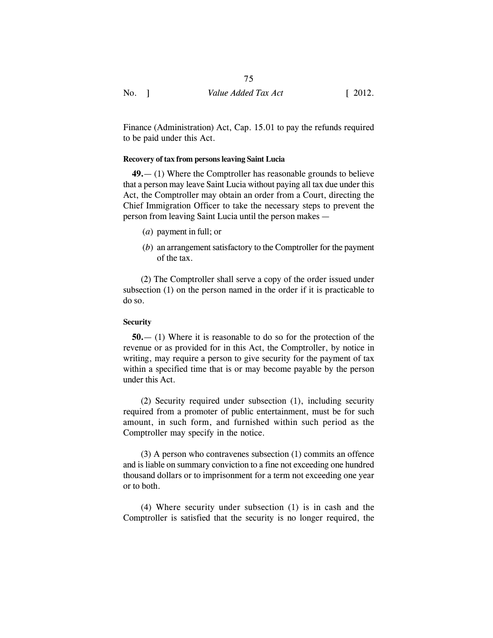Finance (Administration) Act, Cap. 15.01 to pay the refunds required to be paid under this Act.

## **Recovery of tax from persons leaving Saint Lucia**

**49.**— (1) Where the Comptroller has reasonable grounds to believe that a person may leave Saint Lucia without paying all tax due under this Act, the Comptroller may obtain an order from a Court, directing the Chief Immigration Officer to take the necessary steps to prevent the person from leaving Saint Lucia until the person makes —

- (*a*) payment in full; or
- (*b*) an arrangement satisfactory to the Comptroller for the payment of the tax.

(2) The Comptroller shall serve a copy of the order issued under subsection (1) on the person named in the order if it is practicable to do so.

## **Security**

**50.**— (1) Where it is reasonable to do so for the protection of the revenue or as provided for in this Act, the Comptroller, by notice in writing, may require a person to give security for the payment of tax within a specified time that is or may become payable by the person under this Act.

(2) Security required under subsection (1), including security required from a promoter of public entertainment, must be for such amount, in such form, and furnished within such period as the Comptroller may specify in the notice.

(3) A person who contravenes subsection (1) commits an offence and is liable on summary conviction to a fine not exceeding one hundred thousand dollars or to imprisonment for a term not exceeding one year or to both.

(4) Where security under subsection (1) is in cash and the Comptroller is satisfied that the security is no longer required, the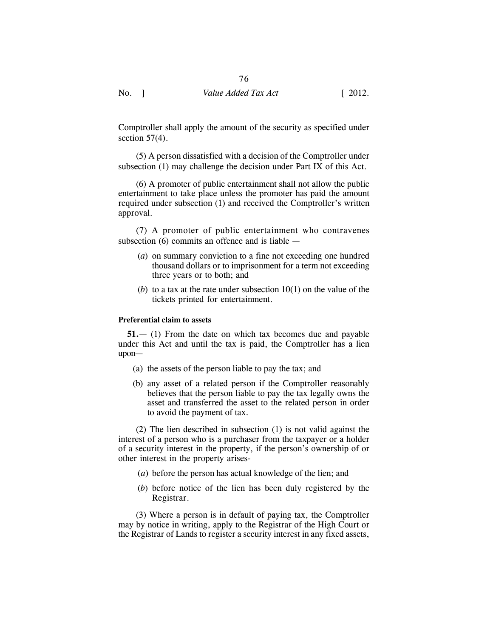Comptroller shall apply the amount of the security as specified under section  $57(4)$ .

(5) A person dissatisfied with a decision of the Comptroller under subsection (1) may challenge the decision under Part IX of this Act.

(6) A promoter of public entertainment shall not allow the public entertainment to take place unless the promoter has paid the amount required under subsection (1) and received the Comptroller's written approval.

(7) A promoter of public entertainment who contravenes subsection (6) commits an offence and is liable —

- (*a*) on summary conviction to a fine not exceeding one hundred thousand dollars or to imprisonment for a term not exceeding three years or to both; and
- (*b*) to a tax at the rate under subsection 10(1) on the value of the tickets printed for entertainment.

## **Preferential claim to assets**

**51.**— (1) From the date on which tax becomes due and payable under this Act and until the tax is paid, the Comptroller has a lien upon—

- (a) the assets of the person liable to pay the tax; and
- (b) any asset of a related person if the Comptroller reasonably believes that the person liable to pay the tax legally owns the asset and transferred the asset to the related person in order to avoid the payment of tax.

(2) The lien described in subsection (1) is not valid against the interest of a person who is a purchaser from the taxpayer or a holder of a security interest in the property, if the person's ownership of or other interest in the property arises-

- (*a*) before the person has actual knowledge of the lien; and
- (*b*) before notice of the lien has been duly registered by the Registrar.

(3) Where a person is in default of paying tax, the Comptroller may by notice in writing, apply to the Registrar of the High Court or the Registrar of Lands to register a security interest in any fixed assets,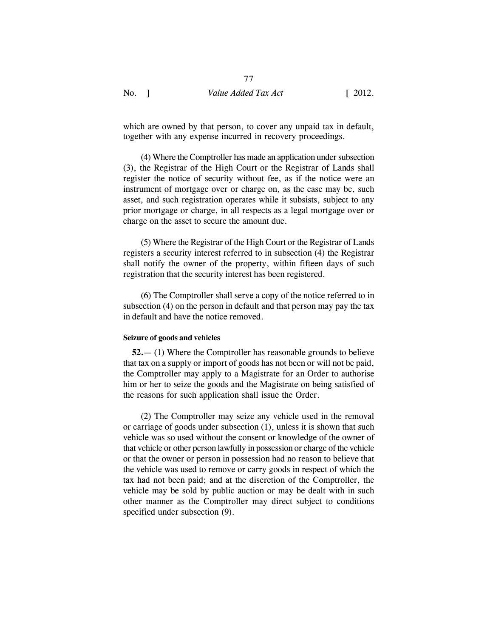77

which are owned by that person, to cover any unpaid tax in default, together with any expense incurred in recovery proceedings.

(4) Where the Comptroller has made an application under subsection (3), the Registrar of the High Court or the Registrar of Lands shall register the notice of security without fee, as if the notice were an instrument of mortgage over or charge on, as the case may be, such asset, and such registration operates while it subsists, subject to any prior mortgage or charge, in all respects as a legal mortgage over or charge on the asset to secure the amount due.

(5) Where the Registrar of the High Court or the Registrar of Lands registers a security interest referred to in subsection (4) the Registrar shall notify the owner of the property, within fifteen days of such registration that the security interest has been registered.

(6) The Comptroller shall serve a copy of the notice referred to in subsection (4) on the person in default and that person may pay the tax in default and have the notice removed.

#### **Seizure of goods and vehicles**

**52.**— (1) Where the Comptroller has reasonable grounds to believe that tax on a supply or import of goods has not been or will not be paid, the Comptroller may apply to a Magistrate for an Order to authorise him or her to seize the goods and the Magistrate on being satisfied of the reasons for such application shall issue the Order.

(2) The Comptroller may seize any vehicle used in the removal or carriage of goods under subsection (1), unless it is shown that such vehicle was so used without the consent or knowledge of the owner of that vehicle or other person lawfully in possession or charge of the vehicle or that the owner or person in possession had no reason to believe that the vehicle was used to remove or carry goods in respect of which the tax had not been paid; and at the discretion of the Comptroller, the vehicle may be sold by public auction or may be dealt with in such other manner as the Comptroller may direct subject to conditions specified under subsection (9).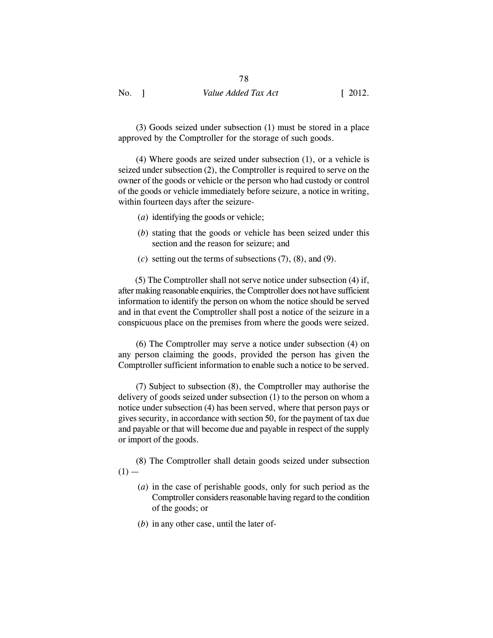(3) Goods seized under subsection (1) must be stored in a place approved by the Comptroller for the storage of such goods.

(4) Where goods are seized under subsection (1), or a vehicle is seized under subsection (2), the Comptroller is required to serve on the owner of the goods or vehicle or the person who had custody or control of the goods or vehicle immediately before seizure, a notice in writing, within fourteen days after the seizure-

- (*a*) identifying the goods or vehicle;
- (*b*) stating that the goods or vehicle has been seized under this section and the reason for seizure; and
- (*c*) setting out the terms of subsections (7), (8), and (9).

(5) The Comptroller shall not serve notice under subsection (4) if, after making reasonable enquiries, the Comptroller does not have sufficient information to identify the person on whom the notice should be served and in that event the Comptroller shall post a notice of the seizure in a conspicuous place on the premises from where the goods were seized.

(6) The Comptroller may serve a notice under subsection (4) on any person claiming the goods, provided the person has given the Comptroller sufficient information to enable such a notice to be served.

(7) Subject to subsection (8), the Comptroller may authorise the delivery of goods seized under subsection (1) to the person on whom a notice under subsection (4) has been served, where that person pays or gives security, in accordance with section 50, for the payment of tax due and payable or that will become due and payable in respect of the supply or import of the goods.

(8) The Comptroller shall detain goods seized under subsection  $(1)$  —

- (*a*) in the case of perishable goods, only for such period as the Comptroller considers reasonable having regard to the condition of the goods; or
- (*b*) in any other case, until the later of-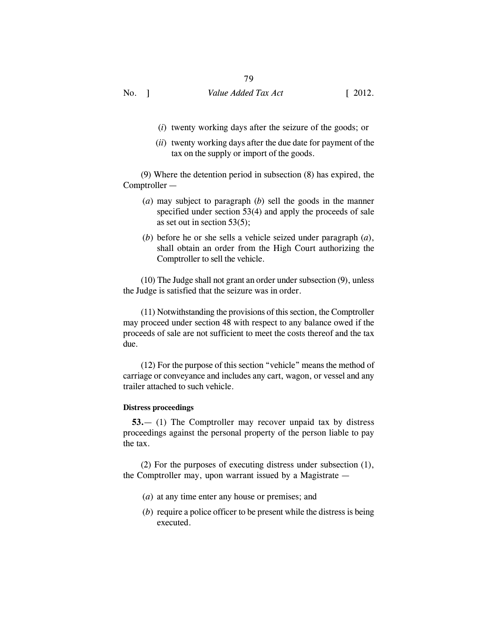- (*i*) twenty working days after the seizure of the goods; or
- (*ii*) twenty working days after the due date for payment of the tax on the supply or import of the goods.

(9) Where the detention period in subsection (8) has expired, the Comptroller —

- (*a*) may subject to paragraph (*b*) sell the goods in the manner specified under section 53(4) and apply the proceeds of sale as set out in section 53(5);
- (*b*) before he or she sells a vehicle seized under paragraph (*a*), shall obtain an order from the High Court authorizing the Comptroller to sell the vehicle.

(10) The Judge shall not grant an order under subsection (9), unless the Judge is satisfied that the seizure was in order.

(11) Notwithstanding the provisions of this section, the Comptroller may proceed under section 48 with respect to any balance owed if the proceeds of sale are not sufficient to meet the costs thereof and the tax due.

(12) For the purpose of this section "vehicle" means the method of carriage or conveyance and includes any cart, wagon, or vessel and any trailer attached to such vehicle.

#### **Distress proceedings**

**53.**— (1) The Comptroller may recover unpaid tax by distress proceedings against the personal property of the person liable to pay the tax.

(2) For the purposes of executing distress under subsection (1), the Comptroller may, upon warrant issued by a Magistrate —

- (*a*) at any time enter any house or premises; and
- (*b*) require a police officer to be present while the distress is being executed.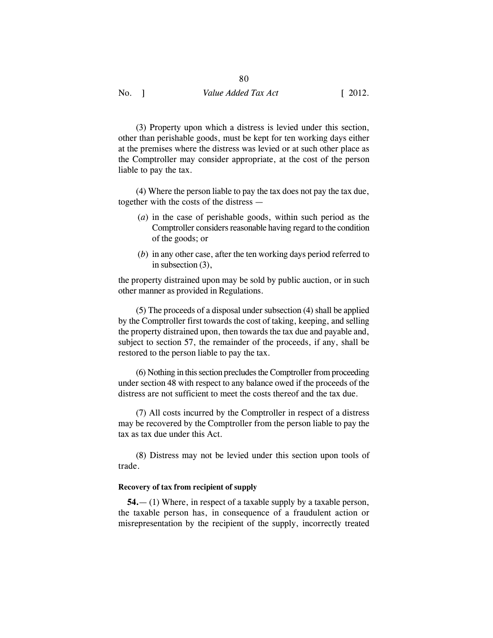(3) Property upon which a distress is levied under this section, other than perishable goods, must be kept for ten working days either at the premises where the distress was levied or at such other place as the Comptroller may consider appropriate, at the cost of the person liable to pay the tax.

(4) Where the person liable to pay the tax does not pay the tax due, together with the costs of the distress —

- (*a*) in the case of perishable goods, within such period as the Comptroller considers reasonable having regard to the condition of the goods; or
- (*b*) in any other case, after the ten working days period referred to in subsection (3),

the property distrained upon may be sold by public auction, or in such other manner as provided in Regulations.

(5) The proceeds of a disposal under subsection (4) shall be applied by the Comptroller first towards the cost of taking, keeping, and selling the property distrained upon, then towards the tax due and payable and, subject to section 57, the remainder of the proceeds, if any, shall be restored to the person liable to pay the tax.

(6) Nothing in this section precludes the Comptroller from proceeding under section 48 with respect to any balance owed if the proceeds of the distress are not sufficient to meet the costs thereof and the tax due.

(7) All costs incurred by the Comptroller in respect of a distress may be recovered by the Comptroller from the person liable to pay the tax as tax due under this Act.

(8) Distress may not be levied under this section upon tools of trade.

## **Recovery of tax from recipient of supply**

**54.**— (1) Where, in respect of a taxable supply by a taxable person, the taxable person has, in consequence of a fraudulent action or misrepresentation by the recipient of the supply, incorrectly treated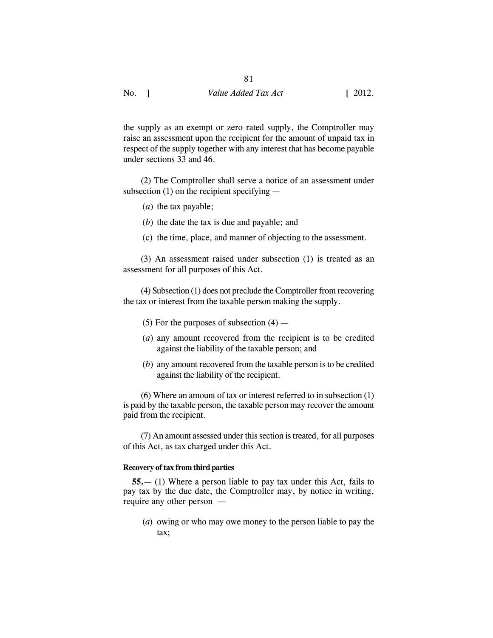81

the supply as an exempt or zero rated supply, the Comptroller may raise an assessment upon the recipient for the amount of unpaid tax in respect of the supply together with any interest that has become payable under sections 33 and 46.

(2) The Comptroller shall serve a notice of an assessment under subsection (1) on the recipient specifying —

- (*a*) the tax payable;
- (*b*) the date the tax is due and payable; and
- (c) the time, place, and manner of objecting to the assessment.

(3) An assessment raised under subsection (1) is treated as an assessment for all purposes of this Act.

(4) Subsection (1) does not preclude the Comptroller from recovering the tax or interest from the taxable person making the supply.

- (5) For the purposes of subsection  $(4)$  —
- (*a*) any amount recovered from the recipient is to be credited against the liability of the taxable person; and
- (*b*) any amount recovered from the taxable person is to be credited against the liability of the recipient.

(6) Where an amount of tax or interest referred to in subsection (1) is paid by the taxable person, the taxable person may recover the amount paid from the recipient.

(7) An amount assessed under this section is treated, for all purposes of this Act, as tax charged under this Act.

#### **Recovery of tax from third parties**

**55.**— (1) Where a person liable to pay tax under this Act, fails to pay tax by the due date, the Comptroller may, by notice in writing, require any other person —

(*a*) owing or who may owe money to the person liable to pay the tax;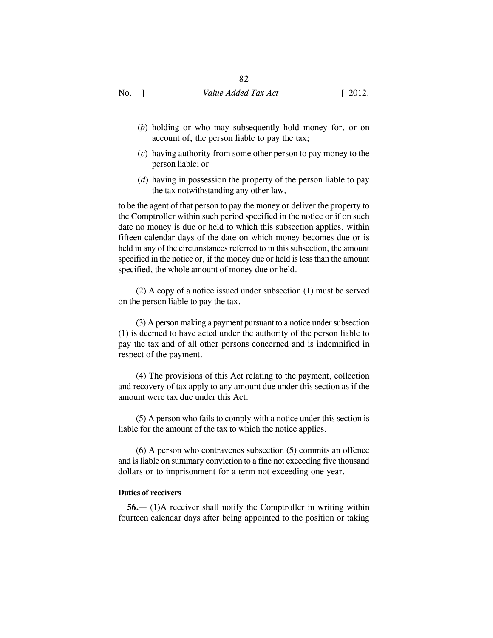# 82

No. 1 Value *Added Tax Act* [ 2012.

- (*b*) holding or who may subsequently hold money for, or on account of, the person liable to pay the tax;
- (*c*) having authority from some other person to pay money to the person liable; or
- (*d*) having in possession the property of the person liable to pay the tax notwithstanding any other law,

to be the agent of that person to pay the money or deliver the property to the Comptroller within such period specified in the notice or if on such date no money is due or held to which this subsection applies, within fifteen calendar days of the date on which money becomes due or is held in any of the circumstances referred to in this subsection, the amount specified in the notice or, if the money due or held is less than the amount specified, the whole amount of money due or held.

(2) A copy of a notice issued under subsection (1) must be served on the person liable to pay the tax.

(3) A person making a payment pursuant to a notice under subsection (1) is deemed to have acted under the authority of the person liable to pay the tax and of all other persons concerned and is indemnified in respect of the payment.

(4) The provisions of this Act relating to the payment, collection and recovery of tax apply to any amount due under this section as if the amount were tax due under this Act.

(5) A person who fails to comply with a notice under this section is liable for the amount of the tax to which the notice applies.

(6) A person who contravenes subsection (5) commits an offence and is liable on summary conviction to a fine not exceeding five thousand dollars or to imprisonment for a term not exceeding one year.

#### **Duties of receivers**

**56.**— (1)A receiver shall notify the Comptroller in writing within fourteen calendar days after being appointed to the position or taking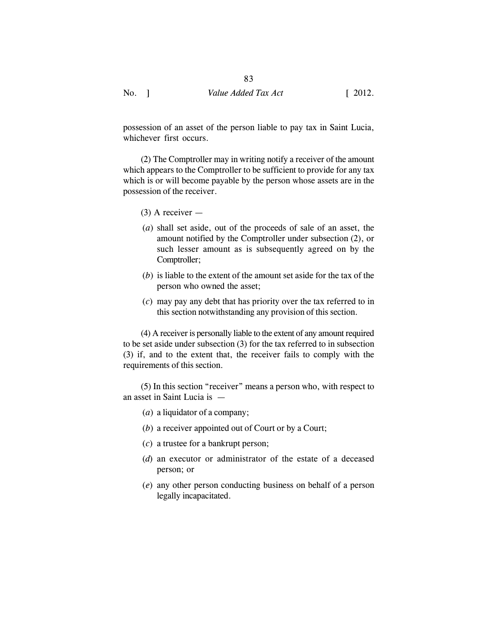possession of an asset of the person liable to pay tax in Saint Lucia, whichever first occurs.

(2) The Comptroller may in writing notify a receiver of the amount which appears to the Comptroller to be sufficient to provide for any tax which is or will become payable by the person whose assets are in the possession of the receiver.

- (3) A receiver —
- (*a*) shall set aside, out of the proceeds of sale of an asset, the amount notified by the Comptroller under subsection (2), or such lesser amount as is subsequently agreed on by the Comptroller;
- (*b*) is liable to the extent of the amount set aside for the tax of the person who owned the asset;
- (*c*) may pay any debt that has priority over the tax referred to in this section notwithstanding any provision of this section.

(4) A receiver is personally liable to the extent of any amount required to be set aside under subsection (3) for the tax referred to in subsection (3) if, and to the extent that, the receiver fails to comply with the requirements of this section.

(5) In this section "receiver" means a person who, with respect to an asset in Saint Lucia is —

- (*a*) a liquidator of a company;
- (*b*) a receiver appointed out of Court or by a Court;
- (*c*) a trustee for a bankrupt person;
- (*d*) an executor or administrator of the estate of a deceased person; or
- (*e*) any other person conducting business on behalf of a person legally incapacitated.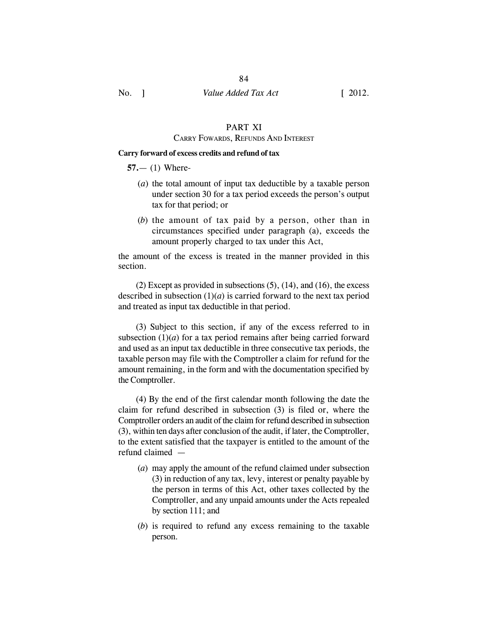# PART XI

## CARRY FOWARDS, REFUNDS AND INTEREST

## **Carry forward of excess credits and refund of tax**

**57.**— (1) Where-

- (*a*) the total amount of input tax deductible by a taxable person under section 30 for a tax period exceeds the person's output tax for that period; or
- (*b*) the amount of tax paid by a person, other than in circumstances specified under paragraph (a), exceeds the amount properly charged to tax under this Act,

the amount of the excess is treated in the manner provided in this section.

(2) Except as provided in subsections (5), (14), and (16), the excess described in subsection  $(1)(a)$  is carried forward to the next tax period and treated as input tax deductible in that period.

(3) Subject to this section, if any of the excess referred to in subsection  $(1)(a)$  for a tax period remains after being carried forward and used as an input tax deductible in three consecutive tax periods, the taxable person may file with the Comptroller a claim for refund for the amount remaining, in the form and with the documentation specified by the Comptroller.

(4) By the end of the first calendar month following the date the claim for refund described in subsection (3) is filed or, where the Comptroller orders an audit of the claim for refund described in subsection (3), within ten days after conclusion of the audit, if later, the Comptroller, to the extent satisfied that the taxpayer is entitled to the amount of the refund claimed —

- (*a*) may apply the amount of the refund claimed under subsection (3) in reduction of any tax, levy, interest or penalty payable by the person in terms of this Act, other taxes collected by the Comptroller, and any unpaid amounts under the Acts repealed by section 111; and
- (*b*) is required to refund any excess remaining to the taxable person.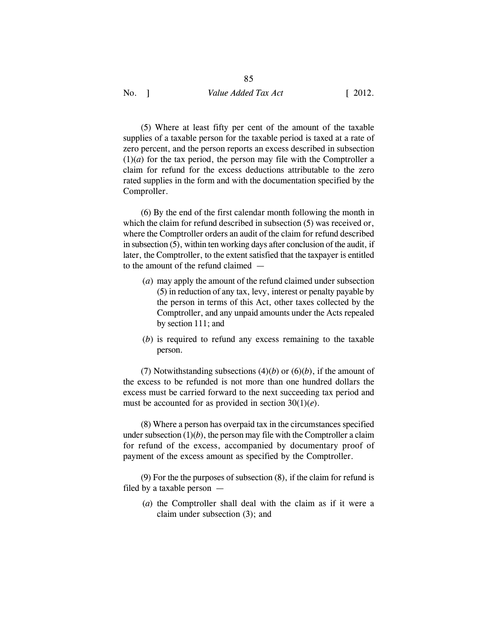(5) Where at least fifty per cent of the amount of the taxable supplies of a taxable person for the taxable period is taxed at a rate of zero percent, and the person reports an excess described in subsection  $(1)(a)$  for the tax period, the person may file with the Comptroller a claim for refund for the excess deductions attributable to the zero rated supplies in the form and with the documentation specified by the Comproller.

85

(6) By the end of the first calendar month following the month in which the claim for refund described in subsection  $(5)$  was received or, where the Comptroller orders an audit of the claim for refund described in subsection (5), within ten working days after conclusion of the audit, if later, the Comptroller, to the extent satisfied that the taxpayer is entitled to the amount of the refund claimed —

- (*a*) may apply the amount of the refund claimed under subsection (5) in reduction of any tax, levy, interest or penalty payable by the person in terms of this Act, other taxes collected by the Comptroller, and any unpaid amounts under the Acts repealed by section 111; and
- (*b*) is required to refund any excess remaining to the taxable person.

(7) Notwithstanding subsections  $(4)(b)$  or  $(6)(b)$ , if the amount of the excess to be refunded is not more than one hundred dollars the excess must be carried forward to the next succeeding tax period and must be accounted for as provided in section 30(1)(*e*).

(8) Where a person has overpaid tax in the circumstances specified under subsection  $(1)(b)$ , the person may file with the Comptroller a claim for refund of the excess, accompanied by documentary proof of payment of the excess amount as specified by the Comptroller.

(9) For the the purposes of subsection (8), if the claim for refund is filed by a taxable person —

(*a*) the Comptroller shall deal with the claim as if it were a claim under subsection (3); and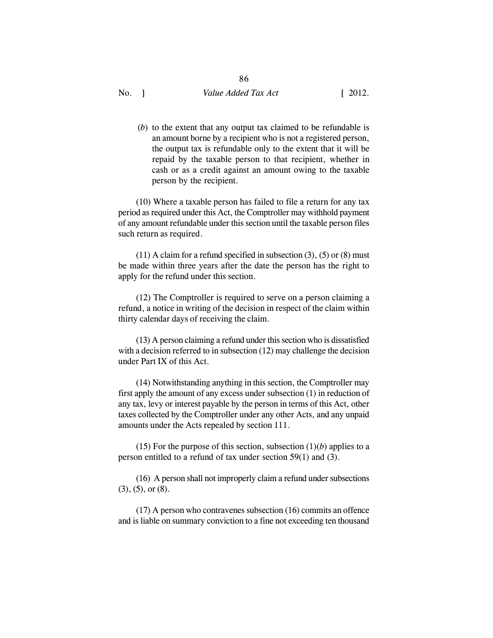86

(*b*) to the extent that any output tax claimed to be refundable is an amount borne by a recipient who is not a registered person, the output tax is refundable only to the extent that it will be repaid by the taxable person to that recipient, whether in cash or as a credit against an amount owing to the taxable person by the recipient.

(10) Where a taxable person has failed to file a return for any tax period as required under this Act, the Comptroller may withhold payment of any amount refundable under this section until the taxable person files such return as required.

 $(11)$  A claim for a refund specified in subsection  $(3)$ ,  $(5)$  or  $(8)$  must be made within three years after the date the person has the right to apply for the refund under this section.

(12) The Comptroller is required to serve on a person claiming a refund, a notice in writing of the decision in respect of the claim within thirty calendar days of receiving the claim.

(13) A person claiming a refund under this section who is dissatisfied with a decision referred to in subsection (12) may challenge the decision under Part IX of this Act.

(14) Notwithstanding anything in this section, the Comptroller may first apply the amount of any excess under subsection (1) in reduction of any tax, levy or interest payable by the person in terms of this Act, other taxes collected by the Comptroller under any other Acts, and any unpaid amounts under the Acts repealed by section 111.

(15) For the purpose of this section, subsection  $(1)(b)$  applies to a person entitled to a refund of tax under section 59(1) and (3).

(16) A person shall not improperly claim a refund under subsections  $(3)$ ,  $(5)$ , or  $(8)$ .

(17) A person who contravenes subsection (16) commits an offence and is liable on summary conviction to a fine not exceeding ten thousand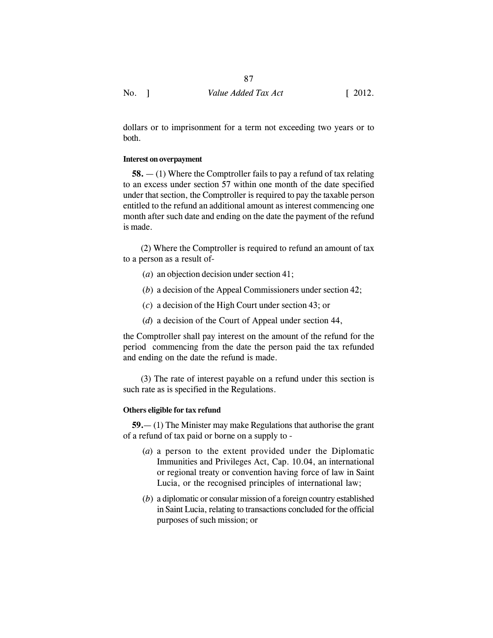dollars or to imprisonment for a term not exceeding two years or to both.

## **Interest on overpayment**

**58.** — (1) Where the Comptroller fails to pay a refund of tax relating to an excess under section 57 within one month of the date specified under that section, the Comptroller is required to pay the taxable person entitled to the refund an additional amount as interest commencing one month after such date and ending on the date the payment of the refund is made.

(2) Where the Comptroller is required to refund an amount of tax to a person as a result of-

- (*a*) an objection decision under section 41;
- (*b*) a decision of the Appeal Commissioners under section 42;
- (*c*) a decision of the High Court under section 43; or
- (*d*) a decision of the Court of Appeal under section 44,

the Comptroller shall pay interest on the amount of the refund for the period commencing from the date the person paid the tax refunded and ending on the date the refund is made.

(3) The rate of interest payable on a refund under this section is such rate as is specified in the Regulations.

## **Others eligible for tax refund**

**59.**— (1) The Minister may make Regulations that authorise the grant of a refund of tax paid or borne on a supply to -

- (*a*) a person to the extent provided under the Diplomatic Immunities and Privileges Act, Cap. 10.04, an international or regional treaty or convention having force of law in Saint Lucia, or the recognised principles of international law;
- (*b*) a diplomatic or consular mission of a foreign country established in Saint Lucia, relating to transactions concluded for the official purposes of such mission; or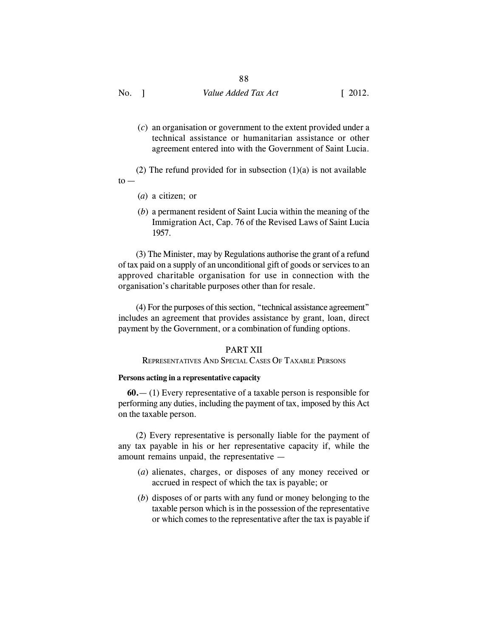(*c*) an organisation or government to the extent provided under a technical assistance or humanitarian assistance or other agreement entered into with the Government of Saint Lucia.

(2) The refund provided for in subsection  $(1)(a)$  is not available  $to -$ 

- (*a*) a citizen; or
- (*b*) a permanent resident of Saint Lucia within the meaning of the Immigration Act, Cap. 76 of the Revised Laws of Saint Lucia 1957.

(3) The Minister, may by Regulations authorise the grant of a refund of tax paid on a supply of an unconditional gift of goods or services to an approved charitable organisation for use in connection with the organisation's charitable purposes other than for resale.

(4) For the purposes of this section, "technical assistance agreement" includes an agreement that provides assistance by grant, loan, direct payment by the Government, or a combination of funding options.

## PART XII

## REPRESENTATIVES AND SPECIAL CASES OF TAXABLE PERSONS

#### **Persons acting in a representative capacity**

**60.**— (1) Every representative of a taxable person is responsible for performing any duties, including the payment of tax, imposed by this Act on the taxable person.

(2) Every representative is personally liable for the payment of any tax payable in his or her representative capacity if, while the amount remains unpaid, the representative —

- (*a*) alienates, charges, or disposes of any money received or accrued in respect of which the tax is payable; or
- (*b*) disposes of or parts with any fund or money belonging to the taxable person which is in the possession of the representative or which comes to the representative after the tax is payable if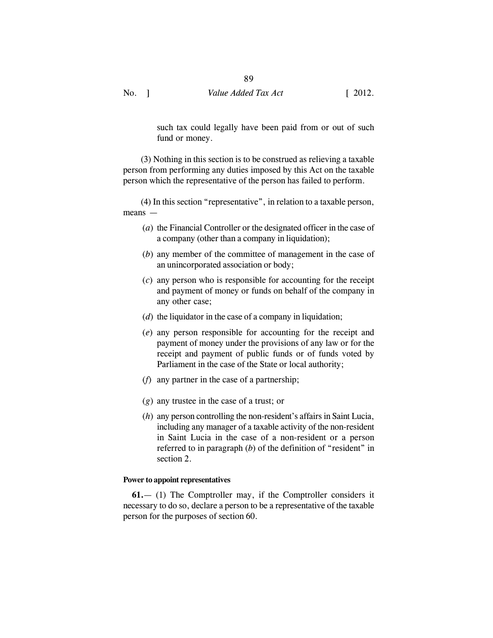such tax could legally have been paid from or out of such fund or money.

(3) Nothing in this section is to be construed as relieving a taxable person from performing any duties imposed by this Act on the taxable person which the representative of the person has failed to perform.

(4) In this section "representative", in relation to a taxable person, means —

- (*a*) the Financial Controller or the designated officer in the case of a company (other than a company in liquidation);
- (*b*) any member of the committee of management in the case of an unincorporated association or body;
- (*c*) any person who is responsible for accounting for the receipt and payment of money or funds on behalf of the company in any other case;
- (*d*) the liquidator in the case of a company in liquidation;
- (*e*) any person responsible for accounting for the receipt and payment of money under the provisions of any law or for the receipt and payment of public funds or of funds voted by Parliament in the case of the State or local authority;
- (*f*) any partner in the case of a partnership;
- (*g*) any trustee in the case of a trust; or
- (*h*) any person controlling the non-resident's affairs in Saint Lucia, including any manager of a taxable activity of the non-resident in Saint Lucia in the case of a non-resident or a person referred to in paragraph (*b*) of the definition of "resident" in section 2.

## **Power to appoint representatives**

**61.**— (1) The Comptroller may, if the Comptroller considers it necessary to do so, declare a person to be a representative of the taxable person for the purposes of section 60.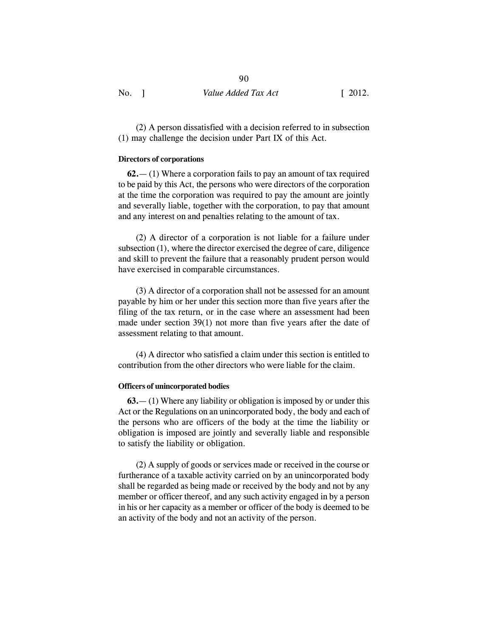(2) A person dissatisfied with a decision referred to in subsection (1) may challenge the decision under Part IX of this Act.

#### **Directors of corporations**

**62.**— (1) Where a corporation fails to pay an amount of tax required to be paid by this Act, the persons who were directors of the corporation at the time the corporation was required to pay the amount are jointly and severally liable, together with the corporation, to pay that amount and any interest on and penalties relating to the amount of tax.

(2) A director of a corporation is not liable for a failure under subsection (1), where the director exercised the degree of care, diligence and skill to prevent the failure that a reasonably prudent person would have exercised in comparable circumstances.

(3) A director of a corporation shall not be assessed for an amount payable by him or her under this section more than five years after the filing of the tax return, or in the case where an assessment had been made under section 39(1) not more than five years after the date of assessment relating to that amount.

(4) A director who satisfied a claim under this section is entitled to contribution from the other directors who were liable for the claim.

#### **Officers of unincorporated bodies**

**63.**— (1) Where any liability or obligation is imposed by or under this Act or the Regulations on an unincorporated body, the body and each of the persons who are officers of the body at the time the liability or obligation is imposed are jointly and severally liable and responsible to satisfy the liability or obligation.

(2) A supply of goods or services made or received in the course or furtherance of a taxable activity carried on by an unincorporated body shall be regarded as being made or received by the body and not by any member or officer thereof, and any such activity engaged in by a person in his or her capacity as a member or officer of the body is deemed to be an activity of the body and not an activity of the person.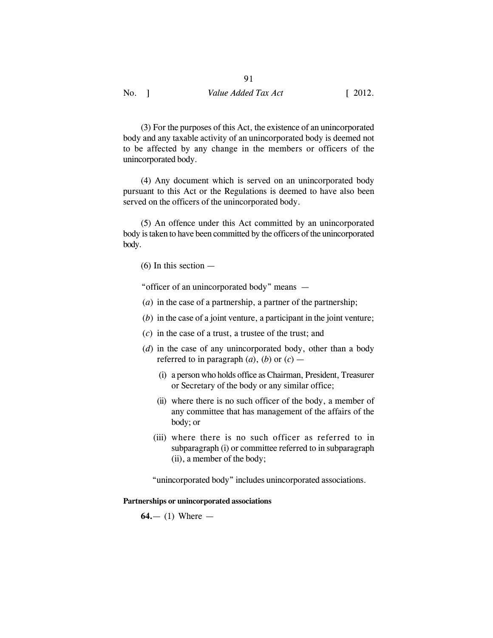91

(3) For the purposes of this Act, the existence of an unincorporated body and any taxable activity of an unincorporated body is deemed not to be affected by any change in the members or officers of the unincorporated body.

(4) Any document which is served on an unincorporated body pursuant to this Act or the Regulations is deemed to have also been served on the officers of the unincorporated body.

(5) An offence under this Act committed by an unincorporated body is taken to have been committed by the officers of the unincorporated body.

(6) In this section —

"officer of an unincorporated body" means —

- (*a*) in the case of a partnership, a partner of the partnership;
- (*b*) in the case of a joint venture, a participant in the joint venture;
- $(c)$  in the case of a trust, a trustee of the trust; and
- (*d*) in the case of any unincorporated body, other than a body referred to in paragraph  $(a)$ ,  $(b)$  or  $(c)$  —
	- (i) a person who holds office as Chairman, President, Treasurer or Secretary of the body or any similar office;
	- (ii) where there is no such officer of the body, a member of any committee that has management of the affairs of the body; or
	- (iii) where there is no such officer as referred to in subparagraph (i) or committee referred to in subparagraph (ii), a member of the body;

"unincorporated body" includes unincorporated associations.

**Partnerships or unincorporated associations**

**64.**— (1) Where —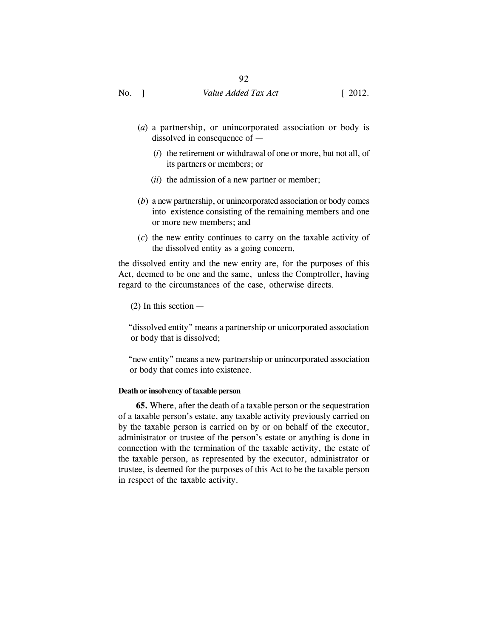- (*a*) a partnership, or unincorporated association or body is dissolved in consequence of —
	- (*i*) the retirement or withdrawal of one or more, but not all, of its partners or members; or
	- (*ii*) the admission of a new partner or member;
- (*b*) a new partnership, or unincorporated association or body comes into existence consisting of the remaining members and one or more new members; and
- (*c*) the new entity continues to carry on the taxable activity of the dissolved entity as a going concern,

the dissolved entity and the new entity are, for the purposes of this Act, deemed to be one and the same, unless the Comptroller, having regard to the circumstances of the case, otherwise directs.

(2) In this section —

 "dissolved entity" means a partnership or unicorporated association or body that is dissolved;

 "new entity" means a new partnership or unincorporated association or body that comes into existence.

#### **Death or insolvency of taxable person**

**65.** Where, after the death of a taxable person or the sequestration of a taxable person's estate, any taxable activity previously carried on by the taxable person is carried on by or on behalf of the executor, administrator or trustee of the person's estate or anything is done in connection with the termination of the taxable activity, the estate of the taxable person, as represented by the executor, administrator or trustee, is deemed for the purposes of this Act to be the taxable person in respect of the taxable activity.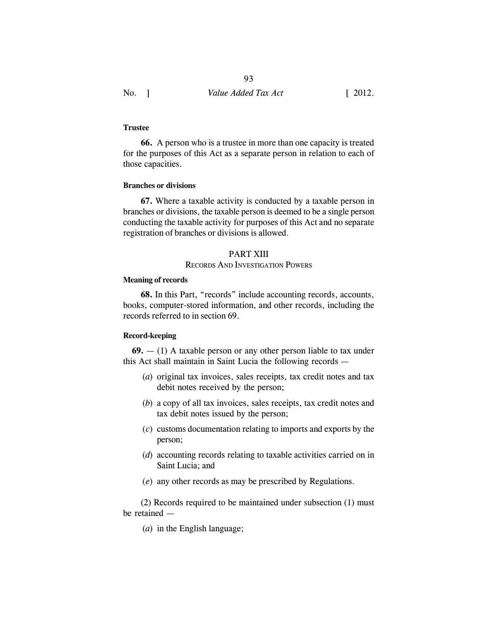## **Trustee**

**66.** A person who is a trustee in more than one capacity is treated for the purposes of this Act as a separate person in relation to each of those capacities.

## **Branches or divisions**

**67.** Where a taxable activity is conducted by a taxable person in branches or divisions, the taxable person is deemed to be a single person conducting the taxable activity for purposes of this Act and no separate registration of branches or divisions is allowed.

## PART XIII

## RECORDS AND INVESTIGATION POWERS

### **Meaning of records**

**68.** In this Part, "records" include accounting records, accounts, books, computer-stored information, and other records, including the records referred to in section 69.

## **Record-keeping**

**69.** — (1) A taxable person or any other person liable to tax under this Act shall maintain in Saint Lucia the following records —

- (*a*) original tax invoices, sales receipts, tax credit notes and tax debit notes received by the person;
- (*b*) a copy of all tax invoices, sales receipts, tax credit notes and tax debit notes issued by the person;
- (*c*) customs documentation relating to imports and exports by the person;
- (*d*) accounting records relating to taxable activities carried on in Saint Lucia; and
- (*e*) any other records as may be prescribed by Regulations.

(2) Records required to be maintained under subsection (1) must be retained —

(*a*) in the English language;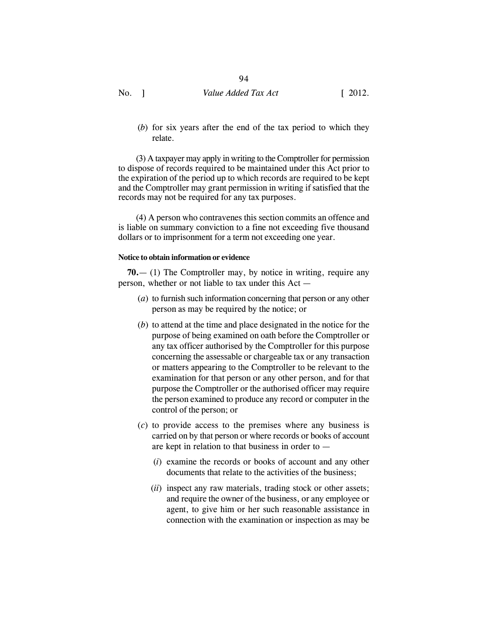(*b*) for six years after the end of the tax period to which they relate.

(3) A taxpayer may apply in writing to the Comptroller for permission to dispose of records required to be maintained under this Act prior to the expiration of the period up to which records are required to be kept and the Comptroller may grant permission in writing if satisfied that the records may not be required for any tax purposes.

(4) A person who contravenes this section commits an offence and is liable on summary conviction to a fine not exceeding five thousand dollars or to imprisonment for a term not exceeding one year.

## **Notice to obtain information or evidence**

**70.**— (1) The Comptroller may, by notice in writing, require any person, whether or not liable to tax under this Act —

- (*a*) to furnish such information concerning that person or any other person as may be required by the notice; or
- (*b*) to attend at the time and place designated in the notice for the purpose of being examined on oath before the Comptroller or any tax officer authorised by the Comptroller for this purpose concerning the assessable or chargeable tax or any transaction or matters appearing to the Comptroller to be relevant to the examination for that person or any other person, and for that purpose the Comptroller or the authorised officer may require the person examined to produce any record or computer in the control of the person; or
- (*c*) to provide access to the premises where any business is carried on by that person or where records or books of account are kept in relation to that business in order to —
	- (*i*) examine the records or books of account and any other documents that relate to the activities of the business;
	- (*ii*) inspect any raw materials, trading stock or other assets; and require the owner of the business, or any employee or agent, to give him or her such reasonable assistance in connection with the examination or inspection as may be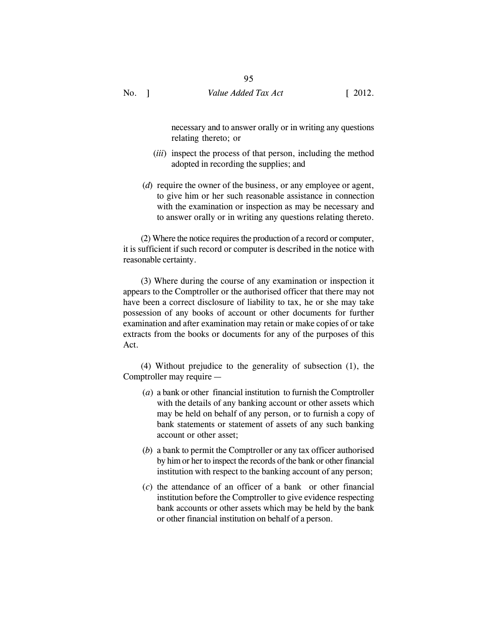necessary and to answer orally or in writing any questions relating thereto; or

- (*iii*) inspect the process of that person, including the method adopted in recording the supplies; and
- (*d*) require the owner of the business, or any employee or agent, to give him or her such reasonable assistance in connection with the examination or inspection as may be necessary and to answer orally or in writing any questions relating thereto.

(2) Where the notice requires the production of a record or computer, it is sufficient if such record or computer is described in the notice with reasonable certainty.

(3) Where during the course of any examination or inspection it appears to the Comptroller or the authorised officer that there may not have been a correct disclosure of liability to tax, he or she may take possession of any books of account or other documents for further examination and after examination may retain or make copies of or take extracts from the books or documents for any of the purposes of this Act.

(4) Without prejudice to the generality of subsection (1), the Comptroller may require —

- (*a*) a bank or other financial institution to furnish the Comptroller with the details of any banking account or other assets which may be held on behalf of any person, or to furnish a copy of bank statements or statement of assets of any such banking account or other asset;
- (*b*) a bank to permit the Comptroller or any tax officer authorised by him or her to inspect the records of the bank or other financial institution with respect to the banking account of any person;
- (*c*) the attendance of an officer of a bank or other financial institution before the Comptroller to give evidence respecting bank accounts or other assets which may be held by the bank or other financial institution on behalf of a person.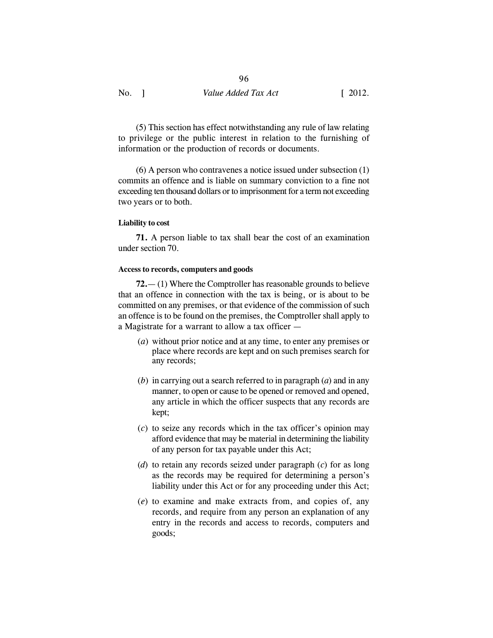(5) This section has effect notwithstanding any rule of law relating to privilege or the public interest in relation to the furnishing of information or the production of records or documents.

(6) A person who contravenes a notice issued under subsection (1) commits an offence and is liable on summary conviction to a fine not exceeding ten thousand dollars or to imprisonment for a term not exceeding two years or to both.

## **Liability to cost**

**71.** A person liable to tax shall bear the cost of an examination under section 70.

## **Access to records, computers and goods**

**72.**— (1) Where the Comptroller has reasonable grounds to believe that an offence in connection with the tax is being, or is about to be committed on any premises, or that evidence of the commission of such an offence is to be found on the premises, the Comptroller shall apply to a Magistrate for a warrant to allow a tax officer —

- (*a*) without prior notice and at any time, to enter any premises or place where records are kept and on such premises search for any records;
- (*b*) in carrying out a search referred to in paragraph (*a*) and in any manner, to open or cause to be opened or removed and opened, any article in which the officer suspects that any records are kept;
- (*c*) to seize any records which in the tax officer's opinion may afford evidence that may be material in determining the liability of any person for tax payable under this Act;
- (*d*) to retain any records seized under paragraph (*c*) for as long as the records may be required for determining a person's liability under this Act or for any proceeding under this Act;
- (*e*) to examine and make extracts from, and copies of, any records, and require from any person an explanation of any entry in the records and access to records, computers and goods;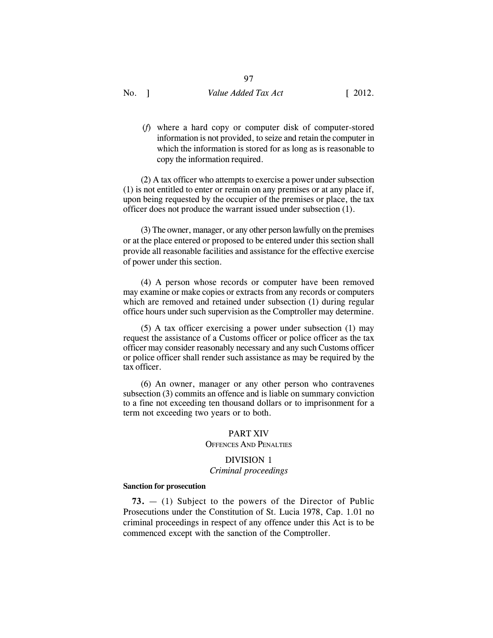97

(*f*) where a hard copy or computer disk of computer-stored information is not provided, to seize and retain the computer in which the information is stored for as long as is reasonable to copy the information required.

(2) A tax officer who attempts to exercise a power under subsection (1) is not entitled to enter or remain on any premises or at any place if, upon being requested by the occupier of the premises or place, the tax officer does not produce the warrant issued under subsection (1).

(3) The owner, manager, or any other person lawfully on the premises or at the place entered or proposed to be entered under this section shall provide all reasonable facilities and assistance for the effective exercise of power under this section.

(4) A person whose records or computer have been removed may examine or make copies or extracts from any records or computers which are removed and retained under subsection (1) during regular office hours under such supervision as the Comptroller may determine.

(5) A tax officer exercising a power under subsection (1) may request the assistance of a Customs officer or police officer as the tax officer may consider reasonably necessary and any such Customs officer or police officer shall render such assistance as may be required by the tax officer.

(6) An owner, manager or any other person who contravenes subsection (3) commits an offence and is liable on summary conviction to a fine not exceeding ten thousand dollars or to imprisonment for a term not exceeding two years or to both.

## PART XIV

## OFFENCES AND PENALTIES

## DIVISION 1

## *Criminal proceedings*

#### **Sanction for prosecution**

**73.** — (1) Subject to the powers of the Director of Public Prosecutions under the Constitution of St. Lucia 1978, Cap. 1.01 no criminal proceedings in respect of any offence under this Act is to be commenced except with the sanction of the Comptroller.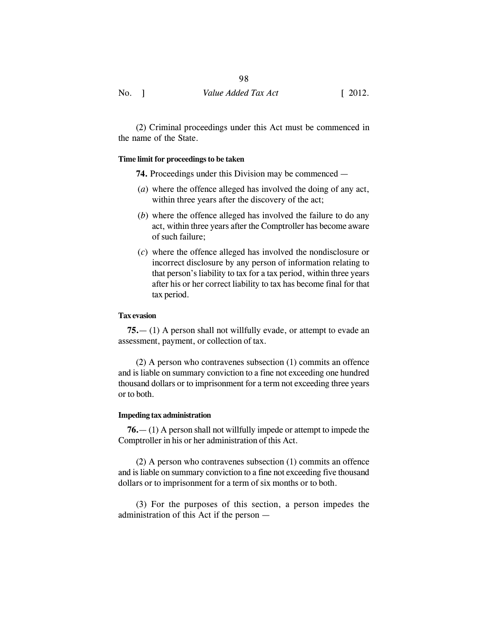(2) Criminal proceedings under this Act must be commenced in the name of the State.

## **Time limit for proceedings to be taken**

**74.** Proceedings under this Division may be commenced —

- (*a*) where the offence alleged has involved the doing of any act, within three years after the discovery of the act;
- (*b*) where the offence alleged has involved the failure to do any act, within three years after the Comptroller has become aware of such failure;
- (*c*) where the offence alleged has involved the nondisclosure or incorrect disclosure by any person of information relating to that person's liability to tax for a tax period, within three years after his or her correct liability to tax has become final for that tax period.

## **Tax evasion**

**75.**— (1) A person shall not willfully evade, or attempt to evade an assessment, payment, or collection of tax.

(2) A person who contravenes subsection (1) commits an offence and is liable on summary conviction to a fine not exceeding one hundred thousand dollars or to imprisonment for a term not exceeding three years or to both.

#### **Impeding tax administration**

**76.**— (1) A person shall not willfully impede or attempt to impede the Comptroller in his or her administration of this Act.

(2) A person who contravenes subsection (1) commits an offence and is liable on summary conviction to a fine not exceeding five thousand dollars or to imprisonment for a term of six months or to both.

(3) For the purposes of this section, a person impedes the administration of this Act if the person —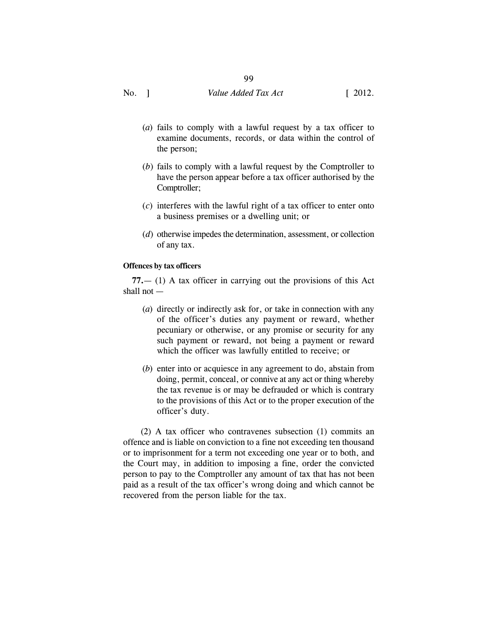## 99

No. 1 Value *Added Tax Act* [ 2012.

- (*a*) fails to comply with a lawful request by a tax officer to examine documents, records, or data within the control of the person;
- (*b*) fails to comply with a lawful request by the Comptroller to have the person appear before a tax officer authorised by the Comptroller;
- (*c*) interferes with the lawful right of a tax officer to enter onto a business premises or a dwelling unit; or
- (*d*) otherwise impedes the determination, assessment, or collection of any tax.

## **Offences by tax officers**

**77.**— (1) A tax officer in carrying out the provisions of this Act shall not —

- (*a*) directly or indirectly ask for, or take in connection with any of the officer's duties any payment or reward, whether pecuniary or otherwise, or any promise or security for any such payment or reward, not being a payment or reward which the officer was lawfully entitled to receive; or
- (*b*) enter into or acquiesce in any agreement to do, abstain from doing, permit, conceal, or connive at any act or thing whereby the tax revenue is or may be defrauded or which is contrary to the provisions of this Act or to the proper execution of the officer's duty.

(2) A tax officer who contravenes subsection (1) commits an offence and is liable on conviction to a fine not exceeding ten thousand or to imprisonment for a term not exceeding one year or to both, and the Court may, in addition to imposing a fine, order the convicted person to pay to the Comptroller any amount of tax that has not been paid as a result of the tax officer's wrong doing and which cannot be recovered from the person liable for the tax.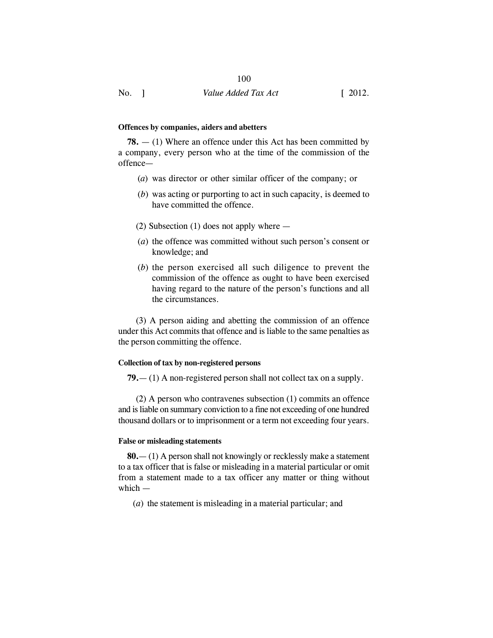#### **Offences by companies, aiders and abetters**

**78.** — (1) Where an offence under this Act has been committed by a company, every person who at the time of the commission of the offence—

- (*a*) was director or other similar officer of the company; or
- (*b*) was acting or purporting to act in such capacity, is deemed to have committed the offence.
- (2) Subsection (1) does not apply where —
- (*a*) the offence was committed without such person's consent or knowledge; and
- (*b*) the person exercised all such diligence to prevent the commission of the offence as ought to have been exercised having regard to the nature of the person's functions and all the circumstances.

(3) A person aiding and abetting the commission of an offence under this Act commits that offence and is liable to the same penalties as the person committing the offence.

## **Collection of tax by non-registered persons**

**79.**— (1) A non-registered person shall not collect tax on a supply.

(2) A person who contravenes subsection (1) commits an offence and is liable on summary conviction to a fine not exceeding of one hundred thousand dollars or to imprisonment or a term not exceeding four years.

## **False or misleading statements**

**80.**— (1) A person shall not knowingly or recklessly make a statement to a tax officer that is false or misleading in a material particular or omit from a statement made to a tax officer any matter or thing without which —

(*a*) the statement is misleading in a material particular; and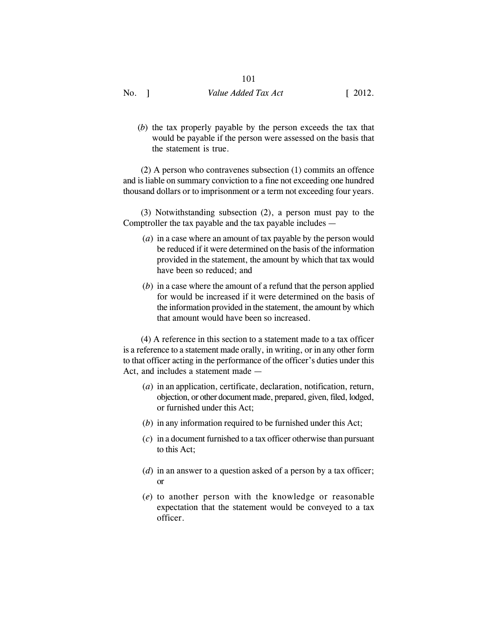# 101

No. 1 Value *Added Tax Act* [ 2012.

- 
- (*b*) the tax properly payable by the person exceeds the tax that would be payable if the person were assessed on the basis that the statement is true.

(2) A person who contravenes subsection (1) commits an offence and is liable on summary conviction to a fine not exceeding one hundred thousand dollars or to imprisonment or a term not exceeding four years.

(3) Notwithstanding subsection (2), a person must pay to the Comptroller the tax payable and the tax payable includes —

- (*a*) in a case where an amount of tax payable by the person would be reduced if it were determined on the basis of the information provided in the statement, the amount by which that tax would have been so reduced; and
- (*b*) in a case where the amount of a refund that the person applied for would be increased if it were determined on the basis of the information provided in the statement, the amount by which that amount would have been so increased.

(4) A reference in this section to a statement made to a tax officer is a reference to a statement made orally, in writing, or in any other form to that officer acting in the performance of the officer's duties under this Act, and includes a statement made —

- (*a*) in an application, certificate, declaration, notification, return, objection, or other document made, prepared, given, filed, lodged, or furnished under this Act;
- (*b*) in any information required to be furnished under this Act;
- (*c*) in a document furnished to a tax officer otherwise than pursuant to this Act;
- (*d*) in an answer to a question asked of a person by a tax officer; or
- (*e*) to another person with the knowledge or reasonable expectation that the statement would be conveyed to a tax officer.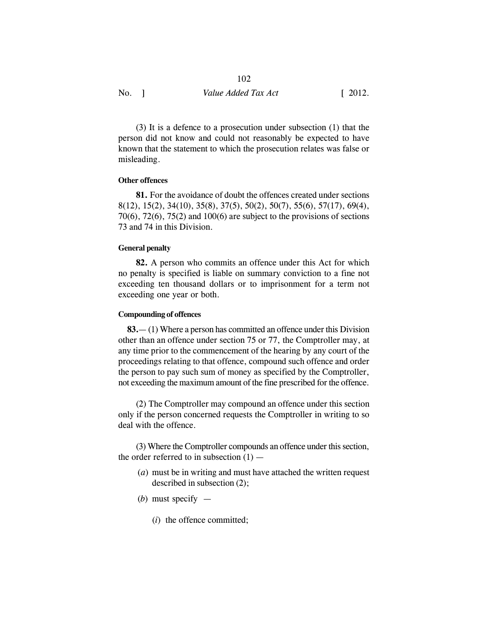(3) It is a defence to a prosecution under subsection (1) that the person did not know and could not reasonably be expected to have known that the statement to which the prosecution relates was false or misleading.

## **Other offences**

**81.** For the avoidance of doubt the offences created under sections 8(12), 15(2), 34(10), 35(8), 37(5), 50(2), 50(7), 55(6), 57(17), 69(4),  $70(6)$ ,  $72(6)$ ,  $75(2)$  and  $100(6)$  are subject to the provisions of sections 73 and 74 in this Division.

## **General penalty**

**82.** A person who commits an offence under this Act for which no penalty is specified is liable on summary conviction to a fine not exceeding ten thousand dollars or to imprisonment for a term not exceeding one year or both.

## **Compounding of offences**

**83.**— (1) Where a person has committed an offence under this Division other than an offence under section 75 or 77, the Comptroller may, at any time prior to the commencement of the hearing by any court of the proceedings relating to that offence, compound such offence and order the person to pay such sum of money as specified by the Comptroller, not exceeding the maximum amount of the fine prescribed for the offence.

(2) The Comptroller may compound an offence under this section only if the person concerned requests the Comptroller in writing to so deal with the offence.

(3) Where the Comptroller compounds an offence under this section, the order referred to in subsection  $(1)$  —

- (*a*) must be in writing and must have attached the written request described in subsection (2);
- (*b*) must specify
	- (*i*) the offence committed;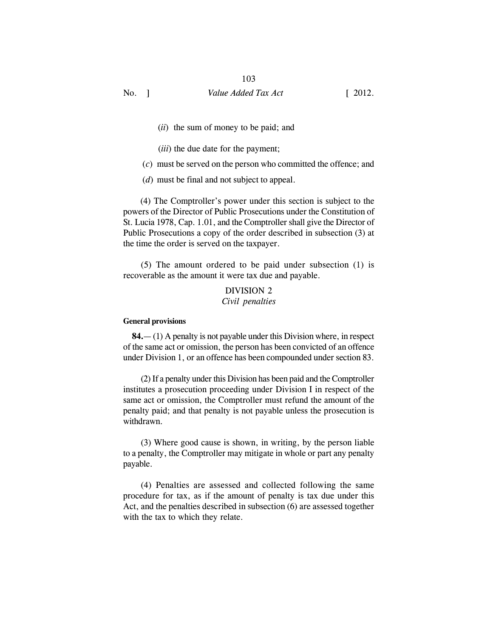- (*ii*) the sum of money to be paid; and
- (*iii*) the due date for the payment;
- (*c*) must be served on the person who committed the offence; and
- (*d*) must be final and not subject to appeal.

 (4) The Comptroller's power under this section is subject to the powers of the Director of Public Prosecutions under the Constitution of St. Lucia 1978, Cap. 1.01, and the Comptroller shall give the Director of Public Prosecutions a copy of the order described in subsection (3) at the time the order is served on the taxpayer.

(5) The amount ordered to be paid under subsection (1) is recoverable as the amount it were tax due and payable.

## DIVISION 2 *Civil penalties*

#### **General provisions**

**84.**— (1) A penalty is not payable under this Division where, in respect of the same act or omission, the person has been convicted of an offence under Division 1, or an offence has been compounded under section 83.

(2) If a penalty under this Division has been paid and the Comptroller institutes a prosecution proceeding under Division I in respect of the same act or omission, the Comptroller must refund the amount of the penalty paid; and that penalty is not payable unless the prosecution is withdrawn.

(3) Where good cause is shown, in writing, by the person liable to a penalty, the Comptroller may mitigate in whole or part any penalty payable.

(4) Penalties are assessed and collected following the same procedure for tax, as if the amount of penalty is tax due under this Act, and the penalties described in subsection (6) are assessed together with the tax to which they relate.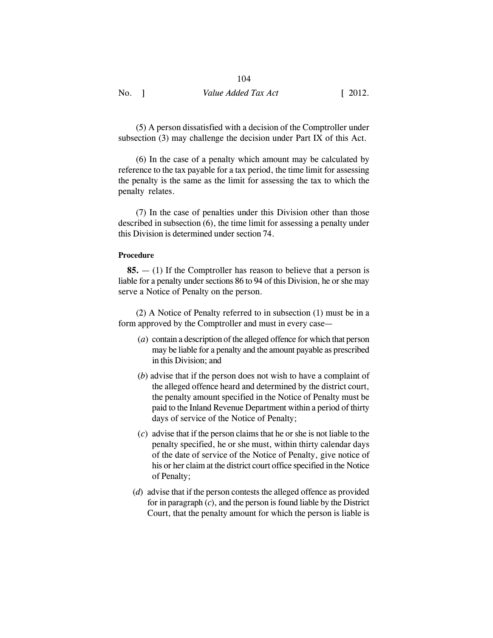(5) A person dissatisfied with a decision of the Comptroller under subsection (3) may challenge the decision under Part IX of this Act.

(6) In the case of a penalty which amount may be calculated by reference to the tax payable for a tax period, the time limit for assessing the penalty is the same as the limit for assessing the tax to which the penalty relates.

(7) In the case of penalties under this Division other than those described in subsection (6), the time limit for assessing a penalty under this Division is determined under section 74.

#### **Procedure**

**85.** — (1) If the Comptroller has reason to believe that a person is liable for a penalty under sections 86 to 94 of this Division, he or she may serve a Notice of Penalty on the person.

(2) A Notice of Penalty referred to in subsection (1) must be in a form approved by the Comptroller and must in every case—

- (*a*) contain a description of the alleged offence for which that person may be liable for a penalty and the amount payable as prescribed in this Division; and
- (*b*) advise that if the person does not wish to have a complaint of the alleged offence heard and determined by the district court, the penalty amount specified in the Notice of Penalty must be paid to the Inland Revenue Department within a period of thirty days of service of the Notice of Penalty;
- (*c*) advise that if the person claims that he or she is not liable to the penalty specified, he or she must, within thirty calendar days of the date of service of the Notice of Penalty, give notice of his or her claim at the district court office specified in the Notice of Penalty;
- (*d*) advise that if the person contests the alleged offence as provided for in paragraph (*c*), and the person is found liable by the District Court, that the penalty amount for which the person is liable is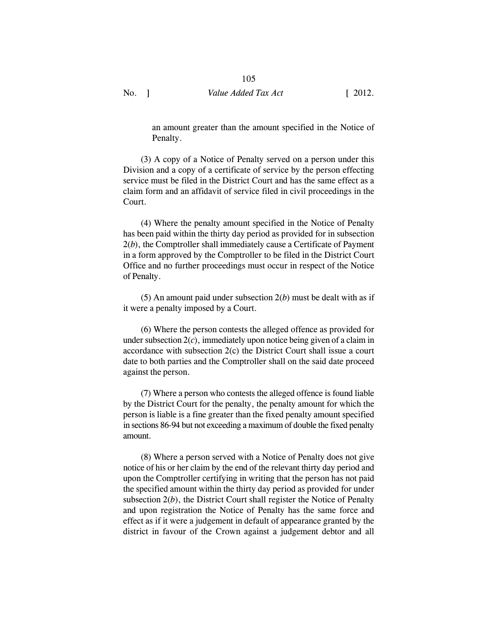an amount greater than the amount specified in the Notice of Penalty.

(3) A copy of a Notice of Penalty served on a person under this Division and a copy of a certificate of service by the person effecting service must be filed in the District Court and has the same effect as a claim form and an affidavit of service filed in civil proceedings in the Court.

(4) Where the penalty amount specified in the Notice of Penalty has been paid within the thirty day period as provided for in subsection 2(*b*), the Comptroller shall immediately cause a Certificate of Payment in a form approved by the Comptroller to be filed in the District Court Office and no further proceedings must occur in respect of the Notice of Penalty.

(5) An amount paid under subsection 2(*b*) must be dealt with as if it were a penalty imposed by a Court.

(6) Where the person contests the alleged offence as provided for under subsection 2(*c*), immediately upon notice being given of a claim in accordance with subsection 2(c) the District Court shall issue a court date to both parties and the Comptroller shall on the said date proceed against the person.

(7) Where a person who contests the alleged offence is found liable by the District Court for the penalty, the penalty amount for which the person is liable is a fine greater than the fixed penalty amount specified in sections 86-94 but not exceeding a maximum of double the fixed penalty amount.

(8) Where a person served with a Notice of Penalty does not give notice of his or her claim by the end of the relevant thirty day period and upon the Comptroller certifying in writing that the person has not paid the specified amount within the thirty day period as provided for under subsection 2(*b*), the District Court shall register the Notice of Penalty and upon registration the Notice of Penalty has the same force and effect as if it were a judgement in default of appearance granted by the district in favour of the Crown against a judgement debtor and all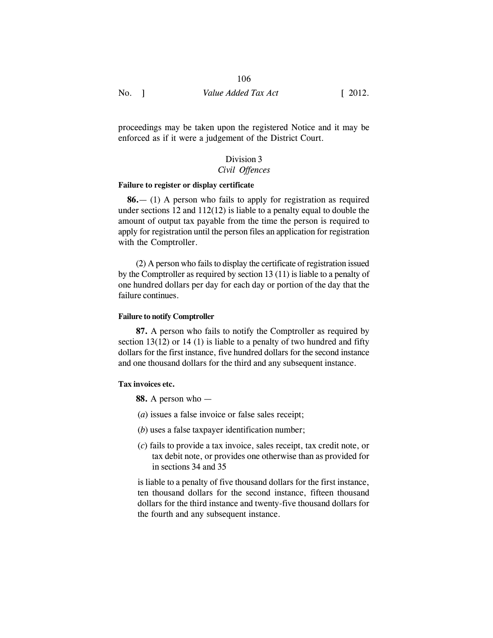## 106

No. 1 Value *Added Tax Act* [ 2012.

proceedings may be taken upon the registered Notice and it may be enforced as if it were a judgement of the District Court.

# Division 3

## *Civil Offences*

## **Failure to register or display certificate**

**86.**— (1) A person who fails to apply for registration as required under sections 12 and 112(12) is liable to a penalty equal to double the amount of output tax payable from the time the person is required to apply for registration until the person files an application for registration with the Comptroller.

(2) A person who fails to display the certificate of registration issued by the Comptroller as required by section 13 (11) is liable to a penalty of one hundred dollars per day for each day or portion of the day that the failure continues.

#### **Failure to notify Comptroller**

**87.** A person who fails to notify the Comptroller as required by section 13(12) or 14 (1) is liable to a penalty of two hundred and fifty dollars for the first instance, five hundred dollars for the second instance and one thousand dollars for the third and any subsequent instance.

#### **Tax invoices etc.**

**88.** A person who —

- (*a*) issues a false invoice or false sales receipt;
- (*b*) uses a false taxpayer identification number;
- (*c*) fails to provide a tax invoice, sales receipt, tax credit note, or tax debit note, or provides one otherwise than as provided for in sections 34 and 35

is liable to a penalty of five thousand dollars for the first instance, ten thousand dollars for the second instance, fifteen thousand dollars for the third instance and twenty-five thousand dollars for the fourth and any subsequent instance.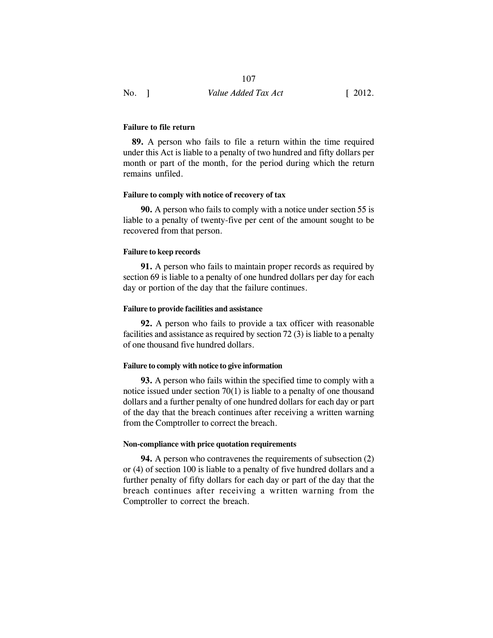107

#### **Failure to file return**

**89.** A person who fails to file a return within the time required under this Act is liable to a penalty of two hundred and fifty dollars per month or part of the month, for the period during which the return remains unfiled.

#### **Failure to comply with notice of recovery of tax**

**90.** A person who fails to comply with a notice under section 55 is liable to a penalty of twenty-five per cent of the amount sought to be recovered from that person.

## **Failure to keep records**

**91.** A person who fails to maintain proper records as required by section 69 is liable to a penalty of one hundred dollars per day for each day or portion of the day that the failure continues.

#### **Failure to provide facilities and assistance**

**92.** A person who fails to provide a tax officer with reasonable facilities and assistance as required by section 72 (3) is liable to a penalty of one thousand five hundred dollars.

## **Failure to comply with notice to give information**

**93.** A person who fails within the specified time to comply with a notice issued under section 70(1) is liable to a penalty of one thousand dollars and a further penalty of one hundred dollars for each day or part of the day that the breach continues after receiving a written warning from the Comptroller to correct the breach.

#### **Non-compliance with price quotation requirements**

**94.** A person who contravenes the requirements of subsection (2) or (4) of section 100 is liable to a penalty of five hundred dollars and a further penalty of fifty dollars for each day or part of the day that the breach continues after receiving a written warning from the Comptroller to correct the breach.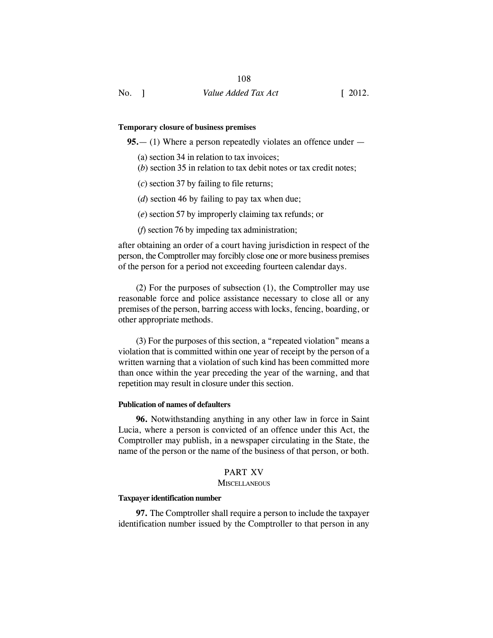#### **Temporary closure of business premises**

**95.**— (1) Where a person repeatedly violates an offence under —

- (a) section 34 in relation to tax invoices;
- (*b*) section 35 in relation to tax debit notes or tax credit notes;
- (*c*) section 37 by failing to file returns;
- (*d*) section 46 by failing to pay tax when due;
- (*e*) section 57 by improperly claiming tax refunds; or
- (*f*) section 76 by impeding tax administration;

after obtaining an order of a court having jurisdiction in respect of the person, the Comptroller may forcibly close one or more business premises of the person for a period not exceeding fourteen calendar days.

(2) For the purposes of subsection (1), the Comptroller may use reasonable force and police assistance necessary to close all or any premises of the person, barring access with locks, fencing, boarding, or other appropriate methods.

(3) For the purposes of this section, a "repeated violation" means a violation that is committed within one year of receipt by the person of a written warning that a violation of such kind has been committed more than once within the year preceding the year of the warning, and that repetition may result in closure under this section.

## **Publication of names of defaulters**

**96.** Notwithstanding anything in any other law in force in Saint Lucia, where a person is convicted of an offence under this Act, the Comptroller may publish, in a newspaper circulating in the State, the name of the person or the name of the business of that person, or both.

#### PART XV

## **MISCELLANEOUS**

## **Taxpayer identification number**

**97.** The Comptroller shall require a person to include the taxpayer identification number issued by the Comptroller to that person in any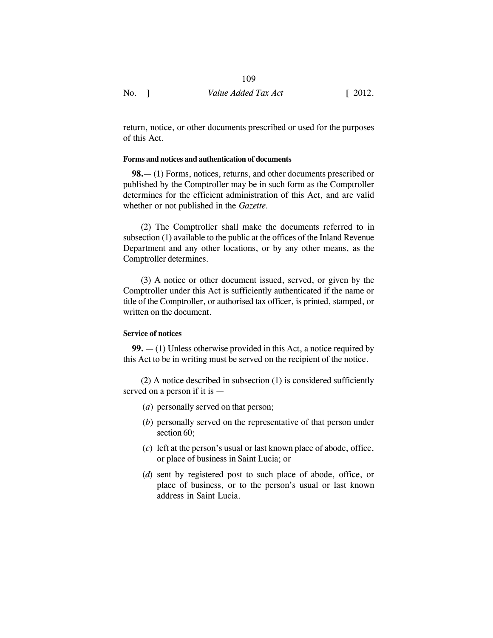return, notice, or other documents prescribed or used for the purposes of this Act.

## **Forms and notices and authentication of documents**

**98.**— (1) Forms, notices, returns, and other documents prescribed or published by the Comptroller may be in such form as the Comptroller determines for the efficient administration of this Act, and are valid whether or not published in the *Gazette.*

(2) The Comptroller shall make the documents referred to in subsection (1) available to the public at the offices of the Inland Revenue Department and any other locations, or by any other means, as the Comptroller determines.

(3) A notice or other document issued, served, or given by the Comptroller under this Act is sufficiently authenticated if the name or title of the Comptroller, or authorised tax officer, is printed, stamped, or written on the document.

## **Service of notices**

**99.** — (1) Unless otherwise provided in this Act, a notice required by this Act to be in writing must be served on the recipient of the notice.

(2) A notice described in subsection (1) is considered sufficiently served on a person if it is —

- (*a*) personally served on that person;
- (*b*) personally served on the representative of that person under section 60;
- (*c*) left at the person's usual or last known place of abode, office, or place of business in Saint Lucia; or
- (*d*) sent by registered post to such place of abode, office, or place of business, or to the person's usual or last known address in Saint Lucia.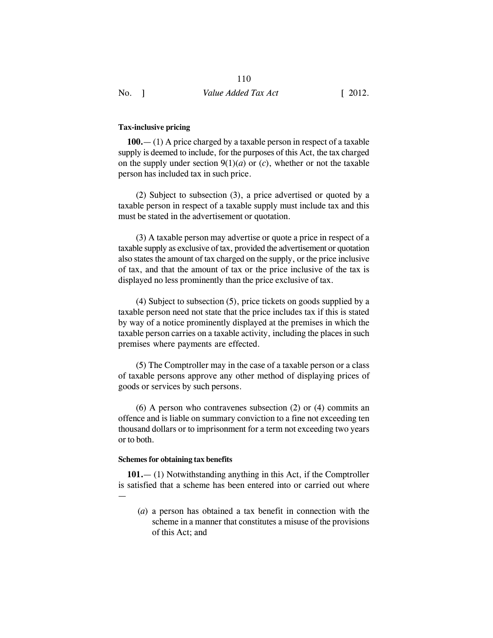## **Tax-inclusive pricing**

**100.**— (1) A price charged by a taxable person in respect of a taxable supply is deemed to include, for the purposes of this Act, the tax charged on the supply under section  $9(1)(a)$  or  $(c)$ , whether or not the taxable person has included tax in such price.

(2) Subject to subsection (3), a price advertised or quoted by a taxable person in respect of a taxable supply must include tax and this must be stated in the advertisement or quotation.

(3) A taxable person may advertise or quote a price in respect of a taxable supply as exclusive of tax, provided the advertisement or quotation also states the amount of tax charged on the supply, or the price inclusive of tax, and that the amount of tax or the price inclusive of the tax is displayed no less prominently than the price exclusive of tax.

(4) Subject to subsection (5), price tickets on goods supplied by a taxable person need not state that the price includes tax if this is stated by way of a notice prominently displayed at the premises in which the taxable person carries on a taxable activity, including the places in such premises where payments are effected.

(5) The Comptroller may in the case of a taxable person or a class of taxable persons approve any other method of displaying prices of goods or services by such persons.

(6) A person who contravenes subsection (2) or (4) commits an offence and is liable on summary conviction to a fine not exceeding ten thousand dollars or to imprisonment for a term not exceeding two years or to both.

#### **Schemes for obtaining tax benefits**

**101.**— (1) Notwithstanding anything in this Act, if the Comptroller is satisfied that a scheme has been entered into or carried out where —

(*a*) a person has obtained a tax benefit in connection with the scheme in a manner that constitutes a misuse of the provisions of this Act; and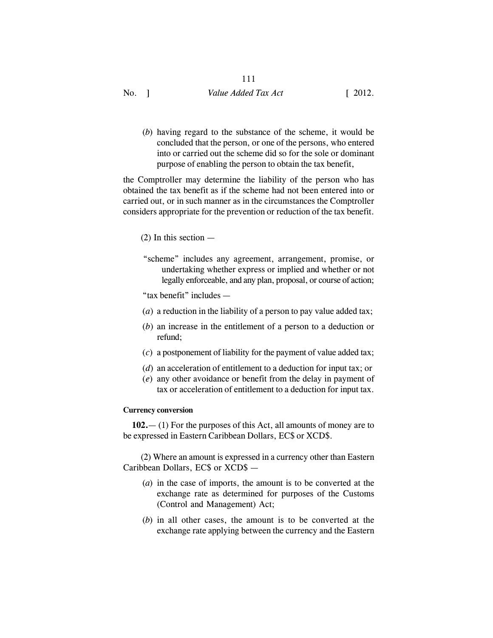No. 1 Value *Added Tax Act* [ 2012.

(*b*) having regard to the substance of the scheme, it would be concluded that the person, or one of the persons, who entered into or carried out the scheme did so for the sole or dominant purpose of enabling the person to obtain the tax benefit,

the Comptroller may determine the liability of the person who has obtained the tax benefit as if the scheme had not been entered into or carried out, or in such manner as in the circumstances the Comptroller considers appropriate for the prevention or reduction of the tax benefit.

- $(2)$  In this section  $-$
- "scheme" includes any agreement, arrangement, promise, or undertaking whether express or implied and whether or not legally enforceable, and any plan, proposal, or course of action;

"tax benefit" includes —

- (*a*) a reduction in the liability of a person to pay value added tax;
- (*b*) an increase in the entitlement of a person to a deduction or refund;
- (*c*) a postponement of liability for the payment of value added tax;
- (*d*) an acceleration of entitlement to a deduction for input tax; or
- (*e*) any other avoidance or benefit from the delay in payment of tax or acceleration of entitlement to a deduction for input tax.

## **Currency conversion**

**102.**— (1) For the purposes of this Act, all amounts of money are to be expressed in Eastern Caribbean Dollars, EC\$ or XCD\$.

(2) Where an amount is expressed in a currency other than Eastern Caribbean Dollars, EC\$ or XCD\$ —

- (*a*) in the case of imports, the amount is to be converted at the exchange rate as determined for purposes of the Customs (Control and Management) Act;
- (*b*) in all other cases, the amount is to be converted at the exchange rate applying between the currency and the Eastern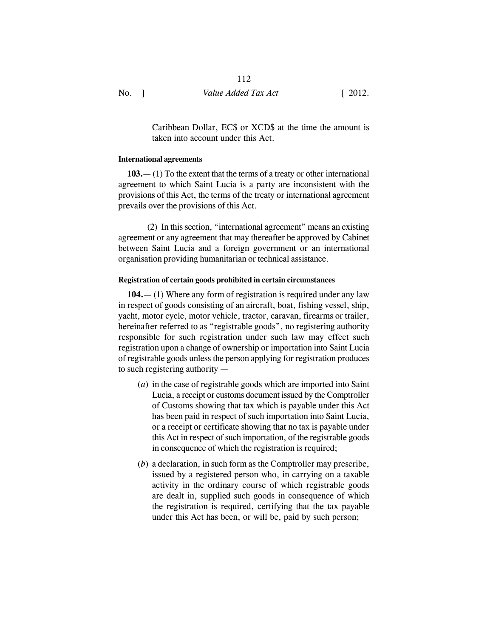Caribbean Dollar, EC\$ or XCD\$ at the time the amount is taken into account under this Act.

## **International agreements**

**103.**— (1) To the extent that the terms of a treaty or other international agreement to which Saint Lucia is a party are inconsistent with the provisions of this Act, the terms of the treaty or international agreement prevails over the provisions of this Act.

(2) In this section, "international agreement" means an existing agreement or any agreement that may thereafter be approved by Cabinet between Saint Lucia and a foreign government or an international organisation providing humanitarian or technical assistance.

## **Registration of certain goods prohibited in certain circumstances**

**104.**— (1) Where any form of registration is required under any law in respect of goods consisting of an aircraft, boat, fishing vessel, ship, yacht, motor cycle, motor vehicle, tractor, caravan, firearms or trailer, hereinafter referred to as "registrable goods", no registering authority responsible for such registration under such law may effect such registration upon a change of ownership or importation into Saint Lucia of registrable goods unless the person applying for registration produces to such registering authority —

- (*a*) in the case of registrable goods which are imported into Saint Lucia, a receipt or customs document issued by the Comptroller of Customs showing that tax which is payable under this Act has been paid in respect of such importation into Saint Lucia, or a receipt or certificate showing that no tax is payable under this Act in respect of such importation, of the registrable goods in consequence of which the registration is required;
- (*b*) a declaration, in such form as the Comptroller may prescribe, issued by a registered person who, in carrying on a taxable activity in the ordinary course of which registrable goods are dealt in, supplied such goods in consequence of which the registration is required, certifying that the tax payable under this Act has been, or will be, paid by such person;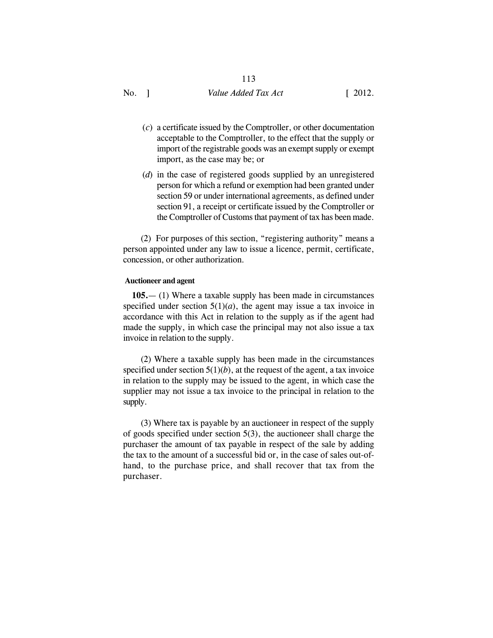- (*c*) a certificate issued by the Comptroller, or other documentation acceptable to the Comptroller, to the effect that the supply or import of the registrable goods was an exempt supply or exempt import, as the case may be; or
- (*d*) in the case of registered goods supplied by an unregistered person for which a refund or exemption had been granted under section 59 or under international agreements, as defined under section 91, a receipt or certificate issued by the Comptroller or the Comptroller of Customs that payment of tax has been made.

(2) For purposes of this section, "registering authority" means a person appointed under any law to issue a licence, permit, certificate, concession, or other authorization.

### **Auctioneer and agent**

**105.**— (1) Where a taxable supply has been made in circumstances specified under section  $5(1)(a)$ , the agent may issue a tax invoice in accordance with this Act in relation to the supply as if the agent had made the supply, in which case the principal may not also issue a tax invoice in relation to the supply.

(2) Where a taxable supply has been made in the circumstances specified under section  $5(1)(b)$ , at the request of the agent, a tax invoice in relation to the supply may be issued to the agent, in which case the supplier may not issue a tax invoice to the principal in relation to the supply.

(3) Where tax is payable by an auctioneer in respect of the supply of goods specified under section 5(3), the auctioneer shall charge the purchaser the amount of tax payable in respect of the sale by adding the tax to the amount of a successful bid or, in the case of sales out-ofhand, to the purchase price, and shall recover that tax from the purchaser.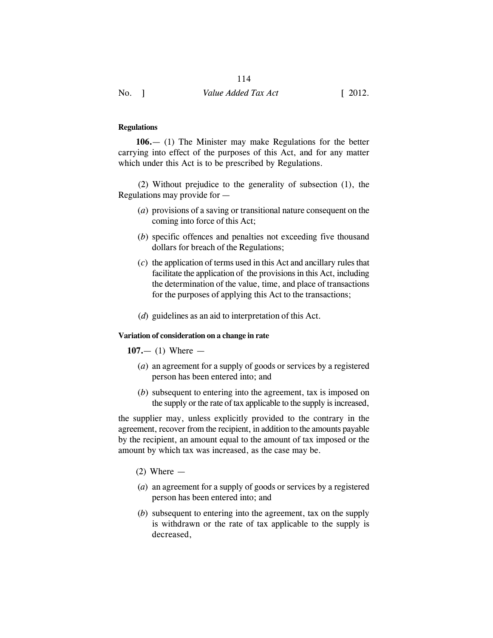## **Regulations**

**106.**— (1) The Minister may make Regulations for the better carrying into effect of the purposes of this Act, and for any matter which under this Act is to be prescribed by Regulations.

 (2) Without prejudice to the generality of subsection (1), the Regulations may provide for —

- (*a*) provisions of a saving or transitional nature consequent on the coming into force of this Act;
- (*b*) specific offences and penalties not exceeding five thousand dollars for breach of the Regulations;
- (*c*) the application of terms used in this Act and ancillary rules that facilitate the application of the provisions in this Act, including the determination of the value, time, and place of transactions for the purposes of applying this Act to the transactions;
- (*d*) guidelines as an aid to interpretation of this Act.

#### **Variation of consideration on a change in rate**

### **107.**— (1) Where —

- (*a*) an agreement for a supply of goods or services by a registered person has been entered into; and
- (*b*) subsequent to entering into the agreement, tax is imposed on the supply or the rate of tax applicable to the supply is increased,

the supplier may, unless explicitly provided to the contrary in the agreement, recover from the recipient, in addition to the amounts payable by the recipient, an amount equal to the amount of tax imposed or the amount by which tax was increased, as the case may be.

- $(2)$  Where  $-$
- (*a*) an agreement for a supply of goods or services by a registered person has been entered into; and
- (*b*) subsequent to entering into the agreement, tax on the supply is withdrawn or the rate of tax applicable to the supply is decreased,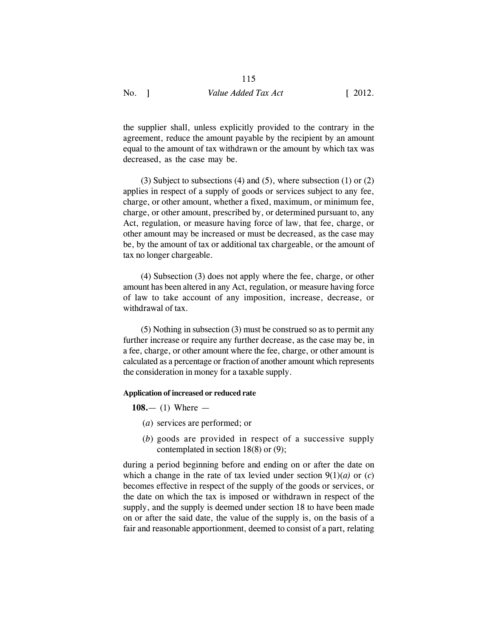the supplier shall, unless explicitly provided to the contrary in the agreement, reduce the amount payable by the recipient by an amount equal to the amount of tax withdrawn or the amount by which tax was decreased, as the case may be.

(3) Subject to subsections (4) and (5), where subsection (1) or  $(2)$ applies in respect of a supply of goods or services subject to any fee, charge, or other amount, whether a fixed, maximum, or minimum fee, charge, or other amount, prescribed by, or determined pursuant to, any Act, regulation, or measure having force of law, that fee, charge, or other amount may be increased or must be decreased, as the case may be, by the amount of tax or additional tax chargeable, or the amount of tax no longer chargeable.

(4) Subsection (3) does not apply where the fee, charge, or other amount has been altered in any Act, regulation, or measure having force of law to take account of any imposition, increase, decrease, or withdrawal of tax.

(5) Nothing in subsection (3) must be construed so as to permit any further increase or require any further decrease, as the case may be, in a fee, charge, or other amount where the fee, charge, or other amount is calculated as a percentage or fraction of another amount which represents the consideration in money for a taxable supply.

### **Application of increased or reduced rate**

**108.**— (1) Where —

- (*a*) services are performed; or
- (*b*) goods are provided in respect of a successive supply contemplated in section 18(8) or (9);

during a period beginning before and ending on or after the date on which a change in the rate of tax levied under section  $9(1)(a)$  or  $(c)$ becomes effective in respect of the supply of the goods or services, or the date on which the tax is imposed or withdrawn in respect of the supply, and the supply is deemed under section 18 to have been made on or after the said date, the value of the supply is, on the basis of a fair and reasonable apportionment, deemed to consist of a part, relating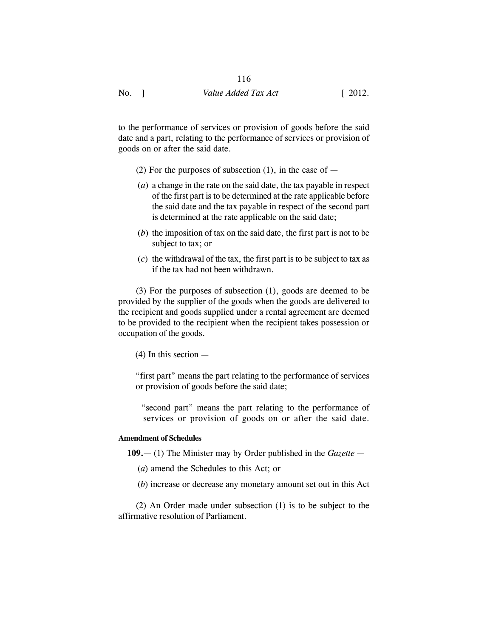116

to the performance of services or provision of goods before the said date and a part, relating to the performance of services or provision of goods on or after the said date.

- (2) For the purposes of subsection (1), in the case of  $-$
- (*a*) a change in the rate on the said date, the tax payable in respect of the first part is to be determined at the rate applicable before the said date and the tax payable in respect of the second part is determined at the rate applicable on the said date;
- (*b*) the imposition of tax on the said date, the first part is not to be subject to tax; or
- (*c*) the withdrawal of the tax, the first part is to be subject to tax as if the tax had not been withdrawn.

(3) For the purposes of subsection (1), goods are deemed to be provided by the supplier of the goods when the goods are delivered to the recipient and goods supplied under a rental agreement are deemed to be provided to the recipient when the recipient takes possession or occupation of the goods.

(4) In this section —

 "first part" means the part relating to the performance of services or provision of goods before the said date;

 "second part" means the part relating to the performance of services or provision of goods on or after the said date.

## **Amendment of Schedules**

**109.**— (1) The Minister may by Order published in the *Gazette —*

- (*a*) amend the Schedules to this Act; or
- (*b*) increase or decrease any monetary amount set out in this Act

(2) An Order made under subsection (1) is to be subject to the affirmative resolution of Parliament.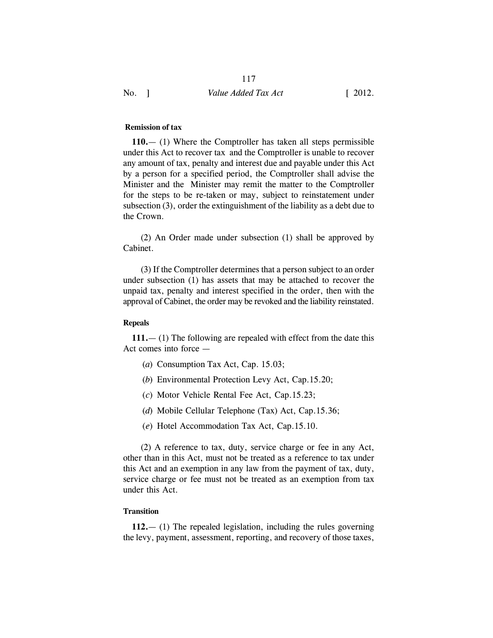### **Remission of tax**

**110.**— (1) Where the Comptroller has taken all steps permissible under this Act to recover tax and the Comptroller is unable to recover any amount of tax, penalty and interest due and payable under this Act by a person for a specified period, the Comptroller shall advise the Minister and the Minister may remit the matter to the Comptroller for the steps to be re-taken or may, subject to reinstatement under subsection (3), order the extinguishment of the liability as a debt due to the Crown.

(2) An Order made under subsection (1) shall be approved by Cabinet.

(3) If the Comptroller determines that a person subject to an order under subsection (1) has assets that may be attached to recover the unpaid tax, penalty and interest specified in the order, then with the approval of Cabinet, the order may be revoked and the liability reinstated.

### **Repeals**

**111.**— (1) The following are repealed with effect from the date this Act comes into force —

- (*a*) Consumption Tax Act, Cap. 15.03;
- (*b*) Environmental Protection Levy Act, Cap.15.20;
- (*c*) Motor Vehicle Rental Fee Act, Cap.15.23;
- (*d*) Mobile Cellular Telephone (Tax) Act, Cap.15.36;
- (*e*) Hotel Accommodation Tax Act, Cap.15.10.

(2) A reference to tax, duty, service charge or fee in any Act, other than in this Act, must not be treated as a reference to tax under this Act and an exemption in any law from the payment of tax, duty, service charge or fee must not be treated as an exemption from tax under this Act.

## **Transition**

**112.**— (1) The repealed legislation, including the rules governing the levy, payment, assessment, reporting, and recovery of those taxes,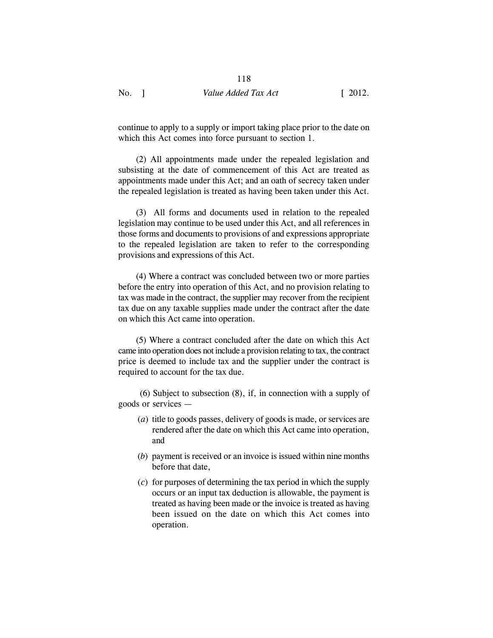continue to apply to a supply or import taking place prior to the date on which this Act comes into force pursuant to section 1.

(2) All appointments made under the repealed legislation and subsisting at the date of commencement of this Act are treated as appointments made under this Act; and an oath of secrecy taken under the repealed legislation is treated as having been taken under this Act.

(3) All forms and documents used in relation to the repealed legislation may continue to be used under this Act, and all references in those forms and documents to provisions of and expressions appropriate to the repealed legislation are taken to refer to the corresponding provisions and expressions of this Act.

(4) Where a contract was concluded between two or more parties before the entry into operation of this Act, and no provision relating to tax was made in the contract, the supplier may recover from the recipient tax due on any taxable supplies made under the contract after the date on which this Act came into operation.

(5) Where a contract concluded after the date on which this Act came into operation does not include a provision relating to tax, the contract price is deemed to include tax and the supplier under the contract is required to account for the tax due.

 (6) Subject to subsection (8), if, in connection with a supply of goods or services —

- (*a*) title to goods passes, delivery of goods is made, or services are rendered after the date on which this Act came into operation, and
- (*b*) payment is received or an invoice is issued within nine months before that date,
- (*c*) for purposes of determining the tax period in which the supply occurs or an input tax deduction is allowable, the payment is treated as having been made or the invoice is treated as having been issued on the date on which this Act comes into operation.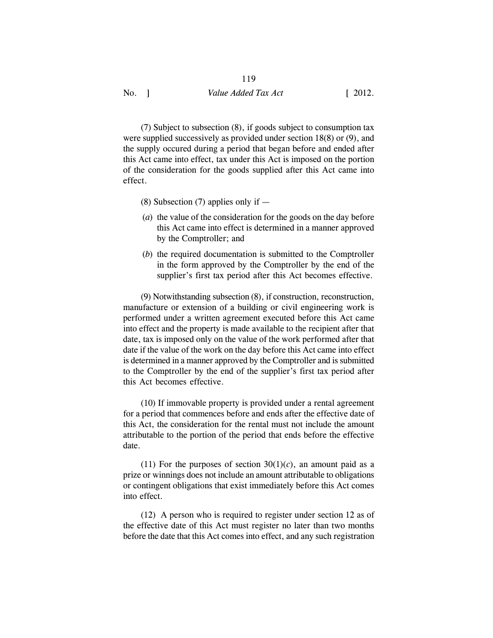(7) Subject to subsection (8), if goods subject to consumption tax were supplied successively as provided under section 18(8) or (9), and the supply occured during a period that began before and ended after this Act came into effect, tax under this Act is imposed on the portion of the consideration for the goods supplied after this Act came into effect.

- (8) Subsection (7) applies only if  $-$
- (*a*) the value of the consideration for the goods on the day before this Act came into effect is determined in a manner approved by the Comptroller; and
- (*b*) the required documentation is submitted to the Comptroller in the form approved by the Comptroller by the end of the supplier's first tax period after this Act becomes effective.

(9) Notwithstanding subsection (8), if construction, reconstruction, manufacture or extension of a building or civil engineering work is performed under a written agreement executed before this Act came into effect and the property is made available to the recipient after that date, tax is imposed only on the value of the work performed after that date if the value of the work on the day before this Act came into effect is determined in a manner approved by the Comptroller and is submitted to the Comptroller by the end of the supplier's first tax period after this Act becomes effective.

(10) If immovable property is provided under a rental agreement for a period that commences before and ends after the effective date of this Act, the consideration for the rental must not include the amount attributable to the portion of the period that ends before the effective date.

(11) For the purposes of section  $30(1)(c)$ , an amount paid as a prize or winnings does not include an amount attributable to obligations or contingent obligations that exist immediately before this Act comes into effect.

(12) A person who is required to register under section 12 as of the effective date of this Act must register no later than two months before the date that this Act comes into effect, and any such registration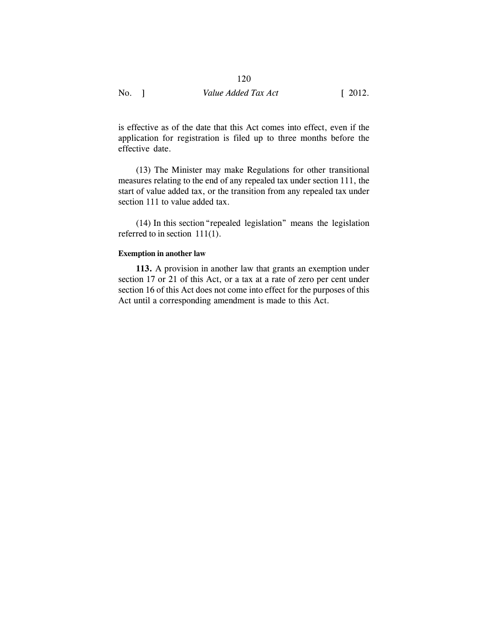120

is effective as of the date that this Act comes into effect, even if the application for registration is filed up to three months before the effective date.

(13) The Minister may make Regulations for other transitional measures relating to the end of any repealed tax under section 111, the start of value added tax, or the transition from any repealed tax under section 111 to value added tax.

(14) In this section"repealed legislation" means the legislation referred to in section 111(1).

## **Exemption in another law**

**113.** A provision in another law that grants an exemption under section 17 or 21 of this Act, or a tax at a rate of zero per cent under section 16 of this Act does not come into effect for the purposes of this Act until a corresponding amendment is made to this Act.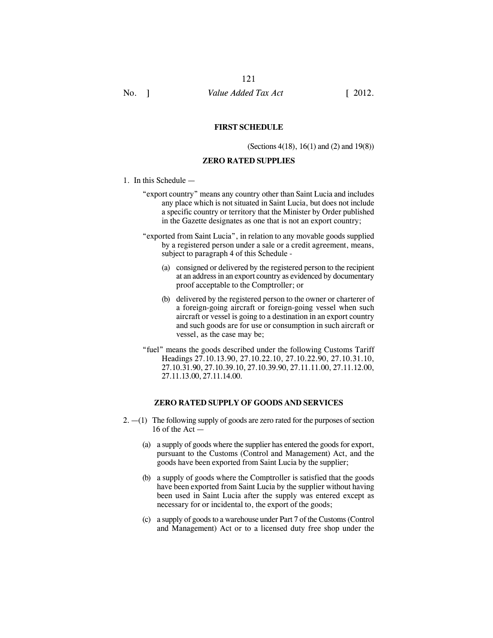#### **FIRST SCHEDULE**

(Sections 4(18), 16(1) and (2) and 19(8))

### **ZERO RATED SUPPLIES**

- 1. In this Schedule
	- "export country" means any country other than Saint Lucia and includes any place which is not situated in Saint Lucia, but does not include a specific country or territory that the Minister by Order published in the Gazette designates as one that is not an export country;
	- "exported from Saint Lucia", in relation to any movable goods supplied by a registered person under a sale or a credit agreement, means, subject to paragraph 4 of this Schedule -
		- (a) consigned or delivered by the registered person to the recipient at an address in an export country as evidenced by documentary proof acceptable to the Comptroller; or
		- (b) delivered by the registered person to the owner or charterer of a foreign-going aircraft or foreign-going vessel when such aircraft or vessel is going to a destination in an export country and such goods are for use or consumption in such aircraft or vessel, as the case may be;
	- "fuel" means the goods described under the following Customs Tariff Headings 27.10.13.90, 27.10.22.10, 27.10.22.90, 27.10.31.10, 27.10.31.90, 27.10.39.10, 27.10.39.90, 27.11.11.00, 27.11.12.00, 27.11.13.00, 27.11.14.00.

## **ZERO RATED SUPPLY OF GOODS AND SERVICES**

- $2. -1$ ) The following supply of goods are zero rated for the purposes of section 16 of the Act —
	- (a) a supply of goods where the supplier has entered the goods for export, pursuant to the Customs (Control and Management) Act, and the goods have been exported from Saint Lucia by the supplier;
	- (b) a supply of goods where the Comptroller is satisfied that the goods have been exported from Saint Lucia by the supplier without having been used in Saint Lucia after the supply was entered except as necessary for or incidental to, the export of the goods;
	- (c) a supply of goods to a warehouse under Part 7 of the Customs (Control and Management) Act or to a licensed duty free shop under the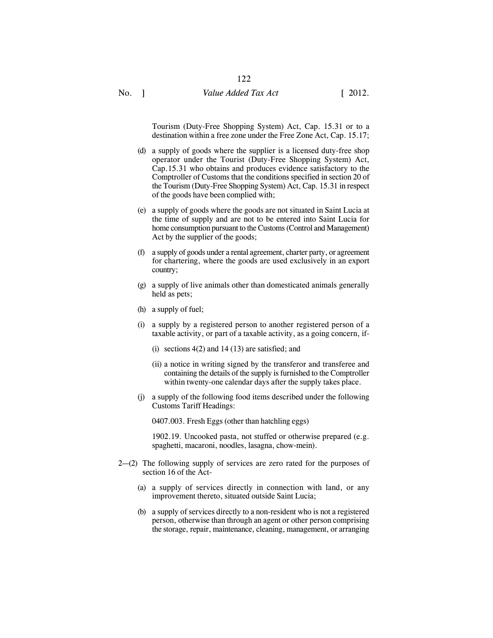Tourism (Duty-Free Shopping System) Act, Cap. 15.31 or to a destination within a free zone under the Free Zone Act, Cap. 15.17;

- (d) a supply of goods where the supplier is a licensed duty-free shop operator under the Tourist (Duty-Free Shopping System) Act, Cap.15.31 who obtains and produces evidence satisfactory to the Comptroller of Customs that the conditions specified in section 20 of the Tourism (Duty-Free Shopping System) Act, Cap. 15.31 in respect of the goods have been complied with;
- (e) a supply of goods where the goods are not situated in Saint Lucia at the time of supply and are not to be entered into Saint Lucia for home consumption pursuant to the Customs (Control and Management) Act by the supplier of the goods;
- (f) a supply of goods under a rental agreement, charter party, or agreement for chartering, where the goods are used exclusively in an export country;
- (g) a supply of live animals other than domesticated animals generally held as pets;
- (h) a supply of fuel;
- (i) a supply by a registered person to another registered person of a taxable activity, or part of a taxable activity, as a going concern, if-
	- (i) sections  $4(2)$  and  $14(13)$  are satisfied; and
	- (ii) a notice in writing signed by the transferor and transferee and containing the details of the supply is furnished to the Comptroller within twenty-one calendar days after the supply takes place.
- (j) a supply of the following food items described under the following Customs Tariff Headings:

0407.003. Fresh Eggs (other than hatchling eggs)

1902.19. Uncooked pasta, not stuffed or otherwise prepared (e.g. spaghetti, macaroni, noodles, lasagna, chow-mein).

- 2—(2) The following supply of services are zero rated for the purposes of section 16 of the Act-
	- (a) a supply of services directly in connection with land, or any improvement thereto, situated outside Saint Lucia;
	- (b) a supply of services directly to a non-resident who is not a registered person, otherwise than through an agent or other person comprising the storage, repair, maintenance, cleaning, management, or arranging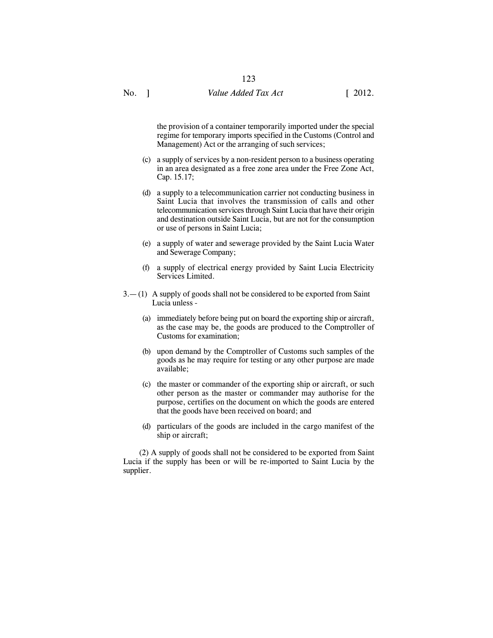the provision of a container temporarily imported under the special regime for temporary imports specified in the Customs (Control and Management) Act or the arranging of such services;

- (c) a supply of services by a non-resident person to a business operating in an area designated as a free zone area under the Free Zone Act, Cap. 15.17;
- (d) a supply to a telecommunication carrier not conducting business in Saint Lucia that involves the transmission of calls and other telecommunication services through Saint Lucia that have their origin and destination outside Saint Lucia, but are not for the consumption or use of persons in Saint Lucia;
- (e) a supply of water and sewerage provided by the Saint Lucia Water and Sewerage Company;
- (f) a supply of electrical energy provided by Saint Lucia Electricity Services Limited.
- 3.— (1) A supply of goods shall not be considered to be exported from Saint Lucia unless -
	- (a) immediately before being put on board the exporting ship or aircraft, as the case may be, the goods are produced to the Comptroller of Customs for examination;
	- (b) upon demand by the Comptroller of Customs such samples of the goods as he may require for testing or any other purpose are made available;
	- (c) the master or commander of the exporting ship or aircraft, or such other person as the master or commander may authorise for the purpose, certifies on the document on which the goods are entered that the goods have been received on board; and
	- (d) particulars of the goods are included in the cargo manifest of the ship or aircraft;

(2) A supply of goods shall not be considered to be exported from Saint Lucia if the supply has been or will be re-imported to Saint Lucia by the supplier.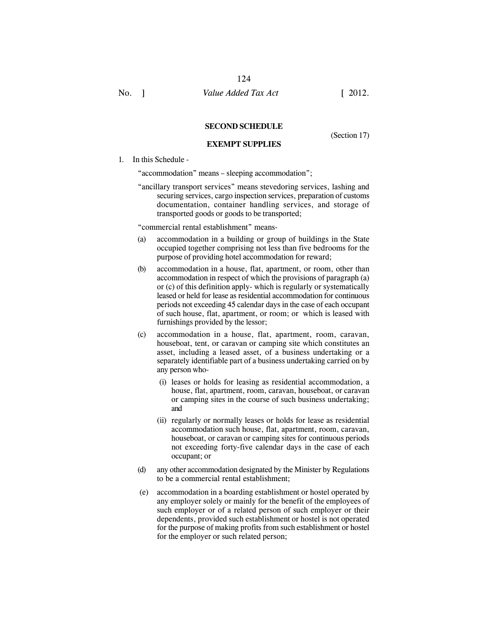#### **SECOND SCHEDULE**

#### **EXEMPT SUPPLIES**

(Section 17)

#### 1. In this Schedule -

"accommodation" means – sleeping accommodation";

"ancillary transport services" means stevedoring services, lashing and securing services, cargo inspection services, preparation of customs documentation, container handling services, and storage of transported goods or goods to be transported;

"commercial rental establishment" means-

- (a) accommodation in a building or group of buildings in the State occupied together comprising not less than five bedrooms for the purpose of providing hotel accommodation for reward;
- (b) accommodation in a house, flat, apartment, or room, other than accommodation in respect of which the provisions of paragraph (a) or (c) of this definition apply- which is regularly or systematically leased or held for lease as residential accommodation for continuous periods not exceeding 45 calendar days in the case of each occupant of such house, flat, apartment, or room; or which is leased with furnishings provided by the lessor;
- (c) accommodation in a house, flat, apartment, room, caravan, houseboat, tent, or caravan or camping site which constitutes an asset, including a leased asset, of a business undertaking or a separately identifiable part of a business undertaking carried on by any person who-
	- (i) leases or holds for leasing as residential accommodation, a house, flat, apartment, room, caravan, houseboat, or caravan or camping sites in the course of such business undertaking; and
	- (ii) regularly or normally leases or holds for lease as residential accommodation such house, flat, apartment, room, caravan, houseboat, or caravan or camping sites for continuous periods not exceeding forty-five calendar days in the case of each occupant; or
- (d) any other accommodation designated by the Minister by Regulations to be a commercial rental establishment;
- (e) accommodation in a boarding establishment or hostel operated by any employer solely or mainly for the benefit of the employees of such employer or of a related person of such employer or their dependents, provided such establishment or hostel is not operated for the purpose of making profits from such establishment or hostel for the employer or such related person;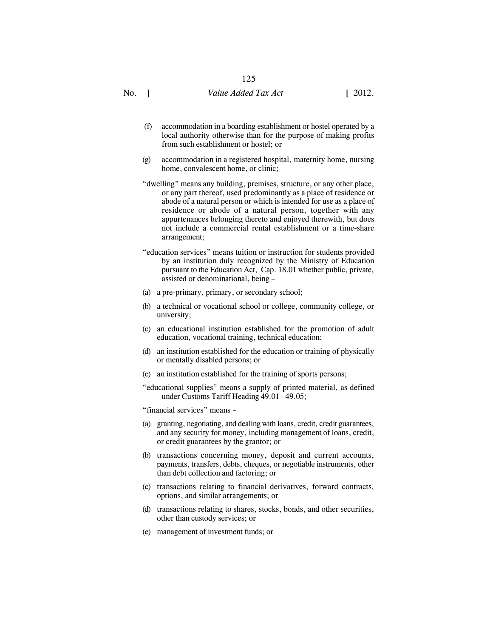- (f) accommodation in a boarding establishment or hostel operated by a local authority otherwise than for the purpose of making profits from such establishment or hostel; or
- (g) accommodation in a registered hospital, maternity home, nursing home, convalescent home, or clinic;
- "dwelling" means any building, premises, structure, or any other place, or any part thereof, used predominantly as a place of residence or abode of a natural person or which is intended for use as a place of residence or abode of a natural person, together with any appurtenances belonging thereto and enjoyed therewith, but does not include a commercial rental establishment or a time-share arrangement;
- "education services" means tuition or instruction for students provided by an institution duly recognized by the Ministry of Education pursuant to the Education Act, Cap. 18.01 whether public, private, assisted or denominational, being –
- (a) a pre-primary, primary, or secondary school;
- (b) a technical or vocational school or college, community college, or university;
- (c) an educational institution established for the promotion of adult education, vocational training, technical education;
- (d) an institution established for the education or training of physically or mentally disabled persons; or
- (e) an institution established for the training of sports persons;

"educational supplies" means a supply of printed material, as defined under Customs Tariff Heading 49.01 - 49.05;

"financial services" means –

- (a) granting, negotiating, and dealing with loans, credit, credit guarantees, and any security for money, including management of loans, credit, or credit guarantees by the grantor; or
- (b) transactions concerning money, deposit and current accounts, payments, transfers, debts, cheques, or negotiable instruments, other than debt collection and factoring; or
- (c) transactions relating to financial derivatives, forward contracts, options, and similar arrangements; or
- (d) transactions relating to shares, stocks, bonds, and other securities, other than custody services; or
- (e) management of investment funds; or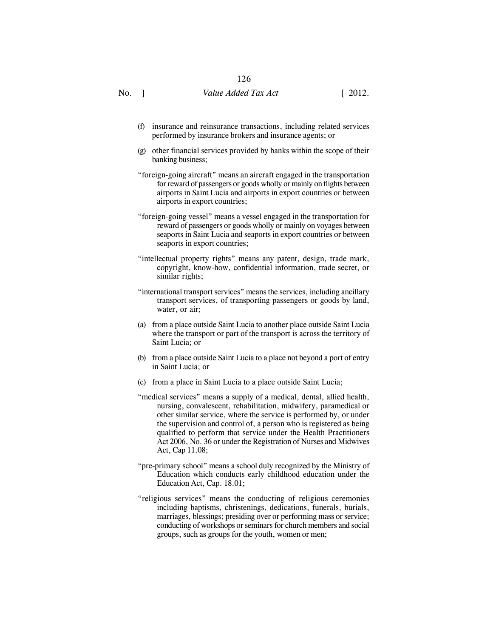- (f) insurance and reinsurance transactions, including related services performed by insurance brokers and insurance agents; or
- (g) other financial services provided by banks within the scope of their banking business;
- "foreign-going aircraft" means an aircraft engaged in the transportation for reward of passengers or goods wholly or mainly on flights between airports in Saint Lucia and airports in export countries or between airports in export countries;
- "foreign-going vessel" means a vessel engaged in the transportation for reward of passengers or goods wholly or mainly on voyages between seaports in Saint Lucia and seaports in export countries or between seaports in export countries;
- "intellectual property rights" means any patent, design, trade mark, copyright, know-how, confidential information, trade secret, or similar rights;
- "international transport services" means the services, including ancillary transport services, of transporting passengers or goods by land, water, or air;
- (a) from a place outside Saint Lucia to another place outside Saint Lucia where the transport or part of the transport is across the territory of Saint Lucia; or
- (b) from a place outside Saint Lucia to a place not beyond a port of entry in Saint Lucia; or
- (c) from a place in Saint Lucia to a place outside Saint Lucia;
- "medical services" means a supply of a medical, dental, allied health, nursing, convalescent, rehabilitation, midwifery, paramedical or other similar service, where the service is performed by, or under the supervision and control of, a person who is registered as being qualified to perform that service under the Health Practitioners Act 2006, No. 36 or under the Registration of Nurses and Midwives Act, Cap 11.08;
- "pre-primary school" means a school duly recognized by the Ministry of Education which conducts early childhood education under the Education Act, Cap. 18.01;
- "religious services" means the conducting of religious ceremonies including baptisms, christenings, dedications, funerals, burials, marriages, blessings; presiding over or performing mass or service; conducting of workshops or seminars for church members and social groups, such as groups for the youth, women or men;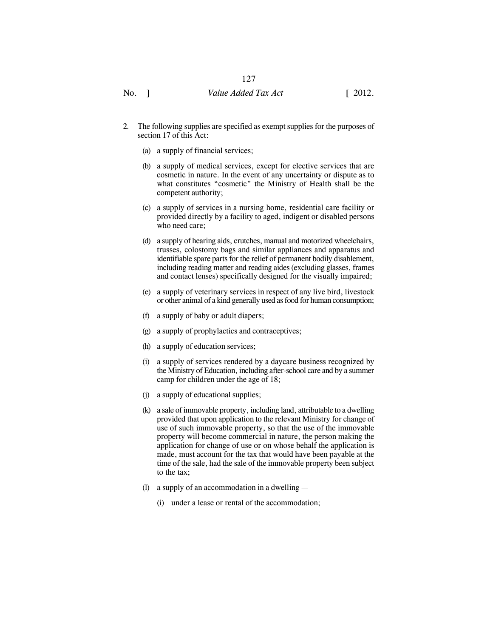- 2. The following supplies are specified as exempt supplies for the purposes of section 17 of this Act:
	- (a) a supply of financial services;
	- (b) a supply of medical services, except for elective services that are cosmetic in nature. In the event of any uncertainty or dispute as to what constitutes "cosmetic" the Ministry of Health shall be the competent authority;
	- (c) a supply of services in a nursing home, residential care facility or provided directly by a facility to aged, indigent or disabled persons who need care;
	- (d) a supply of hearing aids, crutches, manual and motorized wheelchairs, trusses, colostomy bags and similar appliances and apparatus and identifiable spare parts for the relief of permanent bodily disablement, including reading matter and reading aides (excluding glasses, frames and contact lenses) specifically designed for the visually impaired;
	- (e) a supply of veterinary services in respect of any live bird, livestock or other animal of a kind generally used as food for human consumption;
	- (f) a supply of baby or adult diapers;
	- (g) a supply of prophylactics and contraceptives;
	- (h) a supply of education services;
	- (i) a supply of services rendered by a daycare business recognized by the Ministry of Education, including after-school care and by a summer camp for children under the age of 18;
	- (j) a supply of educational supplies;
	- (k) a sale of immovable property, including land, attributable to a dwelling provided that upon application to the relevant Ministry for change of use of such immovable property, so that the use of the immovable property will become commercial in nature, the person making the application for change of use or on whose behalf the application is made, must account for the tax that would have been payable at the time of the sale, had the sale of the immovable property been subject to the tax;
	- (l) a supply of an accommodation in a dwelling
		- (i) under a lease or rental of the accommodation;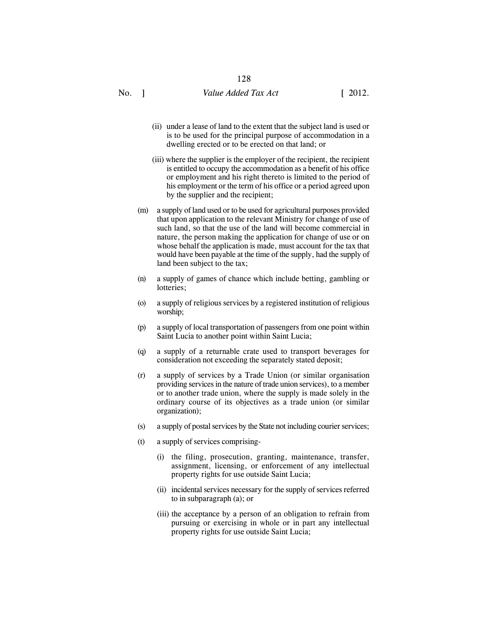- (ii) under a lease of land to the extent that the subject land is used or is to be used for the principal purpose of accommodation in a dwelling erected or to be erected on that land; or
- (iii) where the supplier is the employer of the recipient, the recipient is entitled to occupy the accommodation as a benefit of his office or employment and his right thereto is limited to the period of his employment or the term of his office or a period agreed upon by the supplier and the recipient;
- (m) a supply of land used or to be used for agricultural purposes provided that upon application to the relevant Ministry for change of use of such land, so that the use of the land will become commercial in nature, the person making the application for change of use or on whose behalf the application is made, must account for the tax that would have been payable at the time of the supply, had the supply of land been subject to the tax;
- (n) a supply of games of chance which include betting, gambling or lotteries;
- (o) a supply of religious services by a registered institution of religious worship;
- (p) a supply of local transportation of passengers from one point within Saint Lucia to another point within Saint Lucia;
- (q) a supply of a returnable crate used to transport beverages for consideration not exceeding the separately stated deposit;
- (r) a supply of services by a Trade Union (or similar organisation providing services in the nature of trade union services), to a member or to another trade union, where the supply is made solely in the ordinary course of its objectives as a trade union (or similar organization);
- (s) a supply of postal services by the State not including courier services;
- (t) a supply of services comprising-
	- (i) the filing, prosecution, granting, maintenance, transfer, assignment, licensing, or enforcement of any intellectual property rights for use outside Saint Lucia;
	- (ii) incidental services necessary for the supply of services referred to in subparagraph (a); or
	- (iii) the acceptance by a person of an obligation to refrain from pursuing or exercising in whole or in part any intellectual property rights for use outside Saint Lucia;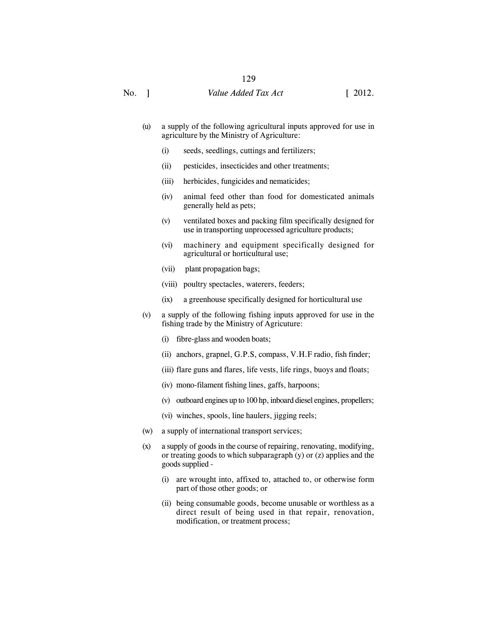- (u) a supply of the following agricultural inputs approved for use in agriculture by the Ministry of Agriculture:
	- (i) seeds, seedlings, cuttings and fertilizers;
	- (ii) pesticides, insecticides and other treatments;
	- (iii) herbicides, fungicides and nematicides;
	- (iv) animal feed other than food for domesticated animals generally held as pets;
	- (v) ventilated boxes and packing film specifically designed for use in transporting unprocessed agriculture products;
	- (vi) machinery and equipment specifically designed for agricultural or horticultural use;
	- (vii) plant propagation bags;
	- (viii) poultry spectacles, waterers, feeders;
	- (ix) a greenhouse specifically designed for horticultural use
- (v) a supply of the following fishing inputs approved for use in the fishing trade by the Ministry of Agricuture:
	- (i) fibre-glass and wooden boats;
	- (ii) anchors, grapnel, G.P.S, compass, V.H.F radio, fish finder;
	- (iii) flare guns and flares, life vests, life rings, buoys and floats;
	- (iv) mono-filament fishing lines, gaffs, harpoons;
	- (v) outboard engines up to 100 hp, inboard diesel engines, propellers;
	- (vi) winches, spools, line haulers, jigging reels;
- (w) a supply of international transport services;
- (x) a supply of goods in the course of repairing, renovating, modifying, or treating goods to which subparagraph (y) or (z) applies and the goods supplied -
	- (i) are wrought into, affixed to, attached to, or otherwise form part of those other goods; or
	- (ii) being consumable goods, become unusable or worthless as a direct result of being used in that repair, renovation, modification, or treatment process;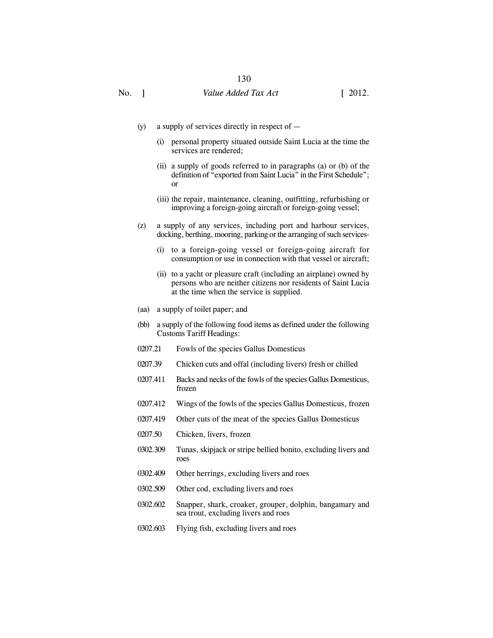- (y) a supply of services directly in respect of  $-$ 
	- (i) personal property situated outside Saint Lucia at the time the services are rendered;
	- (ii) a supply of goods referred to in paragraphs (a) or (b) of the definition of "exported from Saint Lucia" in the First Schedule"; or
	- (iii) the repair, maintenance, cleaning, outfitting, refurbishing or improving a foreign-going aircraft or foreign-going vessel;
- (z) a supply of any services, including port and harbour services, docking, berthing, mooring, parking or the arranging of such services-
	- (i) to a foreign-going vessel or foreign-going aircraft for consumption or use in connection with that vessel or aircraft;
	- (ii) to a yacht or pleasure craft (including an airplane) owned by persons who are neither citizens nor residents of Saint Lucia at the time when the service is supplied.
- (aa) a supply of toilet paper; and
- (bb) a supply of the following food items as defined under the following Customs Tariff Headings:
- 0207.21 Fowls of the species Gallus Domesticus
- 0207.39 Chicken cuts and offal (including livers) fresh or chilled
- 0207.411 Backs and necks of the fowls of the species Gallus Domesticus, frozen
- 0207.412 Wings of the fowls of the species Gallus Domesticus, frozen
- 0207.419 Other cuts of the meat of the species Gallus Domesticus
- 0207.50 Chicken, livers, frozen
- 0302.309 Tunas, skipjack or stripe bellied bonito, excluding livers and roes
- 0302.409 Other herrings, excluding livers and roes
- 0302.509 Other cod, excluding livers and roes
- 0302.602 Snapper, shark, croaker, grouper, dolphin, bangamary and sea trout, excluding livers and roes
- 0302.603 Flying fish, excluding livers and roes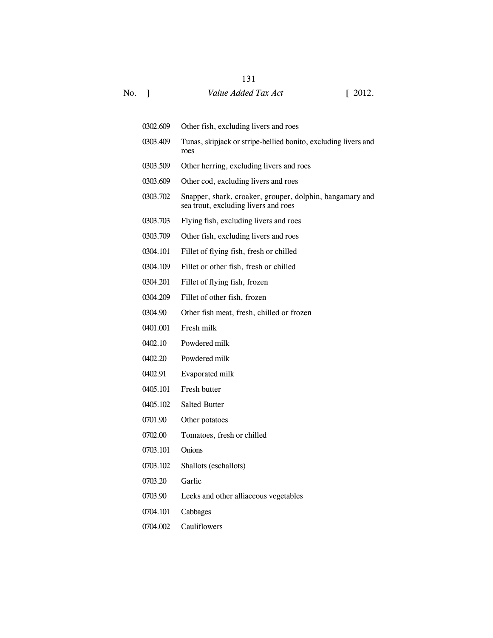# No. ] *Value Added Tax Act* [ 2012.

| 0302.609 | Other fish, excluding livers and roes                                                            |
|----------|--------------------------------------------------------------------------------------------------|
| 0303.409 | Tunas, skipjack or stripe-bellied bonito, excluding livers and<br>roes                           |
| 0303.509 | Other herring, excluding livers and roes                                                         |
| 0303.609 | Other cod, excluding livers and roes                                                             |
| 0303.702 | Snapper, shark, croaker, grouper, dolphin, bangamary and<br>sea trout, excluding livers and roes |
| 0303.703 | Flying fish, excluding livers and roes                                                           |
| 0303.709 | Other fish, excluding livers and roes                                                            |
| 0304.101 | Fillet of flying fish, fresh or chilled                                                          |
| 0304.109 | Fillet or other fish, fresh or chilled                                                           |
| 0304.201 | Fillet of flying fish, frozen                                                                    |
| 0304.209 | Fillet of other fish, frozen                                                                     |
| 0304.90  | Other fish meat, fresh, chilled or frozen                                                        |
| 0401.001 | Fresh milk                                                                                       |
| 0402.10  | Powdered milk                                                                                    |
| 0402.20  | Powdered milk                                                                                    |
| 0402.91  | Evaporated milk                                                                                  |
| 0405.101 | Fresh butter                                                                                     |
| 0405.102 | <b>Salted Butter</b>                                                                             |
| 0701.90  | Other potatoes                                                                                   |
| 0702.00  | Tomatoes, fresh or chilled                                                                       |
| 0703.101 | <b>Onions</b>                                                                                    |
| 0703.102 | Shallots (eschallots)                                                                            |
| 0703.20  | Garlic                                                                                           |
| 0703.90  | Leeks and other alliaceous vegetables                                                            |
| 0704.101 | Cabbages                                                                                         |
| 0704.002 | Cauliflowers                                                                                     |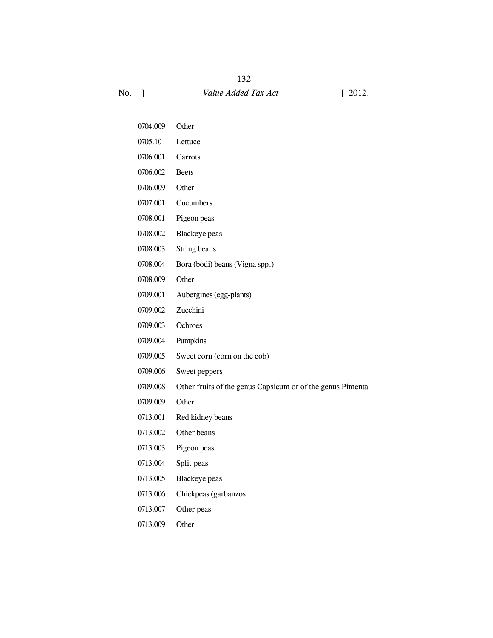0705.10 Lettuce 0706.001 Carrots 0706.002 Beets 0706.009 Other 0707.001 Cucumbers 0708.001 Pigeon peas 0708.002 Blackeye peas 0708.003 String beans 0708.004 Bora (bodi) beans (Vigna spp.) 0708.009 Other 0709.001 Aubergines (egg-plants) 0709.002 Zucchini 0709.003 Ochroes 0709.004 Pumpkins 0709.005 Sweet corn (corn on the cob) 0709.006 Sweet peppers 0709.008 Other fruits of the genus Capsicum or of the genus Pimenta 0709.009 Other 0713.001 Red kidney beans 0713.002 Other beans

0704.009 Other

- 0713.003 Pigeon peas
- 0713.004 Split peas
- 0713.005 Blackeye peas
- 0713.006 Chickpeas (garbanzos
- 0713.007 Other peas
- 0713.009 Other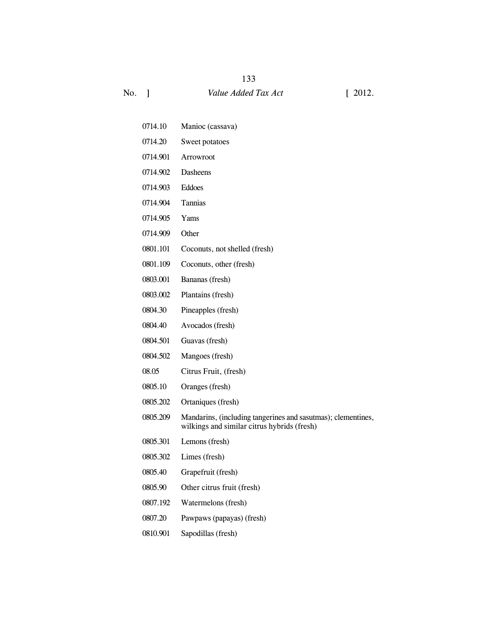- 0714.10 Manioc (cassava)
- 0714.20 Sweet potatoes
- 0714.901 Arrowroot
- 0714.902 Dasheens
- 0714.903 Eddoes
- 0714.904 Tannias
- 0714.905 Yams
- 0714.909 Other
- 0801.101 Coconuts, not shelled (fresh)
- 0801.109 Coconuts, other (fresh)
- 0803.001 Bananas (fresh)
- 0803.002 Plantains (fresh)
- 0804.30 Pineapples (fresh)
- 0804.40 Avocados (fresh)
- 0804.501 Guavas (fresh)
- 0804.502 Mangoes (fresh)
- 08.05 Citrus Fruit, (fresh)
- 0805.10 Oranges (fresh)
- 0805.202 Ortaniques (fresh)
- 0805.209 Mandarins, (including tangerines and sasutmas); clementines, wilkings and similar citrus hybrids (fresh)
- 0805.301 Lemons (fresh)
- 0805.302 Limes (fresh)
- 0805.40 Grapefruit (fresh)
- 0805.90 Other citrus fruit (fresh)
- 0807.192 Watermelons (fresh)
- 0807.20 Pawpaws (papayas) (fresh)
- 0810.901 Sapodillas (fresh)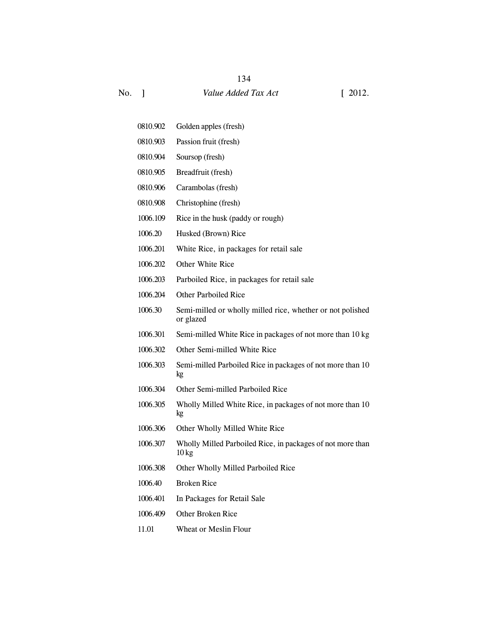0810.902 Golden apples (fresh) 0810.903 Passion fruit (fresh) 0810.904 Soursop (fresh) 0810.905 Breadfruit (fresh) 0810.906 Carambolas (fresh) 0810.908 Christophine (fresh) 1006.109 Rice in the husk (paddy or rough) 1006.20 Husked (Brown) Rice 1006.201 White Rice, in packages for retail sale 1006.202 Other White Rice 1006.203 Parboiled Rice, in packages for retail sale 1006.204 Other Parboiled Rice 1006.30 Semi-milled or wholly milled rice, whether or not polished or glazed 1006.301 Semi-milled White Rice in packages of not more than 10 kg 1006.302 Other Semi-milled White Rice 1006.303 Semi-milled Parboiled Rice in packages of not more than 10 kg 1006.304 Other Semi-milled Parboiled Rice 1006.305 Wholly Milled White Rice, in packages of not more than 10 kg 1006.306 Other Wholly Milled White Rice 1006.307 Wholly Milled Parboiled Rice, in packages of not more than  $10 \text{ kg}$ 1006.308 Other Wholly Milled Parboiled Rice 1006.40 Broken Rice 1006.401 In Packages for Retail Sale 1006.409 Other Broken Rice 11.01 Wheat or Meslin Flour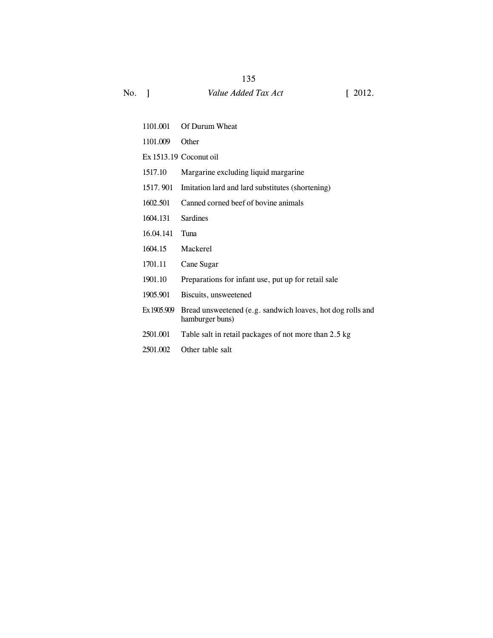| 1101.001    | Of Durum Wheat                                                                |
|-------------|-------------------------------------------------------------------------------|
| 1101.009    | Other                                                                         |
|             | Ex 1513.19 Coconut oil                                                        |
| 1517.10     | Margarine excluding liquid margarine                                          |
| 1517.901    | Imitation lard and lard substitutes (shortening)                              |
| 1602.501    | Canned corned beef of bovine animals                                          |
| 1604.131    | <b>Sardines</b>                                                               |
| 16.04.141   | Tuna                                                                          |
| 1604.15     | Mackerel                                                                      |
| 1701.11     | Cane Sugar                                                                    |
| 1901.10     | Preparations for infant use, put up for retail sale                           |
| 1905.901    | Biscuits, unsweetened                                                         |
| Ex 1905.909 | Bread unsweetened (e.g. sandwich loaves, hot dog rolls and<br>hamburger buns) |
| 2501.001    | Table salt in retail packages of not more than 2.5 kg                         |
| 2501.002    | Other table salt                                                              |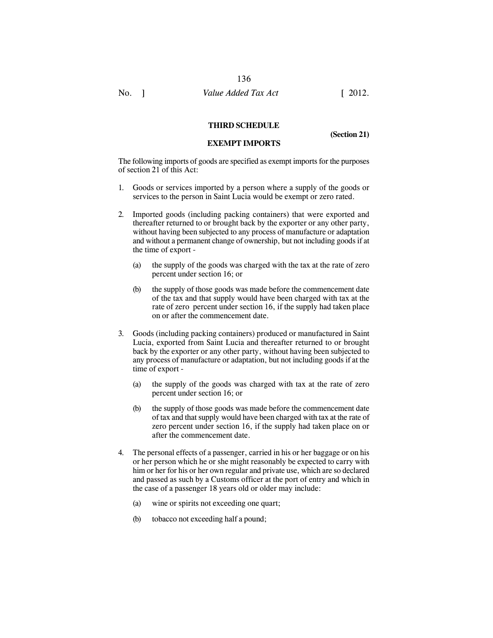136

#### **THIRD SCHEDULE**

**EXEMPT IMPORTS**

**(Section 21)**

The following imports of goods are specified as exempt imports for the purposes of section 21 of this Act:

- 1. Goods or services imported by a person where a supply of the goods or services to the person in Saint Lucia would be exempt or zero rated.
- 2. Imported goods (including packing containers) that were exported and thereafter returned to or brought back by the exporter or any other party, without having been subjected to any process of manufacture or adaptation and without a permanent change of ownership, but not including goods if at the time of export -
	- (a) the supply of the goods was charged with the tax at the rate of zero percent under section 16; or
	- (b) the supply of those goods was made before the commencement date of the tax and that supply would have been charged with tax at the rate of zero percent under section 16, if the supply had taken place on or after the commencement date.
- 3. Goods (including packing containers) produced or manufactured in Saint Lucia, exported from Saint Lucia and thereafter returned to or brought back by the exporter or any other party, without having been subjected to any process of manufacture or adaptation, but not including goods if at the time of export -
	- (a) the supply of the goods was charged with tax at the rate of zero percent under section 16; or
	- (b) the supply of those goods was made before the commencement date of tax and that supply would have been charged with tax at the rate of zero percent under section 16, if the supply had taken place on or after the commencement date.
- 4. The personal effects of a passenger, carried in his or her baggage or on his or her person which he or she might reasonably be expected to carry with him or her for his or her own regular and private use, which are so declared and passed as such by a Customs officer at the port of entry and which in the case of a passenger 18 years old or older may include:
	- (a) wine or spirits not exceeding one quart;
	- (b) tobacco not exceeding half a pound;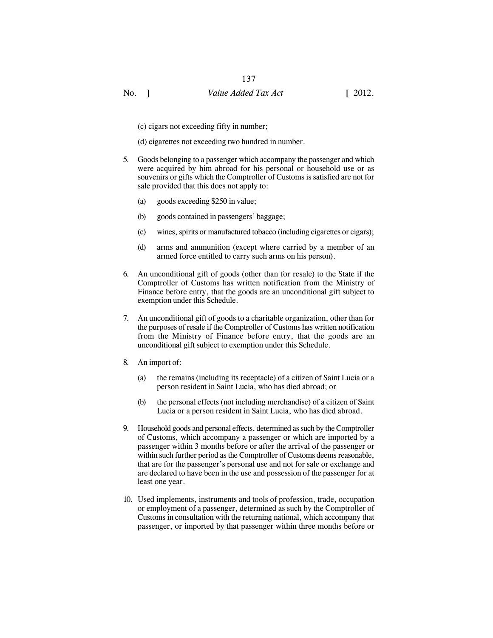(c) cigars not exceeding fifty in number;

(d) cigarettes not exceeding two hundred in number.

- 5. Goods belonging to a passenger which accompany the passenger and which were acquired by him abroad for his personal or household use or as souvenirs or gifts which the Comptroller of Customs is satisfied are not for sale provided that this does not apply to:
	- (a) goods exceeding \$250 in value;
	- (b) goods contained in passengers' baggage;
	- (c) wines, spirits or manufactured tobacco (including cigarettes or cigars);
	- (d) arms and ammunition (except where carried by a member of an armed force entitled to carry such arms on his person).
- 6. An unconditional gift of goods (other than for resale) to the State if the Comptroller of Customs has written notification from the Ministry of Finance before entry, that the goods are an unconditional gift subject to exemption under this Schedule.
- 7. An unconditional gift of goods to a charitable organization, other than for the purposes of resale if the Comptroller of Customs has written notification from the Ministry of Finance before entry, that the goods are an unconditional gift subject to exemption under this Schedule.
- 8. An import of:
	- (a) the remains (including its receptacle) of a citizen of Saint Lucia or a person resident in Saint Lucia, who has died abroad; or
	- (b) the personal effects (not including merchandise) of a citizen of Saint Lucia or a person resident in Saint Lucia, who has died abroad.
- 9. Household goods and personal effects, determined as such by the Comptroller of Customs, which accompany a passenger or which are imported by a passenger within 3 months before or after the arrival of the passenger or within such further period as the Comptroller of Customs deems reasonable, that are for the passenger's personal use and not for sale or exchange and are declared to have been in the use and possession of the passenger for at least one year.
- 10. Used implements, instruments and tools of profession, trade, occupation or employment of a passenger, determined as such by the Comptroller of Customs in consultation with the returning national, which accompany that passenger, or imported by that passenger within three months before or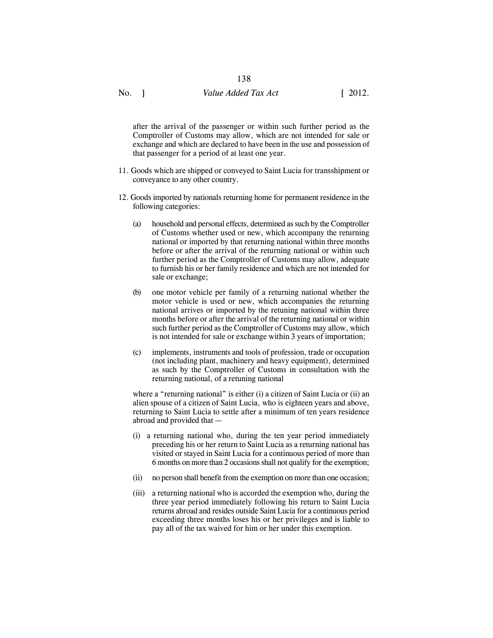after the arrival of the passenger or within such further period as the Comptroller of Customs may allow, which are not intended for sale or exchange and which are declared to have been in the use and possession of that passenger for a period of at least one year.

- 11. Goods which are shipped or conveyed to Saint Lucia for transshipment or conveyance to any other country.
- 12. Goods imported by nationals returning home for permanent residence in the following categories:
	- (a) household and personal effects, determined as such by the Comptroller of Customs whether used or new, which accompany the returning national or imported by that returning national within three months before or after the arrival of the returning national or within such further period as the Comptroller of Customs may allow, adequate to furnish his or her family residence and which are not intended for sale or exchange;
	- (b) one motor vehicle per family of a returning national whether the motor vehicle is used or new, which accompanies the returning national arrives or imported by the retuning national within three months before or after the arrival of the returning national or within such further period as the Comptroller of Customs may allow, which is not intended for sale or exchange within 3 years of importation;
	- (c) implements, instruments and tools of profession, trade or occupation (not including plant, machinery and heavy equipment), determined as such by the Comptroller of Customs in consultation with the returning national, of a retuning national

where a "returning national" is either (i) a citizen of Saint Lucia or (ii) an alien spouse of a citizen of Saint Lucia, who is eighteen years and above, returning to Saint Lucia to settle after a minimum of ten years residence abroad and provided that —

- (i) a returning national who, during the ten year period immediately preceding his or her return to Saint Lucia as a returning national has visited or stayed in Saint Lucia for a continuous period of more than 6 months on more than 2 occasions shall not qualify for the exemption;
- (ii) no person shall benefit from the exemption on more than one occasion;
- (iii) a returning national who is accorded the exemption who, during the three year period immediately following his return to Saint Lucia returns abroad and resides outside Saint Lucia for a continuous period exceeding three months loses his or her privileges and is liable to pay all of the tax waived for him or her under this exemption.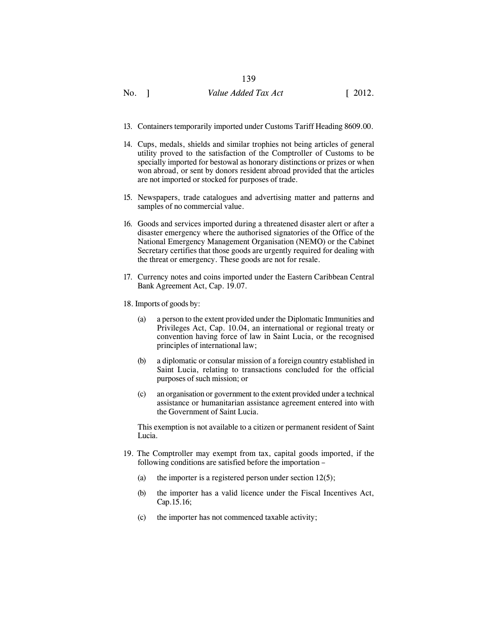## No. 1 Value *Added Tax Act* [ 2012.

- 13. Containers temporarily imported under Customs Tariff Heading 8609.00.
- 14. Cups, medals, shields and similar trophies not being articles of general utility proved to the satisfaction of the Comptroller of Customs to be specially imported for bestowal as honorary distinctions or prizes or when won abroad, or sent by donors resident abroad provided that the articles are not imported or stocked for purposes of trade.
- 15. Newspapers, trade catalogues and advertising matter and patterns and samples of no commercial value.
- 16. Goods and services imported during a threatened disaster alert or after a disaster emergency where the authorised signatories of the Office of the National Emergency Management Organisation (NEMO) or the Cabinet Secretary certifies that those goods are urgently required for dealing with the threat or emergency. These goods are not for resale.
- 17. Currency notes and coins imported under the Eastern Caribbean Central Bank Agreement Act, Cap. 19.07.
- 18. Imports of goods by:
	- (a) a person to the extent provided under the Diplomatic Immunities and Privileges Act, Cap. 10.04, an international or regional treaty or convention having force of law in Saint Lucia, or the recognised principles of international law;
	- (b) a diplomatic or consular mission of a foreign country established in Saint Lucia, relating to transactions concluded for the official purposes of such mission; or
	- (c) an organisation or government to the extent provided under a technical assistance or humanitarian assistance agreement entered into with the Government of Saint Lucia.

This exemption is not available to a citizen or permanent resident of Saint Lucia.

- 19. The Comptroller may exempt from tax, capital goods imported, if the following conditions are satisfied before the importation –
	- (a) the importer is a registered person under section  $12(5)$ ;
	- (b) the importer has a valid licence under the Fiscal Incentives Act, Cap.15.16;
	- (c) the importer has not commenced taxable activity;